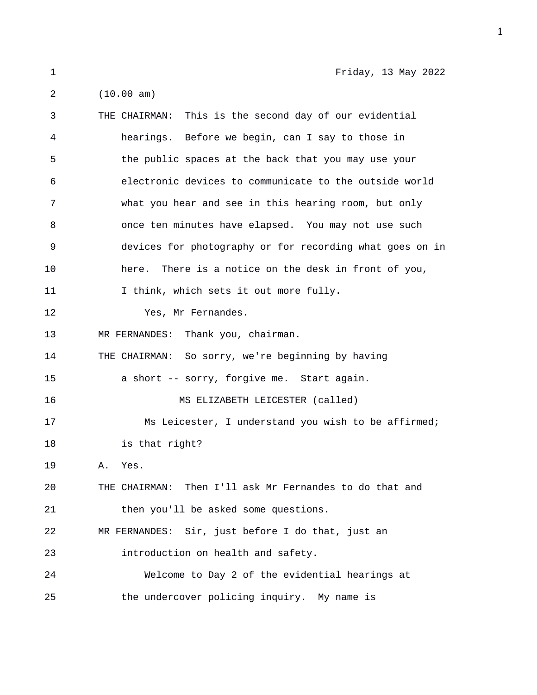1 Friday, 13 May 2022

2 (10.00 am) 3 THE CHAIRMAN: This is the second day of our evidential 4 hearings. Before we begin, can I say to those in 5 the public spaces at the back that you may use your 6 electronic devices to communicate to the outside world 7 what you hear and see in this hearing room, but only 8 once ten minutes have elapsed. You may not use such 9 devices for photography or for recording what goes on in 10 here. There is a notice on the desk in front of you, 11 I think, which sets it out more fully. 12 Yes, Mr Fernandes. 13 MR FERNANDES: Thank you, chairman. 14 THE CHAIRMAN: So sorry, we're beginning by having 15 a short -- sorry, forgive me. Start again. 16 MS ELIZABETH LEICESTER (called) 17 Ms Leicester, I understand you wish to be affirmed; 18 is that right? 19 A. Yes. 20 THE CHAIRMAN: Then I'll ask Mr Fernandes to do that and 21 then you'll be asked some questions. 22 MR FERNANDES: Sir, just before I do that, just an 23 introduction on health and safety. 24 Welcome to Day 2 of the evidential hearings at

25 the undercover policing inquiry. My name is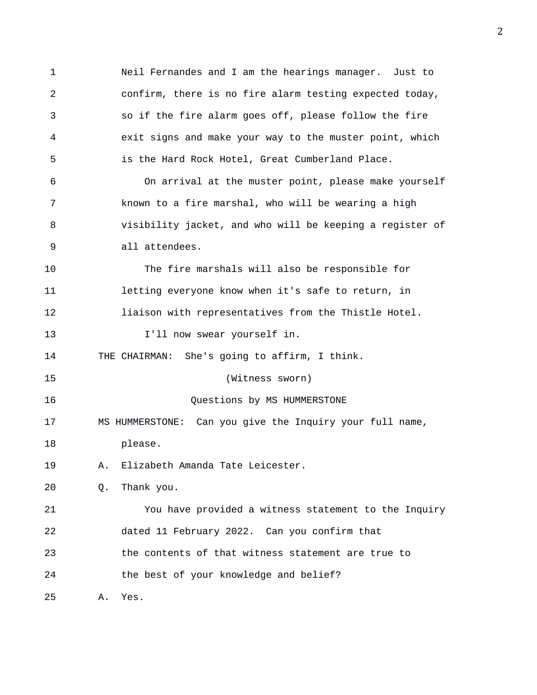1 Neil Fernandes and I am the hearings manager. Just to 2 confirm, there is no fire alarm testing expected today, 3 so if the fire alarm goes off, please follow the fire 4 exit signs and make your way to the muster point, which 5 is the Hard Rock Hotel, Great Cumberland Place. 6 On arrival at the muster point, please make yourself 7 known to a fire marshal, who will be wearing a high 8 visibility jacket, and who will be keeping a register of 9 all attendees. 10 The fire marshals will also be responsible for 11 letting everyone know when it's safe to return, in 12 liaison with representatives from the Thistle Hotel. 13 I'll now swear yourself in. 14 THE CHAIRMAN: She's going to affirm, I think. 15 (Witness sworn) 16 Questions by MS HUMMERSTONE 17 MS HUMMERSTONE: Can you give the Inquiry your full name, 18 please. 19 A. Elizabeth Amanda Tate Leicester. 20 Q. Thank you. 21 You have provided a witness statement to the Inquiry 22 dated 11 February 2022. Can you confirm that 23 the contents of that witness statement are true to 24 the best of your knowledge and belief? 25 A. Yes.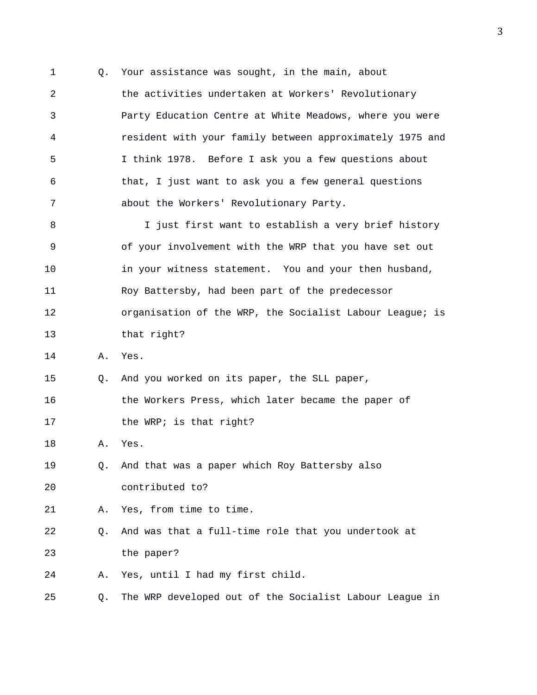1 Q. Your assistance was sought, in the main, about 2 the activities undertaken at Workers' Revolutionary 3 Party Education Centre at White Meadows, where you were 4 resident with your family between approximately 1975 and 5 I think 1978. Before I ask you a few questions about 6 that, I just want to ask you a few general questions 7 about the Workers' Revolutionary Party.

8 I just first want to establish a very brief history 9 of your involvement with the WRP that you have set out 10 in your witness statement. You and your then husband, 11 Roy Battersby, had been part of the predecessor 12 organisation of the WRP, the Socialist Labour League; is 13 that right?

14 A. Yes.

15 Q. And you worked on its paper, the SLL paper,

16 the Workers Press, which later became the paper of 17 the WRP; is that right?

18 A. Yes.

19 Q. And that was a paper which Roy Battersby also 20 contributed to?

21 A. Yes, from time to time.

22 Q. And was that a full-time role that you undertook at 23 the paper?

24 A. Yes, until I had my first child.

25 Q. The WRP developed out of the Socialist Labour League in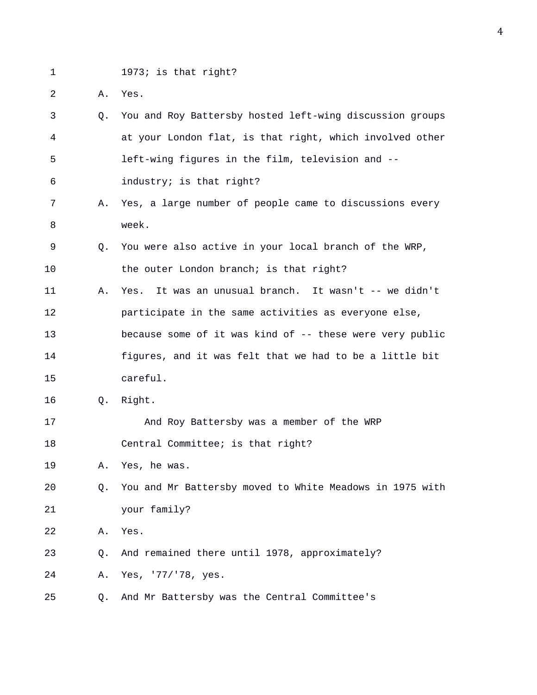- 1 1973; is that right?
- 2 A. Yes.

|     | O <sub>1</sub> | You and Roy Battersby hosted left-wing discussion groups |
|-----|----------------|----------------------------------------------------------|
| 4   |                | at your London flat, is that right, which involved other |
| - 5 |                | left-wing figures in the film, television and --         |
| - 6 |                | industry; is that right?                                 |

- 7 A. Yes, a large number of people came to discussions every 8 week.
- 9 Q. You were also active in your local branch of the WRP, 10 the outer London branch; is that right?
- 11 A. Yes. It was an unusual branch. It wasn't -- we didn't 12 participate in the same activities as everyone else, 13 because some of it was kind of -- these were very public 14 figures, and it was felt that we had to be a little bit 15 careful.
- 16 Q. Right.
- 17 And Roy Battersby was a member of the WRP 18 Central Committee; is that right?
- 19 A. Yes, he was.
- 20 Q. You and Mr Battersby moved to White Meadows in 1975 with 21 your family?
- 22 A. Yes.
- 23 Q. And remained there until 1978, approximately?
- 24 A. Yes, '77/'78, yes.
- 25 Q. And Mr Battersby was the Central Committee's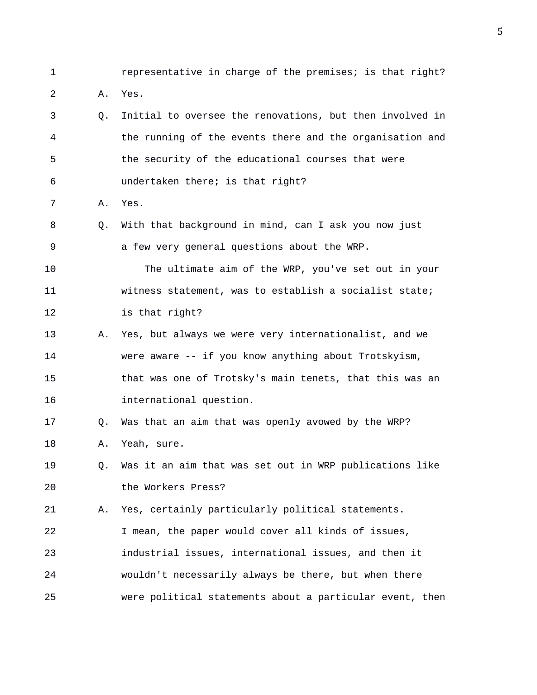1 representative in charge of the premises; is that right?

- 2 A. Yes.
- 3 Q. Initial to oversee the renovations, but then involved in 4 the running of the events there and the organisation and 5 the security of the educational courses that were 6 undertaken there; is that right?
- 7 A. Yes.
- 8 Q. With that background in mind, can I ask you now just 9 a few very general questions about the WRP.
- 10 The ultimate aim of the WRP, you've set out in your 11 witness statement, was to establish a socialist state; 12 is that right?
- 13 A. Yes, but always we were very internationalist, and we 14 were aware -- if you know anything about Trotskyism, 15 that was one of Trotsky's main tenets, that this was an 16 international question.
- 17 Q. Was that an aim that was openly avowed by the WRP? 18 A. Yeah, sure.
- 19 Q. Was it an aim that was set out in WRP publications like 20 the Workers Press?

21 A. Yes, certainly particularly political statements. 22 I mean, the paper would cover all kinds of issues, 23 industrial issues, international issues, and then it 24 wouldn't necessarily always be there, but when there 25 were political statements about a particular event, then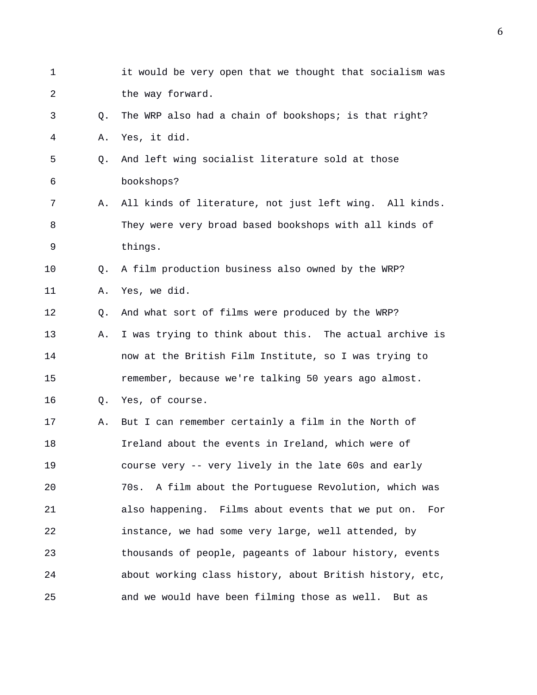| $\mathbf 1$ |             | it would be very open that we thought that socialism was  |
|-------------|-------------|-----------------------------------------------------------|
| 2           |             | the way forward.                                          |
| 3           | Q.          | The WRP also had a chain of bookshops; is that right?     |
| 4           | Α.          | Yes, it did.                                              |
| 5           | $Q_{\star}$ | And left wing socialist literature sold at those          |
| 6           |             | bookshops?                                                |
| 7           | Α.          | All kinds of literature, not just left wing. All kinds.   |
| 8           |             | They were very broad based bookshops with all kinds of    |
| 9           |             | things.                                                   |
| 10          | Q.          | A film production business also owned by the WRP?         |
| 11          | Α.          | Yes, we did.                                              |
| 12          | Q.          | And what sort of films were produced by the WRP?          |
| 13          | Α.          | I was trying to think about this. The actual archive is   |
| 14          |             | now at the British Film Institute, so I was trying to     |
| 15          |             | remember, because we're talking 50 years ago almost.      |
| 16          | Q.          | Yes, of course.                                           |
| 17          | Α.          | But I can remember certainly a film in the North of       |
| 18          |             | Ireland about the events in Ireland, which were of        |
| 19          |             | course very -- very lively in the late 60s and early      |
| 20          |             | A film about the Portuguese Revolution, which was<br>70s. |
| 21          |             | also happening. Films about events that we put on.<br>For |
| 22          |             | instance, we had some very large, well attended, by       |
| 23          |             | thousands of people, pageants of labour history, events   |
| 24          |             | about working class history, about British history, etc,  |
| 25          |             | and we would have been filming those as well. But as      |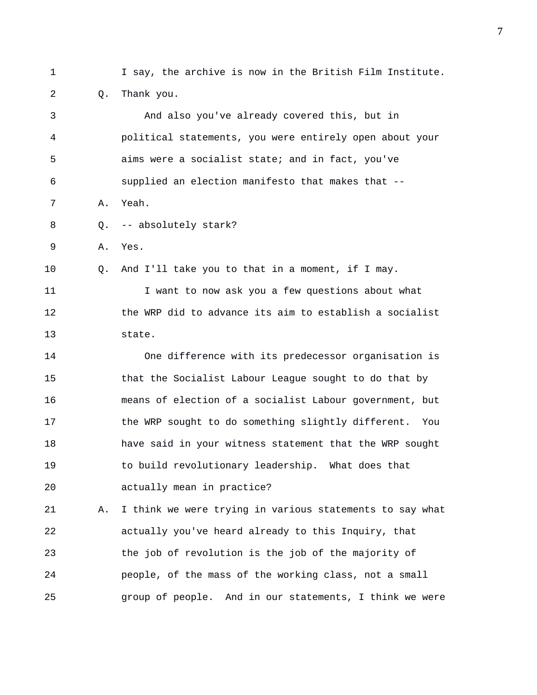1 I say, the archive is now in the British Film Institute. 2 Q. Thank you. 3 And also you've already covered this, but in 4 political statements, you were entirely open about your 5 aims were a socialist state; and in fact, you've 6 supplied an election manifesto that makes that -- 7 A. Yeah. 8 Q. -- absolutely stark? 9 A. Yes. 10 Q. And I'll take you to that in a moment, if I may. 11 I want to now ask you a few questions about what 12 the WRP did to advance its aim to establish a socialist 13 state. 14 One difference with its predecessor organisation is 15 that the Socialist Labour League sought to do that by 16 means of election of a socialist Labour government, but 17 the WRP sought to do something slightly different. You 18 have said in your witness statement that the WRP sought 19 to build revolutionary leadership. What does that 20 actually mean in practice? 21 A. I think we were trying in various statements to say what 22 actually you've heard already to this Inquiry, that 23 the job of revolution is the job of the majority of 24 people, of the mass of the working class, not a small 25 group of people. And in our statements, I think we were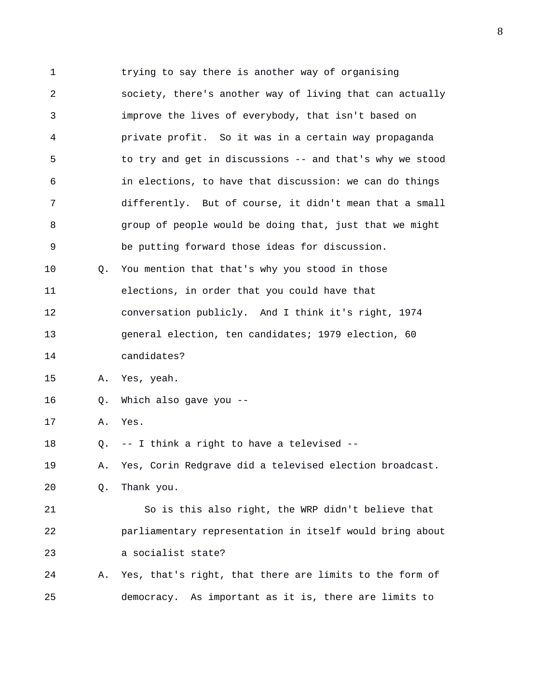1 trying to say there is another way of organising 2 society, there's another way of living that can actually 3 improve the lives of everybody, that isn't based on 4 private profit. So it was in a certain way propaganda 5 to try and get in discussions -- and that's why we stood 6 in elections, to have that discussion: we can do things 7 differently. But of course, it didn't mean that a small 8 group of people would be doing that, just that we might 9 be putting forward those ideas for discussion. 10 Q. You mention that that's why you stood in those 11 elections, in order that you could have that 12 conversation publicly. And I think it's right, 1974 13 general election, ten candidates; 1979 election, 60 14 candidates? 15 A. Yes, yeah. 16 Q. Which also gave you -- 17 A. Yes. 18 Q. -- I think a right to have a televised -- 19 A. Yes, Corin Redgrave did a televised election broadcast. 20 Q. Thank you. 21 So is this also right, the WRP didn't believe that 22 parliamentary representation in itself would bring about 23 a socialist state? 24 A. Yes, that's right, that there are limits to the form of 25 democracy. As important as it is, there are limits to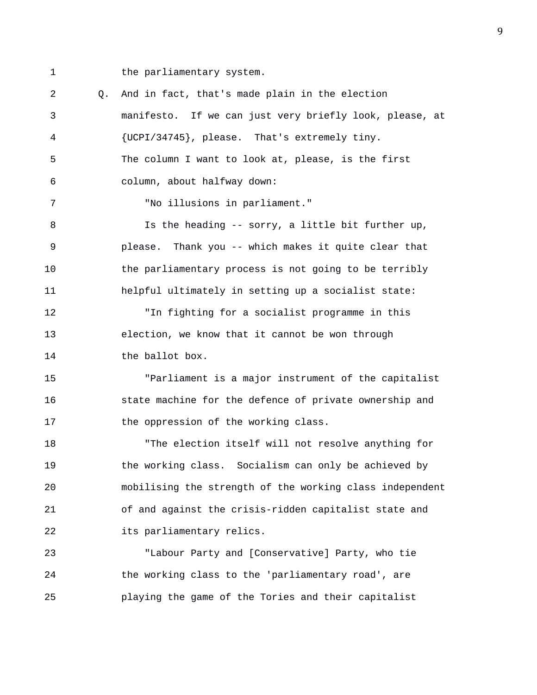1 the parliamentary system.

2 Q. And in fact, that's made plain in the election 3 manifesto. If we can just very briefly look, please, at 4 {UCPI/34745}, please. That's extremely tiny. 5 The column I want to look at, please, is the first 6 column, about halfway down: 7 "No illusions in parliament." 8 Is the heading -- sorry, a little bit further up, 9 please. Thank you -- which makes it quite clear that 10 the parliamentary process is not going to be terribly 11 helpful ultimately in setting up a socialist state: 12 "In fighting for a socialist programme in this 13 election, we know that it cannot be won through 14 the ballot box. 15 "Parliament is a major instrument of the capitalist 16 state machine for the defence of private ownership and 17 the oppression of the working class. 18 "The election itself will not resolve anything for 19 the working class. Socialism can only be achieved by 20 mobilising the strength of the working class independent 21 of and against the crisis-ridden capitalist state and 22 its parliamentary relics. 23 "Labour Party and [Conservative] Party, who tie 24 the working class to the 'parliamentary road', are 25 playing the game of the Tories and their capitalist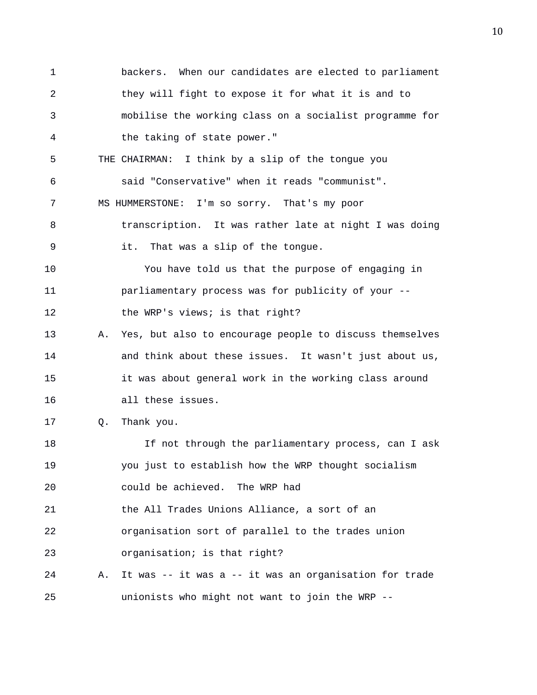1 backers. When our candidates are elected to parliament 2 they will fight to expose it for what it is and to 3 mobilise the working class on a socialist programme for 4 the taking of state power." 5 THE CHAIRMAN: I think by a slip of the tongue you 6 said "Conservative" when it reads "communist". 7 MS HUMMERSTONE: I'm so sorry. That's my poor 8 transcription. It was rather late at night I was doing 9 it. That was a slip of the tongue. 10 You have told us that the purpose of engaging in 11 parliamentary process was for publicity of your -- 12 the WRP's views; is that right? 13 A. Yes, but also to encourage people to discuss themselves 14 and think about these issues. It wasn't just about us, 15 it was about general work in the working class around 16 all these issues. 17 Q. Thank you. 18 If not through the parliamentary process, can I ask 19 you just to establish how the WRP thought socialism 20 could be achieved. The WRP had 21 the All Trades Unions Alliance, a sort of an 22 organisation sort of parallel to the trades union 23 organisation; is that right? 24 A. It was -- it was a -- it was an organisation for trade 25 unionists who might not want to join the WRP --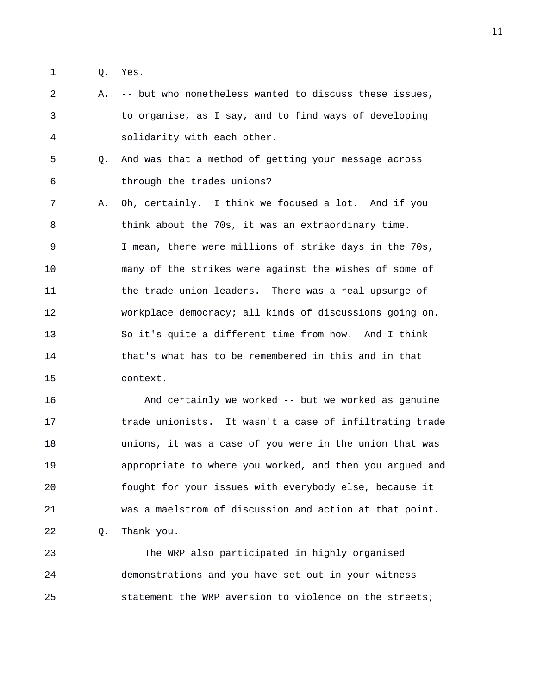- 1 Q. Yes.
- 2 A. -- but who nonetheless wanted to discuss these issues, 3 to organise, as I say, and to find ways of developing 4 solidarity with each other.
- 5 Q. And was that a method of getting your message across 6 through the trades unions?
- 7 A. Oh, certainly. I think we focused a lot. And if you 8 think about the 70s, it was an extraordinary time. 9 I mean, there were millions of strike days in the 70s, 10 many of the strikes were against the wishes of some of 11 the trade union leaders. There was a real upsurge of 12 workplace democracy; all kinds of discussions going on. 13 So it's quite a different time from now. And I think 14 that's what has to be remembered in this and in that 15 context.

16 And certainly we worked -- but we worked as genuine 17 trade unionists. It wasn't a case of infiltrating trade 18 unions, it was a case of you were in the union that was 19 appropriate to where you worked, and then you argued and 20 fought for your issues with everybody else, because it 21 was a maelstrom of discussion and action at that point. 22 Q. Thank you.

23 The WRP also participated in highly organised 24 demonstrations and you have set out in your witness 25 statement the WRP aversion to violence on the streets;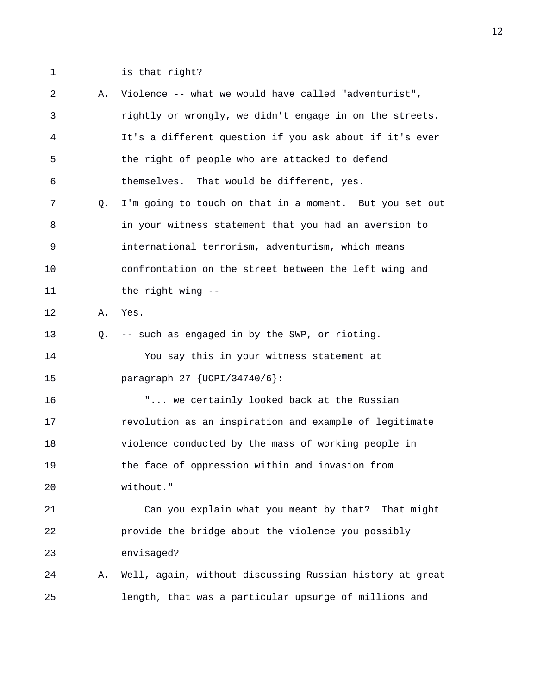1 is that right?

| 2  | Α. | Violence -- what we would have called "adventurist",     |
|----|----|----------------------------------------------------------|
| 3  |    | rightly or wrongly, we didn't engage in on the streets.  |
| 4  |    | It's a different question if you ask about if it's ever  |
| 5  |    | the right of people who are attacked to defend           |
| 6  |    | themselves. That would be different, yes.                |
| 7  | Q. | I'm going to touch on that in a moment. But you set out  |
| 8  |    | in your witness statement that you had an aversion to    |
| 9  |    | international terrorism, adventurism, which means        |
| 10 |    | confrontation on the street between the left wing and    |
| 11 |    | the right wing --                                        |
| 12 | Α. | Yes.                                                     |
| 13 | Q. | -- such as engaged in by the SWP, or rioting.            |
| 14 |    | You say this in your witness statement at                |
| 15 |    | paragraph 27 $\{UCPI/34740/6\}$ :                        |
| 16 |    | " we certainly looked back at the Russian                |
| 17 |    | revolution as an inspiration and example of legitimate   |
| 18 |    | violence conducted by the mass of working people in      |
| 19 |    | the face of oppression within and invasion from          |
| 20 |    | without."                                                |
| 21 |    | Can you explain what you meant by that? That might       |
| 22 |    | provide the bridge about the violence you possibly       |
| 23 |    | envisaged?                                               |
| 24 | Α. | Well, again, without discussing Russian history at great |
| 25 |    | length, that was a particular upsurge of millions and    |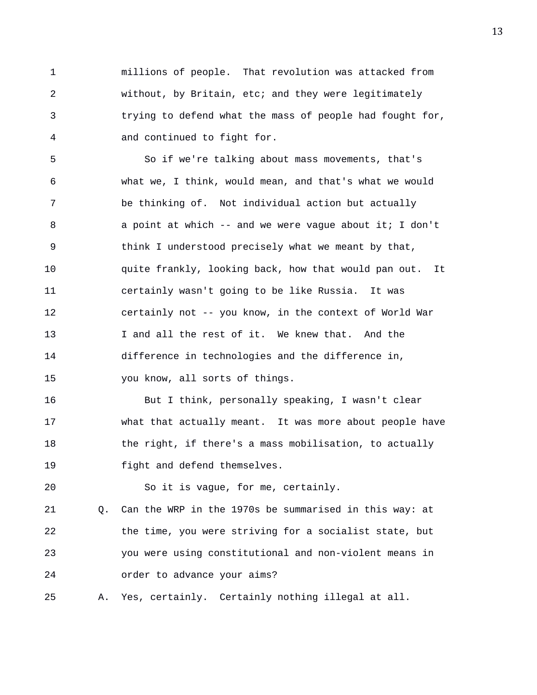1 millions of people. That revolution was attacked from 2 without, by Britain, etc; and they were legitimately 3 trying to defend what the mass of people had fought for, 4 and continued to fight for.

5 So if we're talking about mass movements, that's 6 what we, I think, would mean, and that's what we would 7 be thinking of. Not individual action but actually 8 a point at which -- and we were vague about it; I don't 9 think I understood precisely what we meant by that, 10 quite frankly, looking back, how that would pan out. It 11 certainly wasn't going to be like Russia. It was 12 certainly not -- you know, in the context of World War 13 I and all the rest of it. We knew that. And the 14 difference in technologies and the difference in, 15 you know, all sorts of things.

16 But I think, personally speaking, I wasn't clear 17 what that actually meant. It was more about people have 18 the right, if there's a mass mobilisation, to actually 19 fight and defend themselves.

20 So it is vague, for me, certainly.

21 Q. Can the WRP in the 1970s be summarised in this way: at 22 the time, you were striving for a socialist state, but 23 you were using constitutional and non-violent means in 24 order to advance your aims?

25 A. Yes, certainly. Certainly nothing illegal at all.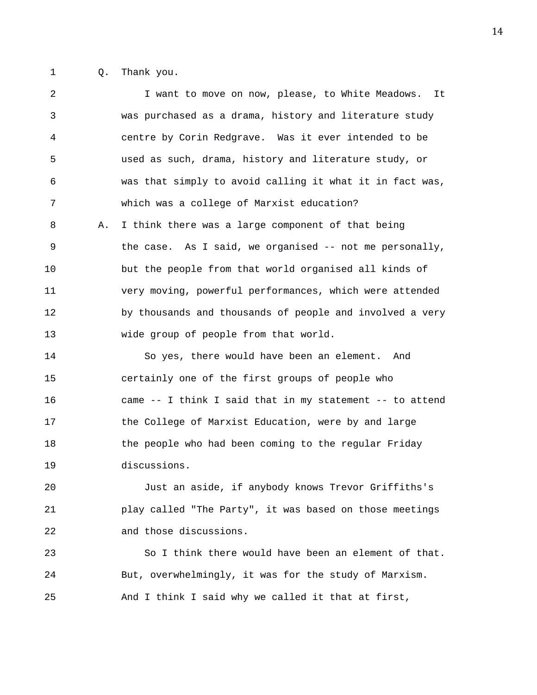1 Q. Thank you.

2 I want to move on now, please, to White Meadows. It 3 was purchased as a drama, history and literature study 4 centre by Corin Redgrave. Was it ever intended to be 5 used as such, drama, history and literature study, or 6 was that simply to avoid calling it what it in fact was, 7 which was a college of Marxist education? 8 A. I think there was a large component of that being 9 the case. As I said, we organised -- not me personally, 10 but the people from that world organised all kinds of 11 very moving, powerful performances, which were attended 12 by thousands and thousands of people and involved a very 13 wide group of people from that world. 14 So yes, there would have been an element. And 15 certainly one of the first groups of people who 16 came -- I think I said that in my statement -- to attend 17 the College of Marxist Education, were by and large 18 the people who had been coming to the regular Friday 19 discussions. 20 Just an aside, if anybody knows Trevor Griffiths's

21 play called "The Party", it was based on those meetings 22 and those discussions.

23 So I think there would have been an element of that. 24 But, overwhelmingly, it was for the study of Marxism. 25 And I think I said why we called it that at first,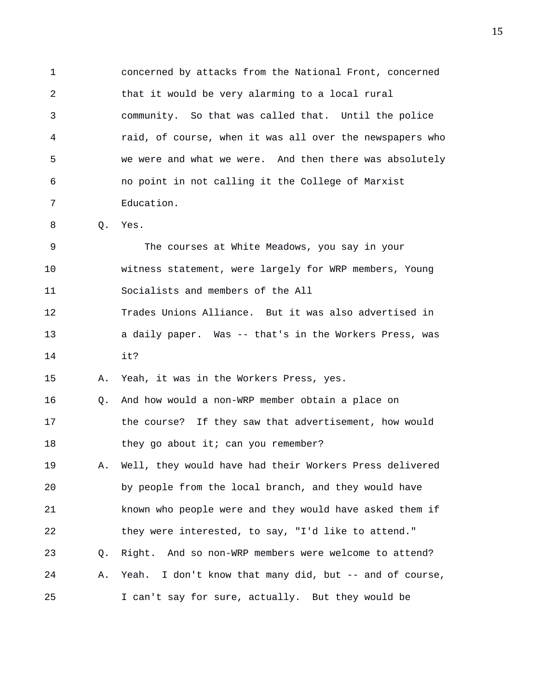1 concerned by attacks from the National Front, concerned 2 that it would be very alarming to a local rural 3 community. So that was called that. Until the police 4 raid, of course, when it was all over the newspapers who 5 we were and what we were. And then there was absolutely 6 no point in not calling it the College of Marxist 7 Education.

8 Q. Yes.

9 The courses at White Meadows, you say in your 10 witness statement, were largely for WRP members, Young 11 Socialists and members of the All 12 Trades Unions Alliance. But it was also advertised in 13 a daily paper. Was -- that's in the Workers Press, was

14 it?

15 A. Yeah, it was in the Workers Press, yes.

16 Q. And how would a non-WRP member obtain a place on 17 the course? If they saw that advertisement, how would 18 they go about it; can you remember?

19 A. Well, they would have had their Workers Press delivered 20 by people from the local branch, and they would have 21 known who people were and they would have asked them if 22 they were interested, to say, "I'd like to attend." 23 Q. Right. And so non-WRP members were welcome to attend? 24 A. Yeah. I don't know that many did, but -- and of course, 25 I can't say for sure, actually. But they would be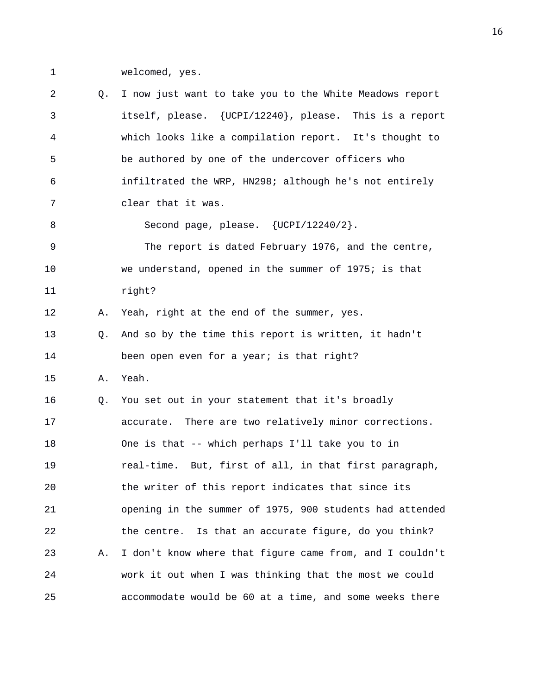1 welcomed, yes.

2 Q. I now just want to take you to the White Meadows report 3 itself, please. {UCPI/12240}, please. This is a report 4 which looks like a compilation report. It's thought to 5 be authored by one of the undercover officers who 6 infiltrated the WRP, HN298; although he's not entirely 7 clear that it was. 8 Second page, please. {UCPI/12240/2}. 9 The report is dated February 1976, and the centre, 10 we understand, opened in the summer of 1975; is that 11 right? 12 A. Yeah, right at the end of the summer, yes. 13 Q. And so by the time this report is written, it hadn't 14 been open even for a year; is that right? 15 A. Yeah. 16 Q. You set out in your statement that it's broadly 17 accurate. There are two relatively minor corrections. 18 One is that -- which perhaps I'll take you to in 19 real-time. But, first of all, in that first paragraph, 20 the writer of this report indicates that since its 21 opening in the summer of 1975, 900 students had attended 22 the centre. Is that an accurate figure, do you think? 23 A. I don't know where that figure came from, and I couldn't 24 work it out when I was thinking that the most we could 25 accommodate would be 60 at a time, and some weeks there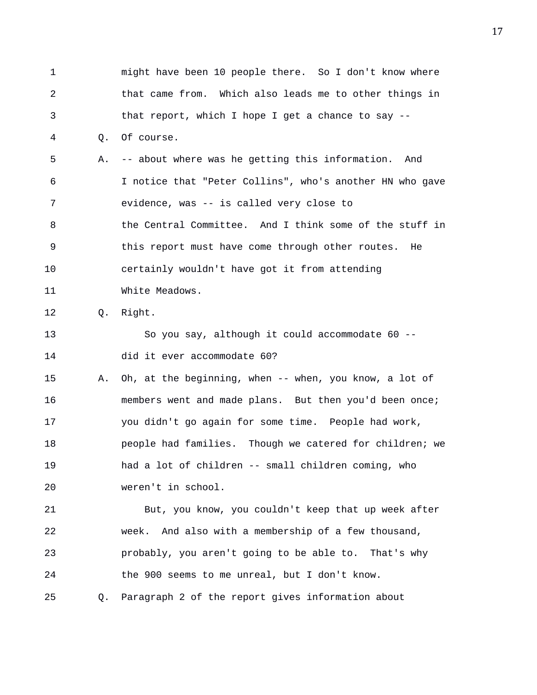1 might have been 10 people there. So I don't know where 2 that came from. Which also leads me to other things in 3 that report, which I hope I get a chance to say -- 4 Q. Of course. 5 A. -- about where was he getting this information. And 6 I notice that "Peter Collins", who's another HN who gave 7 evidence, was -- is called very close to 8 the Central Committee. And I think some of the stuff in 9 this report must have come through other routes. He 10 certainly wouldn't have got it from attending 11 White Meadows. 12 Q. Right. 13 So you say, although it could accommodate 60 -- 14 did it ever accommodate 60? 15 A. Oh, at the beginning, when -- when, you know, a lot of 16 members went and made plans. But then you'd been once; 17 you didn't go again for some time. People had work, 18 people had families. Though we catered for children; we 19 had a lot of children -- small children coming, who 20 weren't in school. 21 But, you know, you couldn't keep that up week after 22 week. And also with a membership of a few thousand, 23 probably, you aren't going to be able to. That's why 24 the 900 seems to me unreal, but I don't know. 25 Q. Paragraph 2 of the report gives information about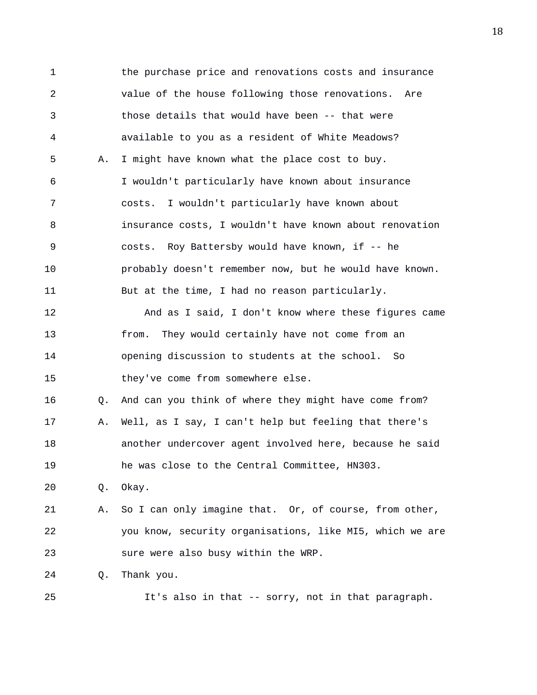1 the purchase price and renovations costs and insurance 2 value of the house following those renovations. Are 3 those details that would have been -- that were 4 available to you as a resident of White Meadows? 5 A. I might have known what the place cost to buy. 6 I wouldn't particularly have known about insurance 7 costs. I wouldn't particularly have known about 8 insurance costs, I wouldn't have known about renovation 9 costs. Roy Battersby would have known, if -- he 10 probably doesn't remember now, but he would have known. 11 But at the time, I had no reason particularly. 12 And as I said, I don't know where these figures came 13 from. They would certainly have not come from an 14 opening discussion to students at the school. So 15 they've come from somewhere else. 16 Q. And can you think of where they might have come from? 17 A. Well, as I say, I can't help but feeling that there's 18 another undercover agent involved here, because he said 19 he was close to the Central Committee, HN303. 20 Q. Okay. 21 A. So I can only imagine that. Or, of course, from other, 22 you know, security organisations, like MI5, which we are 23 sure were also busy within the WRP. 24 Q. Thank you. 25 It's also in that -- sorry, not in that paragraph.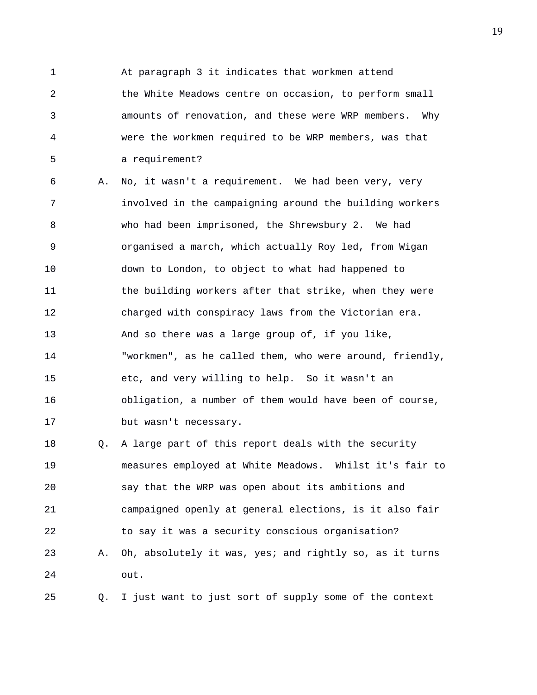1 At paragraph 3 it indicates that workmen attend 2 the White Meadows centre on occasion, to perform small 3 amounts of renovation, and these were WRP members. Why 4 were the workmen required to be WRP members, was that 5 a requirement?

6 A. No, it wasn't a requirement. We had been very, very 7 involved in the campaigning around the building workers 8 who had been imprisoned, the Shrewsbury 2. We had 9 organised a march, which actually Roy led, from Wigan 10 down to London, to object to what had happened to 11 the building workers after that strike, when they were 12 charged with conspiracy laws from the Victorian era. 13 And so there was a large group of, if you like, 14 "workmen", as he called them, who were around, friendly, 15 etc, and very willing to help. So it wasn't an 16 obligation, a number of them would have been of course, 17 but wasn't necessary.

18 Q. A large part of this report deals with the security 19 measures employed at White Meadows. Whilst it's fair to 20 say that the WRP was open about its ambitions and 21 campaigned openly at general elections, is it also fair 22 to say it was a security conscious organisation? 23 A. Oh, absolutely it was, yes; and rightly so, as it turns 24 out.

25 Q. I just want to just sort of supply some of the context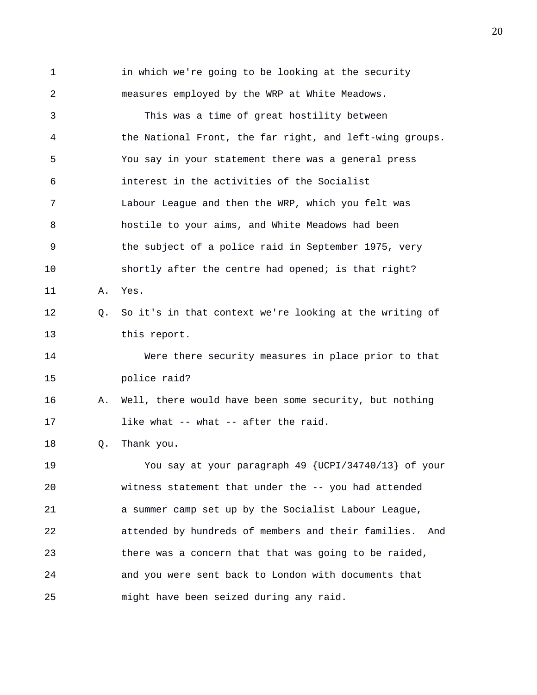1 in which we're going to be looking at the security 2 measures employed by the WRP at White Meadows. 3 This was a time of great hostility between 4 the National Front, the far right, and left-wing groups. 5 You say in your statement there was a general press 6 interest in the activities of the Socialist 7 Labour League and then the WRP, which you felt was 8 hostile to your aims, and White Meadows had been 9 the subject of a police raid in September 1975, very 10 shortly after the centre had opened; is that right? 11 A. Yes. 12 Q. So it's in that context we're looking at the writing of 13 this report. 14 Were there security measures in place prior to that 15 police raid? 16 A. Well, there would have been some security, but nothing 17 like what -- what -- after the raid. 18 Q. Thank you. 19 You say at your paragraph 49 {UCPI/34740/13} of your 20 witness statement that under the -- you had attended 21 a summer camp set up by the Socialist Labour League, 22 attended by hundreds of members and their families. And 23 there was a concern that that was going to be raided, 24 and you were sent back to London with documents that 25 might have been seized during any raid.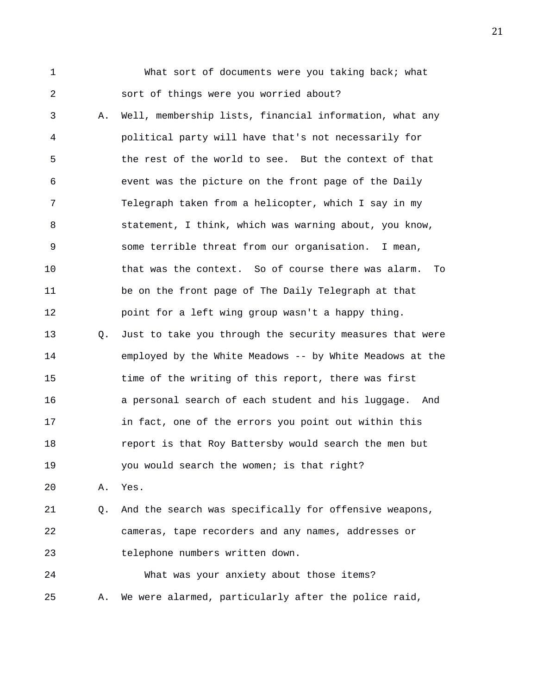1 What sort of documents were you taking back; what 2 sort of things were you worried about?

3 A. Well, membership lists, financial information, what any 4 political party will have that's not necessarily for 5 the rest of the world to see. But the context of that 6 event was the picture on the front page of the Daily 7 Telegraph taken from a helicopter, which I say in my 8 statement, I think, which was warning about, you know, 9 some terrible threat from our organisation. I mean, 10 that was the context. So of course there was alarm. To 11 be on the front page of The Daily Telegraph at that 12 point for a left wing group wasn't a happy thing. 13 Q. Just to take you through the security measures that were 14 employed by the White Meadows -- by White Meadows at the 15 time of the writing of this report, there was first 16 a personal search of each student and his luggage. And 17 in fact, one of the errors you point out within this 18 report is that Roy Battersby would search the men but 19 you would search the women; is that right?

20 A. Yes.

21 Q. And the search was specifically for offensive weapons, 22 cameras, tape recorders and any names, addresses or 23 telephone numbers written down.

24 What was your anxiety about those items? 25 A. We were alarmed, particularly after the police raid,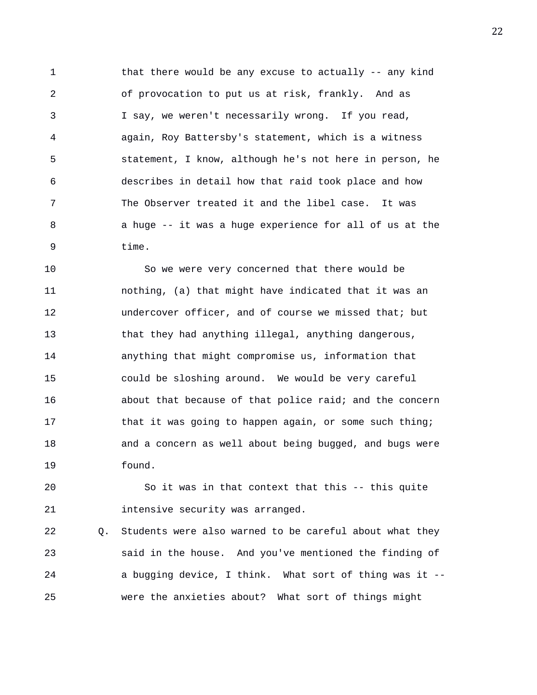1 that there would be any excuse to actually -- any kind 2 of provocation to put us at risk, frankly. And as 3 I say, we weren't necessarily wrong. If you read, 4 again, Roy Battersby's statement, which is a witness 5 statement, I know, although he's not here in person, he 6 describes in detail how that raid took place and how 7 The Observer treated it and the libel case. It was 8 a huge -- it was a huge experience for all of us at the 9 time.

10 So we were very concerned that there would be 11 nothing, (a) that might have indicated that it was an 12 undercover officer, and of course we missed that; but 13 that they had anything illegal, anything dangerous, 14 anything that might compromise us, information that 15 could be sloshing around. We would be very careful 16 about that because of that police raid; and the concern 17 that it was going to happen again, or some such thing; 18 and a concern as well about being bugged, and bugs were 19 found.

20 So it was in that context that this -- this quite 21 intensive security was arranged.

22 Q. Students were also warned to be careful about what they 23 said in the house. And you've mentioned the finding of 24 a bugging device, I think. What sort of thing was it -- 25 were the anxieties about? What sort of things might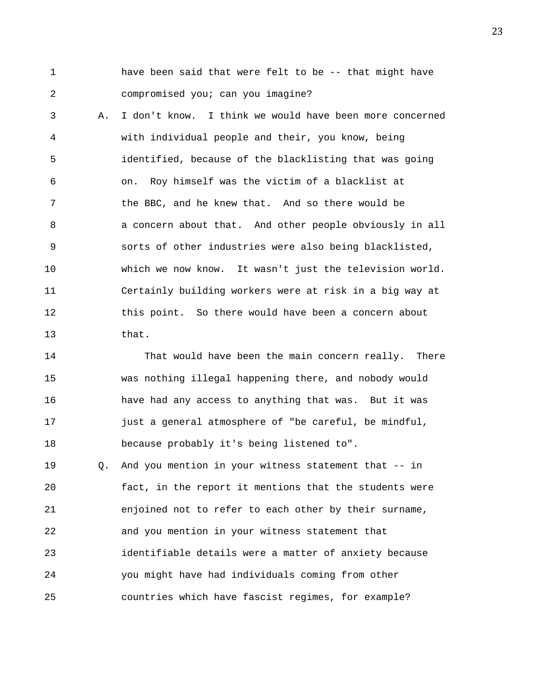1 have been said that were felt to be -- that might have 2 compromised you; can you imagine?

3 A. I don't know. I think we would have been more concerned 4 with individual people and their, you know, being 5 identified, because of the blacklisting that was going 6 on. Roy himself was the victim of a blacklist at 7 the BBC, and he knew that. And so there would be 8 a concern about that. And other people obviously in all 9 sorts of other industries were also being blacklisted, 10 which we now know. It wasn't just the television world. 11 Certainly building workers were at risk in a big way at 12 this point. So there would have been a concern about 13 that.

14 That would have been the main concern really. There 15 was nothing illegal happening there, and nobody would 16 have had any access to anything that was. But it was 17 just a general atmosphere of "be careful, be mindful, 18 because probably it's being listened to".

19 Q. And you mention in your witness statement that -- in 20 fact, in the report it mentions that the students were 21 enjoined not to refer to each other by their surname, 22 and you mention in your witness statement that 23 identifiable details were a matter of anxiety because 24 you might have had individuals coming from other 25 countries which have fascist regimes, for example?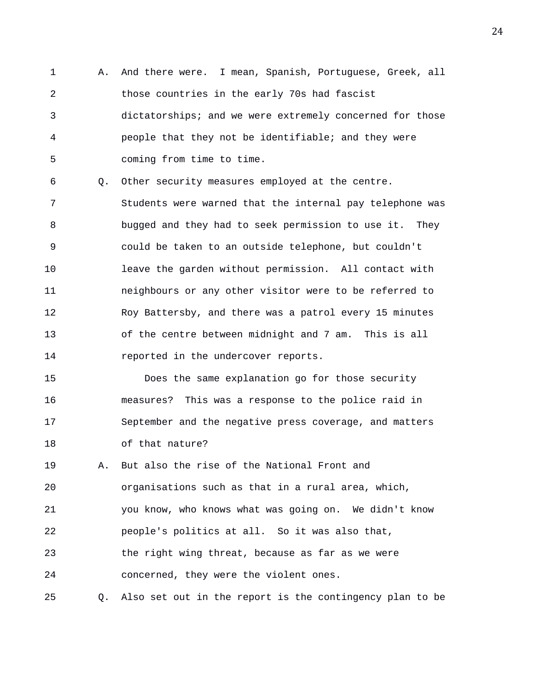1 A. And there were. I mean, Spanish, Portuguese, Greek, all 2 those countries in the early 70s had fascist 3 dictatorships; and we were extremely concerned for those 4 people that they not be identifiable; and they were 5 coming from time to time.

6 Q. Other security measures employed at the centre. 7 Students were warned that the internal pay telephone was 8 bugged and they had to seek permission to use it. They 9 could be taken to an outside telephone, but couldn't 10 leave the garden without permission. All contact with 11 neighbours or any other visitor were to be referred to 12 Roy Battersby, and there was a patrol every 15 minutes 13 of the centre between midnight and 7 am. This is all 14 reported in the undercover reports.

15 Does the same explanation go for those security 16 measures? This was a response to the police raid in 17 September and the negative press coverage, and matters 18 of that nature?

19 A. But also the rise of the National Front and 20 organisations such as that in a rural area, which, 21 you know, who knows what was going on. We didn't know 22 people's politics at all. So it was also that, 23 the right wing threat, because as far as we were 24 concerned, they were the violent ones.

25 Q. Also set out in the report is the contingency plan to be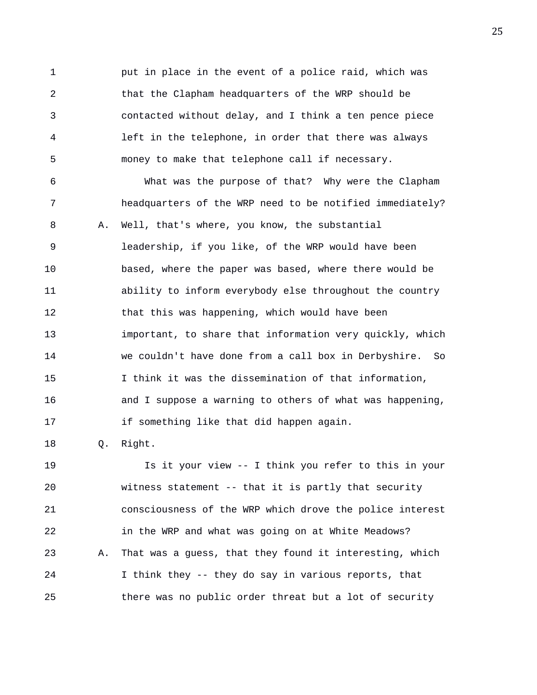1 put in place in the event of a police raid, which was 2 that the Clapham headquarters of the WRP should be 3 contacted without delay, and I think a ten pence piece 4 left in the telephone, in order that there was always 5 money to make that telephone call if necessary.

6 What was the purpose of that? Why were the Clapham 7 headquarters of the WRP need to be notified immediately? 8 A. Well, that's where, you know, the substantial 9 leadership, if you like, of the WRP would have been 10 based, where the paper was based, where there would be 11 ability to inform everybody else throughout the country 12 that this was happening, which would have been 13 important, to share that information very quickly, which 14 we couldn't have done from a call box in Derbyshire. So 15 I think it was the dissemination of that information, 16 and I suppose a warning to others of what was happening, 17 if something like that did happen again.

18 Q. Right.

19 Is it your view -- I think you refer to this in your 20 witness statement -- that it is partly that security 21 consciousness of the WRP which drove the police interest 22 in the WRP and what was going on at White Meadows? 23 A. That was a guess, that they found it interesting, which 24 I think they -- they do say in various reports, that 25 there was no public order threat but a lot of security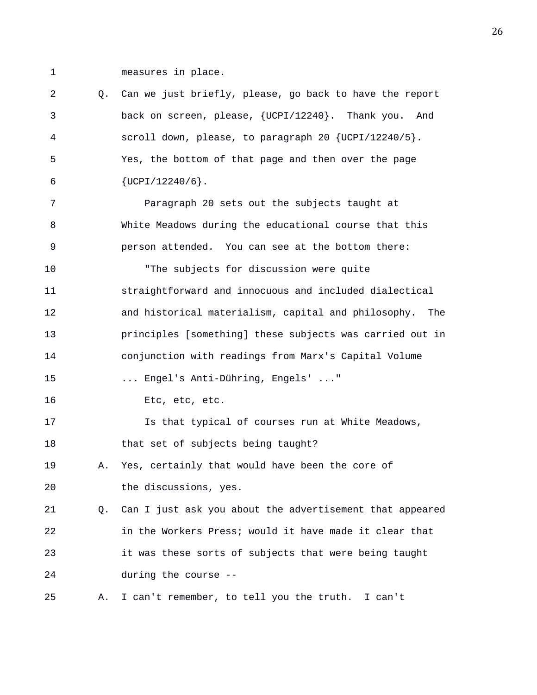1 measures in place.

| 2  | Q. | Can we just briefly, please, go back to have the report    |
|----|----|------------------------------------------------------------|
| 3  |    | back on screen, please, {UCPI/12240}. Thank you. And       |
| 4  |    | scroll down, please, to paragraph 20 $\{UCPI/12240/5\}$ .  |
| 5  |    | Yes, the bottom of that page and then over the page        |
| 6  |    | $\{UCPI/12240/6\}$ .                                       |
| 7  |    | Paragraph 20 sets out the subjects taught at               |
| 8  |    | White Meadows during the educational course that this      |
| 9  |    | person attended. You can see at the bottom there:          |
| 10 |    | "The subjects for discussion were quite                    |
| 11 |    | straightforward and innocuous and included dialectical     |
| 12 |    | and historical materialism, capital and philosophy.<br>The |
| 13 |    | principles [something] these subjects was carried out in   |
| 14 |    | conjunction with readings from Marx's Capital Volume       |
| 15 |    | Engel's Anti-Dühring, Engels' "                            |
| 16 |    | Etc, etc, etc.                                             |
| 17 |    | Is that typical of courses run at White Meadows,           |
| 18 |    | that set of subjects being taught?                         |
| 19 | Α. | Yes, certainly that would have been the core of            |
| 20 |    | the discussions, yes.                                      |
| 21 | Q. | Can I just ask you about the advertisement that appeared   |
| 22 |    | in the Workers Press; would it have made it clear that     |
| 23 |    | it was these sorts of subjects that were being taught      |
| 24 |    | during the course --                                       |
| 25 | Α. | I can't remember, to tell you the truth. I can't           |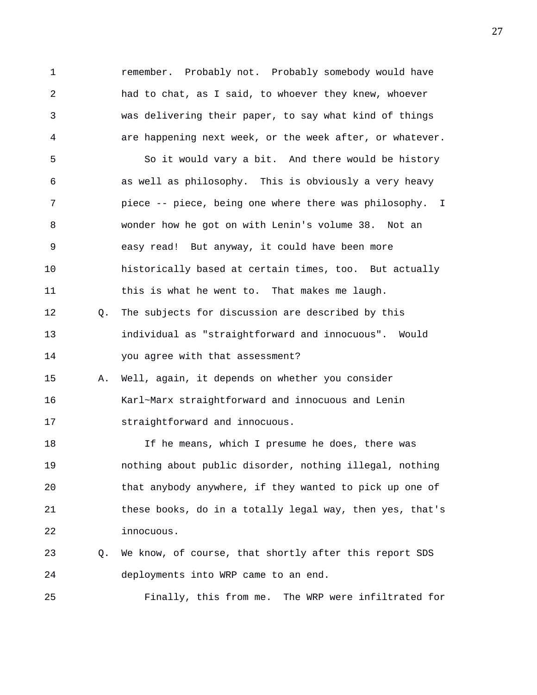1 remember. Probably not. Probably somebody would have 2 had to chat, as I said, to whoever they knew, whoever 3 was delivering their paper, to say what kind of things 4 are happening next week, or the week after, or whatever. 5 So it would vary a bit. And there would be history 6 as well as philosophy. This is obviously a very heavy 7 piece -- piece, being one where there was philosophy. I 8 wonder how he got on with Lenin's volume 38. Not an 9 easy read! But anyway, it could have been more 10 historically based at certain times, too. But actually 11 this is what he went to. That makes me laugh. 12 Q. The subjects for discussion are described by this 13 individual as "straightforward and innocuous". Would 14 you agree with that assessment? 15 A. Well, again, it depends on whether you consider 16 Karl~Marx straightforward and innocuous and Lenin 17 straightforward and innocuous. 18 If he means, which I presume he does, there was 19 nothing about public disorder, nothing illegal, nothing 20 that anybody anywhere, if they wanted to pick up one of 21 these books, do in a totally legal way, then yes, that's 22 innocuous. 23 Q. We know, of course, that shortly after this report SDS 24 deployments into WRP came to an end. 25 Finally, this from me. The WRP were infiltrated for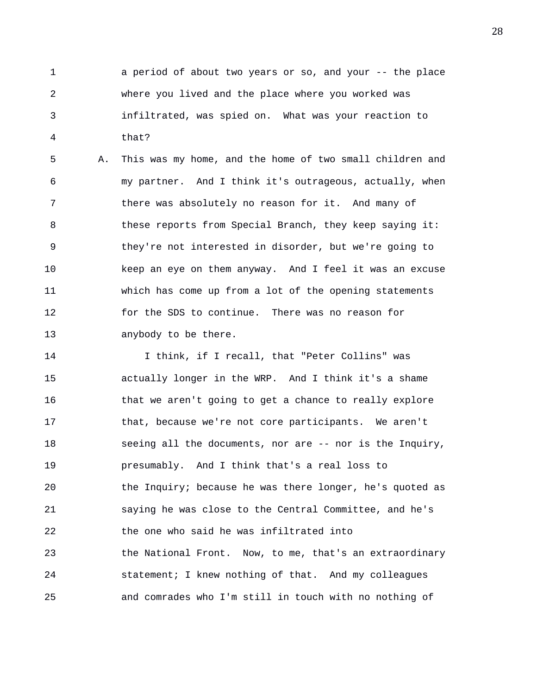1 a period of about two years or so, and your -- the place 2 where you lived and the place where you worked was 3 infiltrated, was spied on. What was your reaction to 4 that?

5 A. This was my home, and the home of two small children and 6 my partner. And I think it's outrageous, actually, when 7 there was absolutely no reason for it. And many of 8 these reports from Special Branch, they keep saying it: 9 they're not interested in disorder, but we're going to 10 keep an eye on them anyway. And I feel it was an excuse 11 which has come up from a lot of the opening statements 12 for the SDS to continue. There was no reason for 13 anybody to be there.

14 I think, if I recall, that "Peter Collins" was 15 actually longer in the WRP. And I think it's a shame 16 that we aren't going to get a chance to really explore 17 that, because we're not core participants. We aren't 18 seeing all the documents, nor are -- nor is the Inquiry, 19 presumably. And I think that's a real loss to 20 the Inquiry; because he was there longer, he's quoted as 21 saying he was close to the Central Committee, and he's 22 the one who said he was infiltrated into 23 the National Front. Now, to me, that's an extraordinary 24 statement; I knew nothing of that. And my colleagues 25 and comrades who I'm still in touch with no nothing of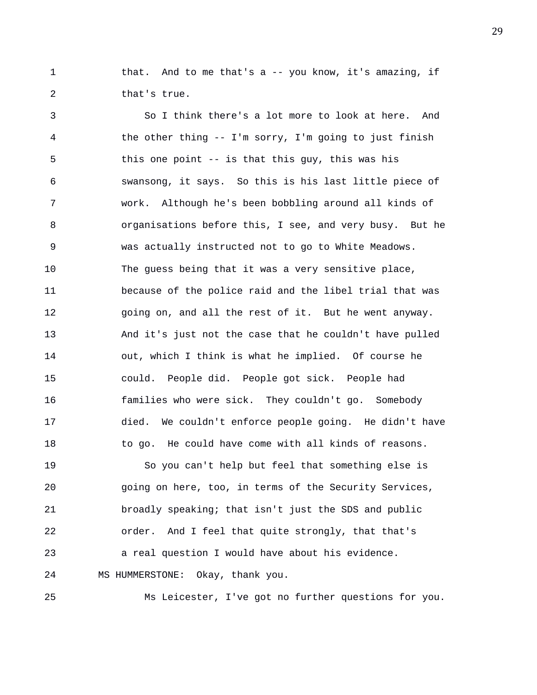1 that. And to me that's a -- you know, it's amazing, if 2 that's true.

3 So I think there's a lot more to look at here. And 4 the other thing -- I'm sorry, I'm going to just finish 5 this one point -- is that this guy, this was his 6 swansong, it says. So this is his last little piece of 7 work. Although he's been bobbling around all kinds of 8 organisations before this, I see, and very busy. But he 9 was actually instructed not to go to White Meadows. 10 The guess being that it was a very sensitive place, 11 because of the police raid and the libel trial that was 12 going on, and all the rest of it. But he went anyway. 13 And it's just not the case that he couldn't have pulled 14 out, which I think is what he implied. Of course he 15 could. People did. People got sick. People had 16 families who were sick. They couldn't go. Somebody 17 died. We couldn't enforce people going. He didn't have 18 to go. He could have come with all kinds of reasons. 19 So you can't help but feel that something else is 20 going on here, too, in terms of the Security Services, 21 broadly speaking; that isn't just the SDS and public 22 order. And I feel that quite strongly, that that's

23 a real question I would have about his evidence. 24 MS HUMMERSTONE: Okay, thank you.

25 Ms Leicester, I've got no further questions for you.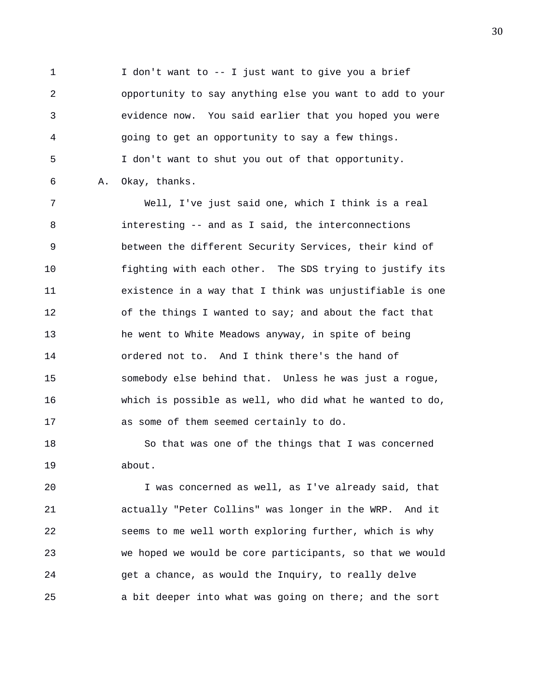1 I don't want to -- I just want to give you a brief 2 opportunity to say anything else you want to add to your 3 evidence now. You said earlier that you hoped you were 4 going to get an opportunity to say a few things. 5 I don't want to shut you out of that opportunity. 6 A. Okay, thanks.

7 Well, I've just said one, which I think is a real 8 interesting -- and as I said, the interconnections 9 between the different Security Services, their kind of 10 fighting with each other. The SDS trying to justify its 11 existence in a way that I think was unjustifiable is one 12 of the things I wanted to say; and about the fact that 13 he went to White Meadows anyway, in spite of being 14 ordered not to. And I think there's the hand of 15 somebody else behind that. Unless he was just a rogue, 16 which is possible as well, who did what he wanted to do, 17 as some of them seemed certainly to do.

18 So that was one of the things that I was concerned 19 about.

20 I was concerned as well, as I've already said, that 21 actually "Peter Collins" was longer in the WRP. And it 22 seems to me well worth exploring further, which is why 23 we hoped we would be core participants, so that we would 24 get a chance, as would the Inquiry, to really delve 25 a bit deeper into what was going on there; and the sort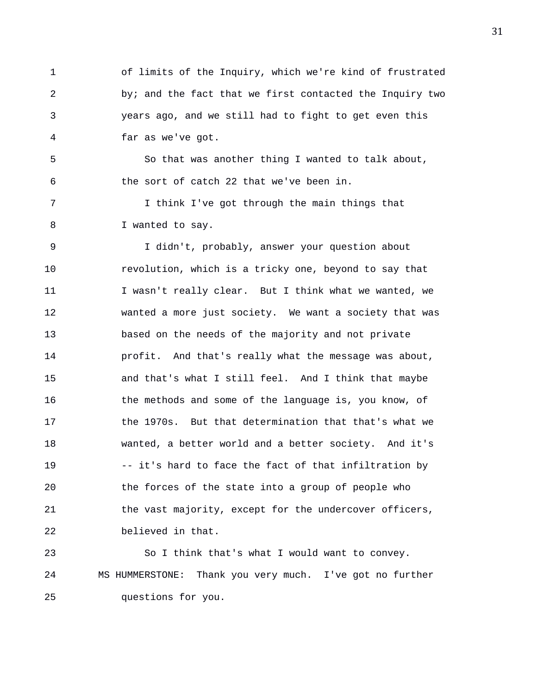1 of limits of the Inquiry, which we're kind of frustrated 2 by; and the fact that we first contacted the Inquiry two 3 years ago, and we still had to fight to get even this 4 far as we've got.

5 So that was another thing I wanted to talk about, 6 the sort of catch 22 that we've been in.

7 I think I've got through the main things that 8 I wanted to say.

9 I didn't, probably, answer your question about 10 revolution, which is a tricky one, beyond to say that 11 I wasn't really clear. But I think what we wanted, we 12 wanted a more just society. We want a society that was 13 based on the needs of the majority and not private 14 profit. And that's really what the message was about, 15 and that's what I still feel. And I think that maybe 16 the methods and some of the language is, you know, of 17 the 1970s. But that determination that that's what we 18 wanted, a better world and a better society. And it's 19 -- it's hard to face the fact of that infiltration by 20 the forces of the state into a group of people who 21 the vast majority, except for the undercover officers, 22 believed in that.

23 So I think that's what I would want to convey. 24 MS HUMMERSTONE: Thank you very much. I've got no further 25 questions for you.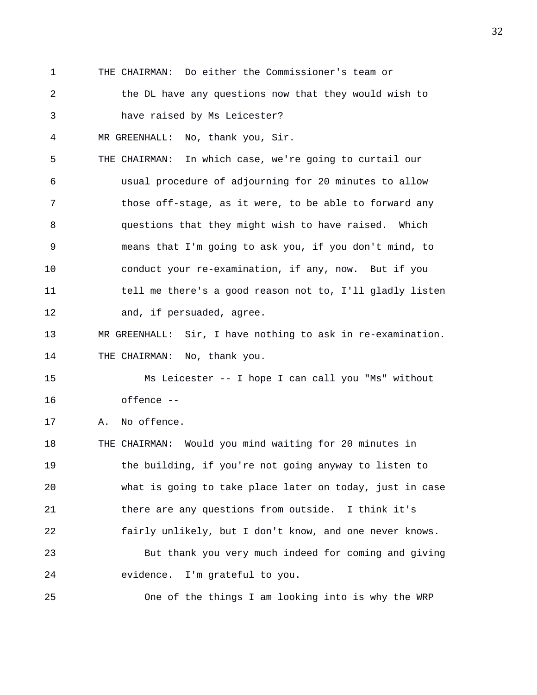- 1 THE CHAIRMAN: Do either the Commissioner's team or
- 2 the DL have any questions now that they would wish to 3 have raised by Ms Leicester?

4 MR GREENHALL: No, thank you, Sir.

- 5 THE CHAIRMAN: In which case, we're going to curtail our 6 usual procedure of adjourning for 20 minutes to allow 7 those off-stage, as it were, to be able to forward any 8 questions that they might wish to have raised. Which 9 means that I'm going to ask you, if you don't mind, to 10 conduct your re-examination, if any, now. But if you 11 tell me there's a good reason not to, I'll gladly listen 12 and, if persuaded, agree.
- 13 MR GREENHALL: Sir, I have nothing to ask in re-examination. 14 THE CHAIRMAN: No, thank you.

15 Ms Leicester -- I hope I can call you "Ms" without 16 offence --

17 A. No offence.

18 THE CHAIRMAN: Would you mind waiting for 20 minutes in 19 the building, if you're not going anyway to listen to 20 what is going to take place later on today, just in case 21 there are any questions from outside. I think it's 22 fairly unlikely, but I don't know, and one never knows. 23 But thank you very much indeed for coming and giving 24 evidence. I'm grateful to you.

25 One of the things I am looking into is why the WRP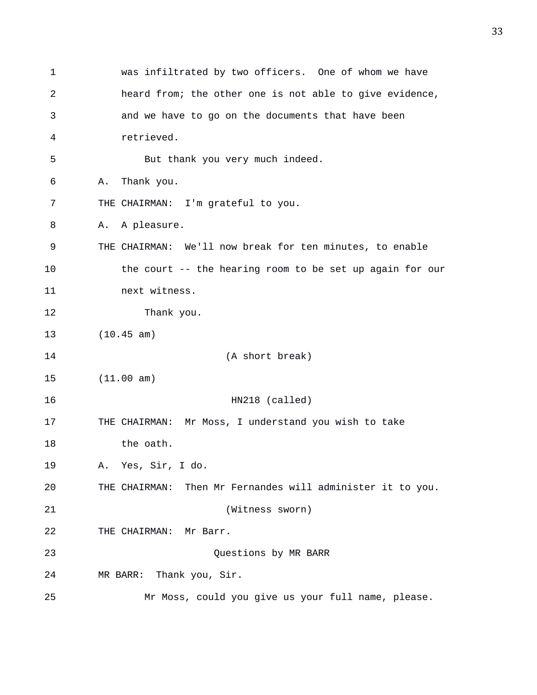1 was infiltrated by two officers. One of whom we have 2 heard from; the other one is not able to give evidence, 3 and we have to go on the documents that have been 4 retrieved. 5 But thank you very much indeed. 6 A. Thank you. 7 THE CHAIRMAN: I'm grateful to you. 8 A. A pleasure. 9 THE CHAIRMAN: We'll now break for ten minutes, to enable 10 the court -- the hearing room to be set up again for our 11 next witness. 12 Thank you. 13 (10.45 am) 14 (A short break) 15 (11.00 am) 16 HN218 (called) 17 THE CHAIRMAN: Mr Moss, I understand you wish to take 18 the oath. 19 A. Yes, Sir, I do. 20 THE CHAIRMAN: Then Mr Fernandes will administer it to you. 21 (Witness sworn) 22 THE CHAIRMAN: Mr Barr. 23 Questions by MR BARR 24 MR BARR: Thank you, Sir. 25 Mr Moss, could you give us your full name, please.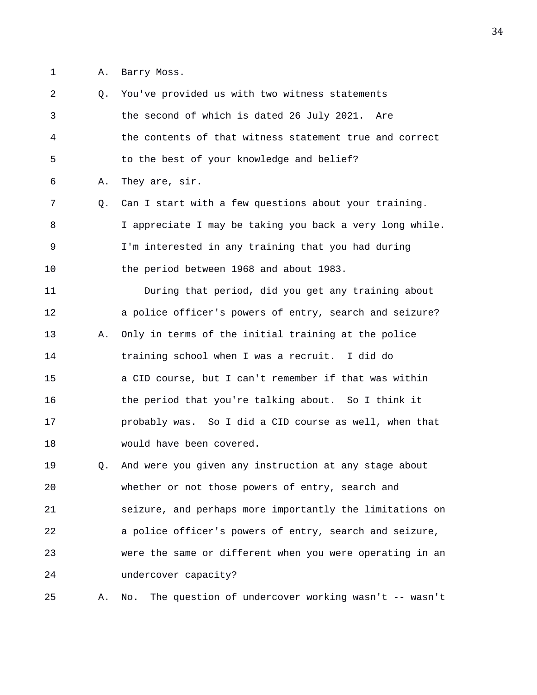1 A. Barry Moss.

2 Q. You've provided us with two witness statements 3 the second of which is dated 26 July 2021. Are 4 the contents of that witness statement true and correct 5 to the best of your knowledge and belief? 6 A. They are, sir. 7 Q. Can I start with a few questions about your training. 8 I appreciate I may be taking you back a very long while. 9 I'm interested in any training that you had during 10 the period between 1968 and about 1983. 11 During that period, did you get any training about 12 a police officer's powers of entry, search and seizure? 13 A. Only in terms of the initial training at the police 14 training school when I was a recruit. I did do 15 a CID course, but I can't remember if that was within 16 the period that you're talking about. So I think it 17 probably was. So I did a CID course as well, when that 18 would have been covered. 19 Q. And were you given any instruction at any stage about 20 whether or not those powers of entry, search and 21 seizure, and perhaps more importantly the limitations on 22 a police officer's powers of entry, search and seizure, 23 were the same or different when you were operating in an 24 undercover capacity? 25 A. No. The question of undercover working wasn't -- wasn't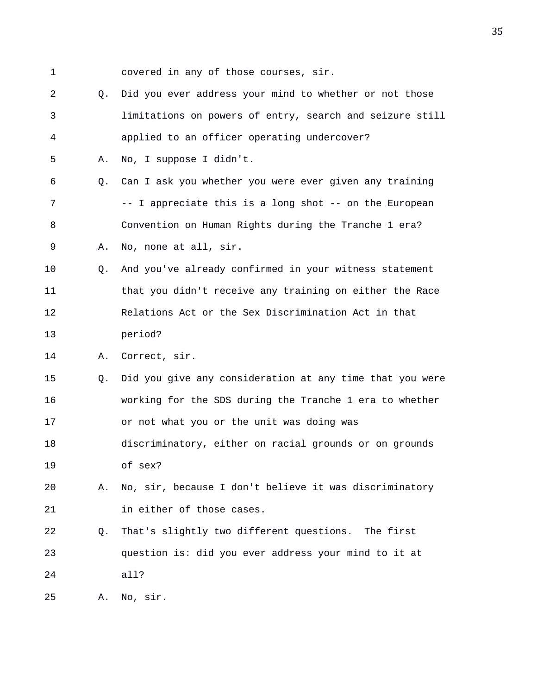1 covered in any of those courses, sir.

2 Q. Did you ever address your mind to whether or not those 3 limitations on powers of entry, search and seizure still 4 applied to an officer operating undercover? 5 A. No, I suppose I didn't. 6 Q. Can I ask you whether you were ever given any training 7 -- I appreciate this is a long shot -- on the European 8 Convention on Human Rights during the Tranche 1 era? 9 A. No, none at all, sir. 10 Q. And you've already confirmed in your witness statement 11 that you didn't receive any training on either the Race 12 Relations Act or the Sex Discrimination Act in that 13 period? 14 A. Correct, sir. 15 Q. Did you give any consideration at any time that you were 16 working for the SDS during the Tranche 1 era to whether 17 or not what you or the unit was doing was 18 discriminatory, either on racial grounds or on grounds 19 of sex? 20 A. No, sir, because I don't believe it was discriminatory 21 in either of those cases. 22 Q. That's slightly two different questions. The first 23 question is: did you ever address your mind to it at 24 all? 25 A. No, sir.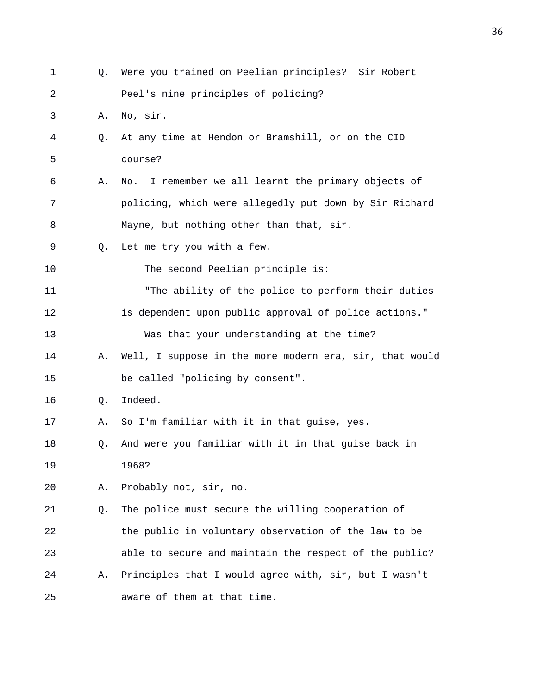| 1  | Q. | Were you trained on Peelian principles? Sir Robert      |
|----|----|---------------------------------------------------------|
| 2  |    | Peel's nine principles of policing?                     |
| 3  | Α. | No, sir.                                                |
| 4  | Q. | At any time at Hendon or Bramshill, or on the CID       |
| 5  |    | course?                                                 |
| 6  | Α. | I remember we all learnt the primary objects of<br>No.  |
| 7  |    | policing, which were allegedly put down by Sir Richard  |
| 8  |    | Mayne, but nothing other than that, sir.                |
| 9  | O. | Let me try you with a few.                              |
| 10 |    | The second Peelian principle is:                        |
| 11 |    | "The ability of the police to perform their duties      |
| 12 |    | is dependent upon public approval of police actions."   |
| 13 |    | Was that your understanding at the time?                |
| 14 | А. | Well, I suppose in the more modern era, sir, that would |
| 15 |    | be called "policing by consent".                        |
| 16 | Q. | Indeed.                                                 |
| 17 | Α. | So I'm familiar with it in that guise, yes.             |
| 18 | Q. | And were you familiar with it in that guise back in     |
| 19 |    | 1968?                                                   |
| 20 | Α. | Probably not, sir, no.                                  |
| 21 | Q. | The police must secure the willing cooperation of       |
| 22 |    | the public in voluntary observation of the law to be    |
| 23 |    | able to secure and maintain the respect of the public?  |
| 24 | Α. | Principles that I would agree with, sir, but I wasn't   |
| 25 |    | aware of them at that time.                             |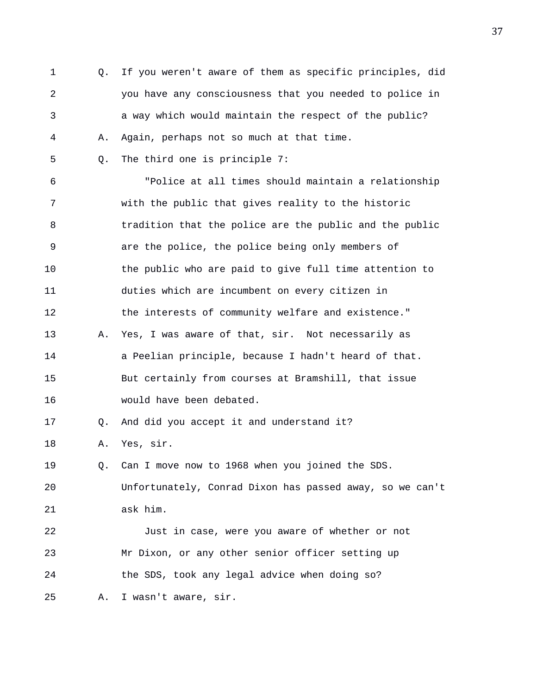1 Q. If you weren't aware of them as specific principles, did 2 you have any consciousness that you needed to police in 3 a way which would maintain the respect of the public? 4 A. Again, perhaps not so much at that time. 5 Q. The third one is principle 7: 6 "Police at all times should maintain a relationship 7 with the public that gives reality to the historic 8 tradition that the police are the public and the public 9 are the police, the police being only members of 10 the public who are paid to give full time attention to 11 duties which are incumbent on every citizen in 12 the interests of community welfare and existence." 13 A. Yes, I was aware of that, sir. Not necessarily as 14 a Peelian principle, because I hadn't heard of that. 15 But certainly from courses at Bramshill, that issue 16 would have been debated. 17 Q. And did you accept it and understand it? 18 A. Yes, sir. 19 Q. Can I move now to 1968 when you joined the SDS. 20 Unfortunately, Conrad Dixon has passed away, so we can't 21 ask him. 22 Just in case, were you aware of whether or not 23 Mr Dixon, or any other senior officer setting up 24 the SDS, took any legal advice when doing so? 25 A. I wasn't aware, sir.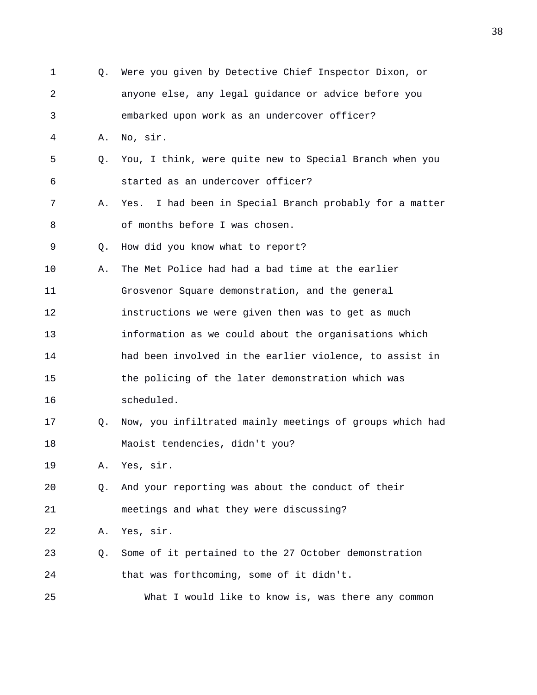| $\mathbf 1$ | 0. | Were you given by Detective Chief Inspector Dixon, or      |
|-------------|----|------------------------------------------------------------|
| 2           |    | anyone else, any legal guidance or advice before you       |
| 3           |    | embarked upon work as an undercover officer?               |
| 4           | Α. | No, sir.                                                   |
| 5           | Q. | You, I think, were quite new to Special Branch when you    |
| 6           |    | started as an undercover officer?                          |
| 7           | Α. | I had been in Special Branch probably for a matter<br>Yes. |
| 8           |    | of months before I was chosen.                             |
| 9           | Q. | How did you know what to report?                           |
| 10          | Α. | The Met Police had had a bad time at the earlier           |
| 11          |    | Grosvenor Square demonstration, and the general            |
| 12          |    | instructions we were given then was to get as much         |
| 13          |    | information as we could about the organisations which      |
| 14          |    | had been involved in the earlier violence, to assist in    |
| 15          |    | the policing of the later demonstration which was          |
| 16          |    | scheduled.                                                 |
| 17          | Q. | Now, you infiltrated mainly meetings of groups which had   |
| 18          |    | Maoist tendencies, didn't you?                             |
| 19          | Α. | Yes, sir.                                                  |
| 20          | 0. | And your reporting was about the conduct of their          |
| 21          |    | meetings and what they were discussing?                    |
| 22          | Α. | Yes, sir.                                                  |
| 23          | Q. | Some of it pertained to the 27 October demonstration       |
| 24          |    | that was forthcoming, some of it didn't.                   |
| 25          |    | What I would like to know is, was there any common         |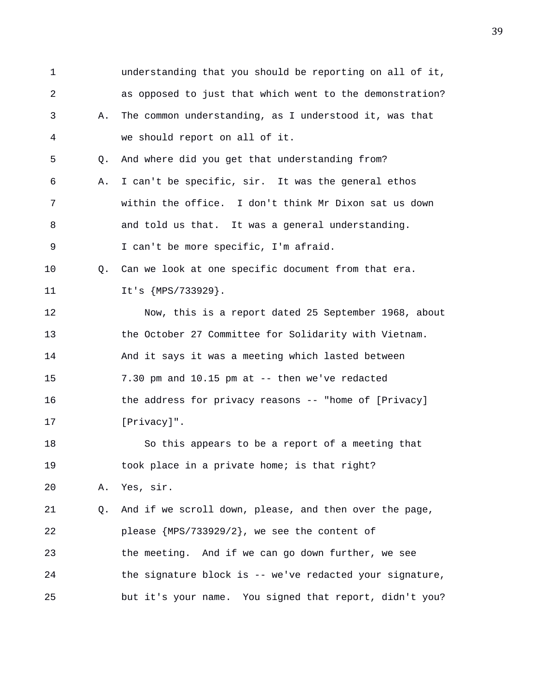1 understanding that you should be reporting on all of it, 2 as opposed to just that which went to the demonstration? 3 A. The common understanding, as I understood it, was that 4 we should report on all of it. 5 Q. And where did you get that understanding from? 6 A. I can't be specific, sir. It was the general ethos 7 within the office. I don't think Mr Dixon sat us down 8 and told us that. It was a general understanding. 9 I can't be more specific, I'm afraid. 10 Q. Can we look at one specific document from that era. 11 It's {MPS/733929}. 12 Now, this is a report dated 25 September 1968, about 13 the October 27 Committee for Solidarity with Vietnam. 14 And it says it was a meeting which lasted between 15 7.30 pm and 10.15 pm at -- then we've redacted 16 the address for privacy reasons -- "home of [Privacy] 17 [Privacy]". 18 So this appears to be a report of a meeting that 19 took place in a private home; is that right? 20 A. Yes, sir. 21 Q. And if we scroll down, please, and then over the page, 22 please {MPS/733929/2}, we see the content of 23 the meeting. And if we can go down further, we see 24 the signature block is -- we've redacted your signature, 25 but it's your name. You signed that report, didn't you?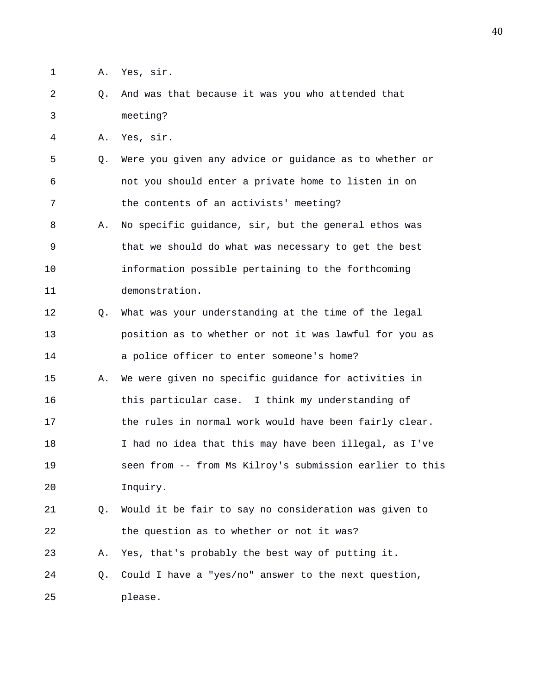- 1 A. Yes, sir.
- 2 Q. And was that because it was you who attended that 3 meeting?

4 A. Yes, sir.

- 5 Q. Were you given any advice or guidance as to whether or 6 not you should enter a private home to listen in on 7 the contents of an activists' meeting?
- 8 A. No specific guidance, sir, but the general ethos was 9 that we should do what was necessary to get the best 10 information possible pertaining to the forthcoming 11 demonstration.
- 12 Q. What was your understanding at the time of the legal 13 position as to whether or not it was lawful for you as 14 a police officer to enter someone's home?
- 15 A. We were given no specific guidance for activities in 16 this particular case. I think my understanding of 17 the rules in normal work would have been fairly clear. 18 I had no idea that this may have been illegal, as I've 19 seen from -- from Ms Kilroy's submission earlier to this 20 Inquiry.
- 21 Q. Would it be fair to say no consideration was given to 22 the question as to whether or not it was?

23 A. Yes, that's probably the best way of putting it.

24 Q. Could I have a "yes/no" answer to the next question, 25 please.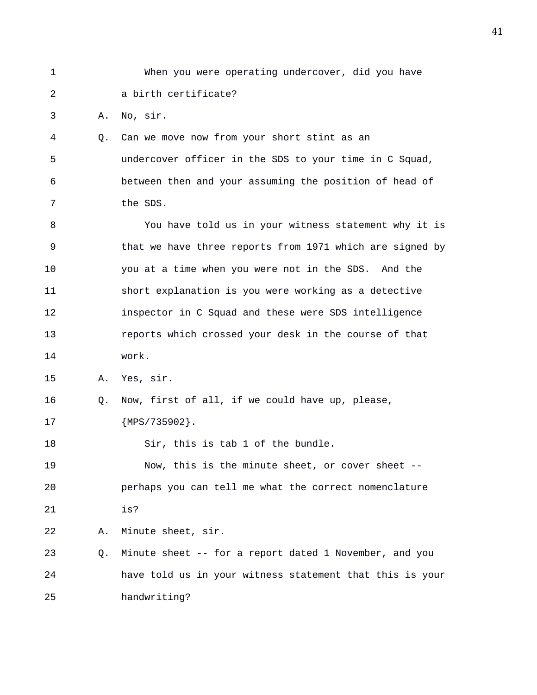| $\mathbf{1}$   |    | When you were operating undercover, did you have         |
|----------------|----|----------------------------------------------------------|
| $\overline{a}$ |    | a birth certificate?                                     |
| 3              | Α. | No, sir.                                                 |
| 4              | Q. | Can we move now from your short stint as an              |
| 5              |    | undercover officer in the SDS to your time in C Squad,   |
| 6              |    | between then and your assuming the position of head of   |
| 7              |    | the SDS.                                                 |
| 8              |    | You have told us in your witness statement why it is     |
| 9              |    | that we have three reports from 1971 which are signed by |
| 10             |    | you at a time when you were not in the SDS. And the      |
| 11             |    | short explanation is you were working as a detective     |
| 12             |    | inspector in C Squad and these were SDS intelligence     |
| 13             |    | reports which crossed your desk in the course of that    |
| 14             |    | work.                                                    |
| 15             | Α. | Yes, sir.                                                |
| 16             | Q. | Now, first of all, if we could have up, please,          |
| 17             |    | ${MPS}/735902$ .                                         |
| 18             |    | Sir, this is tab 1 of the bundle.                        |
| 19             |    | Now, this is the minute sheet, or cover sheet --         |
| 20             |    | perhaps you can tell me what the correct nomenclature    |
| 21             |    | is?                                                      |
| 22             | Α. | Minute sheet, sir.                                       |
| 23             | Q. | Minute sheet -- for a report dated 1 November, and you   |
| 24             |    | have told us in your witness statement that this is your |
| 25             |    | handwriting?                                             |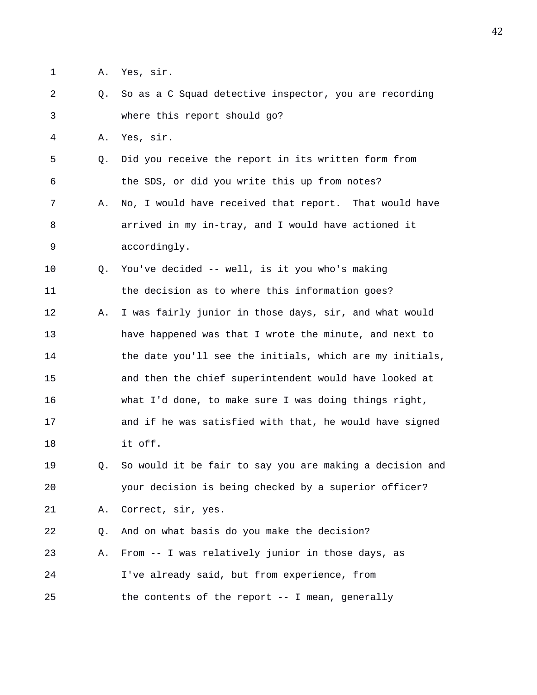- 1 A. Yes, sir.
- 2 Q. So as a C Squad detective inspector, you are recording 3 where this report should go?
- 4 A. Yes, sir.
- 5 Q. Did you receive the report in its written form from 6 the SDS, or did you write this up from notes? 7 A. No, I would have received that report. That would have
- 8 arrived in my in-tray, and I would have actioned it 9 accordingly.
- 10 Q. You've decided -- well, is it you who's making 11 the decision as to where this information goes?
- 12 A. I was fairly junior in those days, sir, and what would 13 have happened was that I wrote the minute, and next to 14 the date you'll see the initials, which are my initials, 15 and then the chief superintendent would have looked at 16 what I'd done, to make sure I was doing things right, 17 and if he was satisfied with that, he would have signed 18 it off.
- 19 Q. So would it be fair to say you are making a decision and 20 your decision is being checked by a superior officer? 21 A. Correct, sir, yes.

22 Q. And on what basis do you make the decision? 23 A. From -- I was relatively junior in those days, as

24 I've already said, but from experience, from 25 the contents of the report -- I mean, generally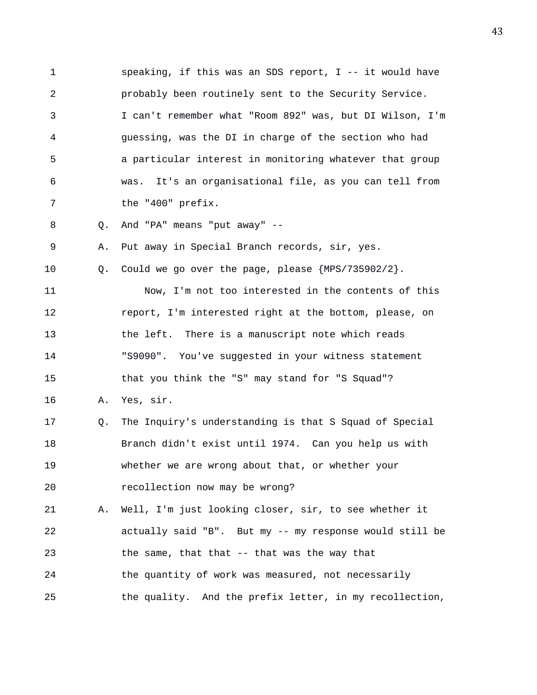1 speaking, if this was an SDS report, I -- it would have 2 probably been routinely sent to the Security Service. 3 I can't remember what "Room 892" was, but DI Wilson, I'm 4 guessing, was the DI in charge of the section who had 5 a particular interest in monitoring whatever that group 6 was. It's an organisational file, as you can tell from 7 the "400" prefix. 8 Q. And "PA" means "put away" -- 9 A. Put away in Special Branch records, sir, yes.

10 Q. Could we go over the page, please {MPS/735902/2}.

11 Now, I'm not too interested in the contents of this 12 report, I'm interested right at the bottom, please, on 13 the left. There is a manuscript note which reads 14 "S9090". You've suggested in your witness statement 15 that you think the "S" may stand for "S Squad"?

16 A. Yes, sir.

17 Q. The Inquiry's understanding is that S Squad of Special 18 Branch didn't exist until 1974. Can you help us with 19 whether we are wrong about that, or whether your 20 recollection now may be wrong?

21 A. Well, I'm just looking closer, sir, to see whether it 22 actually said "B". But my -- my response would still be 23 the same, that that -- that was the way that 24 the quantity of work was measured, not necessarily 25 the quality. And the prefix letter, in my recollection,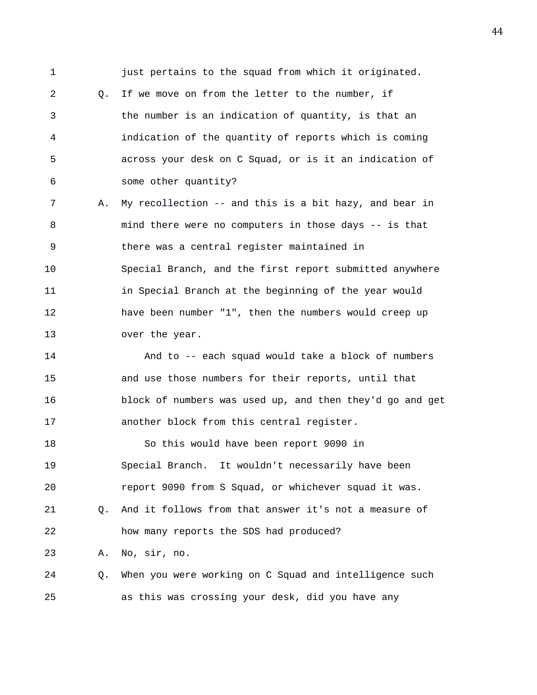1 **just pertains to the squad from which it originated.** 2 0. If we move on from the letter to the number, if 3 the number is an indication of quantity, is that an 4 indication of the quantity of reports which is coming 5 across your desk on C Squad, or is it an indication of 6 some other quantity? 7 A. My recollection -- and this is a bit hazy, and bear in 8 mind there were no computers in those days -- is that 9 there was a central register maintained in 10 Special Branch, and the first report submitted anywhere 11 in Special Branch at the beginning of the year would 12 have been number "1", then the numbers would creep up 13 over the year. 14 And to -- each squad would take a block of numbers 15 and use those numbers for their reports, until that 16 block of numbers was used up, and then they'd go and get 17 another block from this central register. 18 So this would have been report 9090 in 19 Special Branch. It wouldn't necessarily have been 20 report 9090 from S Squad, or whichever squad it was. 21 Q. And it follows from that answer it's not a measure of 22 how many reports the SDS had produced? 23 A. No, sir, no.

24 Q. When you were working on C Squad and intelligence such 25 as this was crossing your desk, did you have any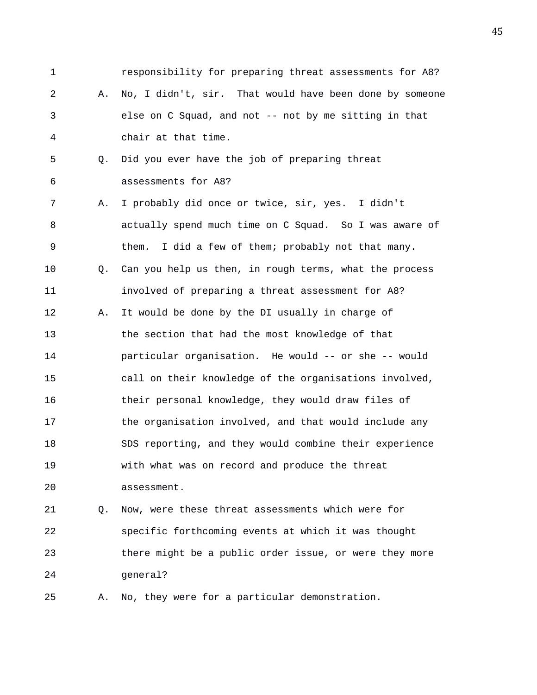1 responsibility for preparing threat assessments for A8? 2 A. No, I didn't, sir. That would have been done by someone 3 else on C Squad, and not -- not by me sitting in that 4 chair at that time. 5 Q. Did you ever have the job of preparing threat 6 assessments for A8? 7 A. I probably did once or twice, sir, yes. I didn't 8 actually spend much time on C Squad. So I was aware of 9 them. I did a few of them; probably not that many. 10 Q. Can you help us then, in rough terms, what the process 11 involved of preparing a threat assessment for A8? 12 A. It would be done by the DI usually in charge of 13 the section that had the most knowledge of that 14 particular organisation. He would -- or she -- would 15 call on their knowledge of the organisations involved, 16 their personal knowledge, they would draw files of 17 the organisation involved, and that would include any 18 SDS reporting, and they would combine their experience 19 with what was on record and produce the threat 20 assessment. 21 Q. Now, were these threat assessments which were for 22 specific forthcoming events at which it was thought

24 general?

25 A. No, they were for a particular demonstration.

23 there might be a public order issue, or were they more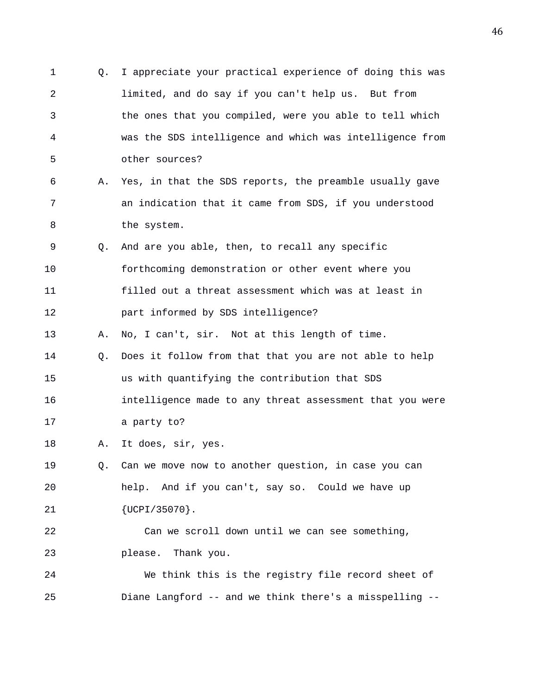1 Q. I appreciate your practical experience of doing this was 2 limited, and do say if you can't help us. But from 3 the ones that you compiled, were you able to tell which 4 was the SDS intelligence and which was intelligence from 5 other sources? 6 A. Yes, in that the SDS reports, the preamble usually gave 7 an indication that it came from SDS, if you understood 8 the system. 9 Q. And are you able, then, to recall any specific 10 forthcoming demonstration or other event where you 11 filled out a threat assessment which was at least in 12 part informed by SDS intelligence? 13 A. No, I can't, sir. Not at this length of time. 14 Q. Does it follow from that that you are not able to help 15 us with quantifying the contribution that SDS 16 intelligence made to any threat assessment that you were 17 a party to? 18 A. It does, sir, yes. 19 Q. Can we move now to another question, in case you can 20 help. And if you can't, say so. Could we have up 21 {UCPI/35070}. 22 Can we scroll down until we can see something, 23 please. Thank you. 24 We think this is the registry file record sheet of 25 Diane Langford -- and we think there's a misspelling --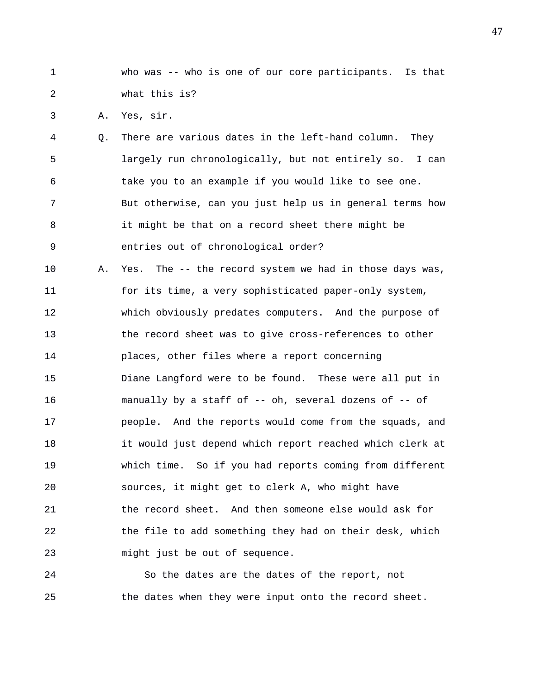1 who was -- who is one of our core participants. Is that 2 what this is?

3 A. Yes, sir.

4 Q. There are various dates in the left-hand column. They 5 largely run chronologically, but not entirely so. I can 6 take you to an example if you would like to see one. 7 But otherwise, can you just help us in general terms how 8 it might be that on a record sheet there might be 9 entries out of chronological order?

10 A. Yes. The -- the record system we had in those days was, 11 for its time, a very sophisticated paper-only system, 12 which obviously predates computers. And the purpose of 13 the record sheet was to give cross-references to other 14 places, other files where a report concerning 15 Diane Langford were to be found. These were all put in 16 manually by a staff of -- oh, several dozens of -- of 17 people. And the reports would come from the squads, and 18 it would just depend which report reached which clerk at 19 which time. So if you had reports coming from different 20 sources, it might get to clerk A, who might have 21 the record sheet. And then someone else would ask for 22 the file to add something they had on their desk, which 23 might just be out of sequence.

24 So the dates are the dates of the report, not 25 the dates when they were input onto the record sheet.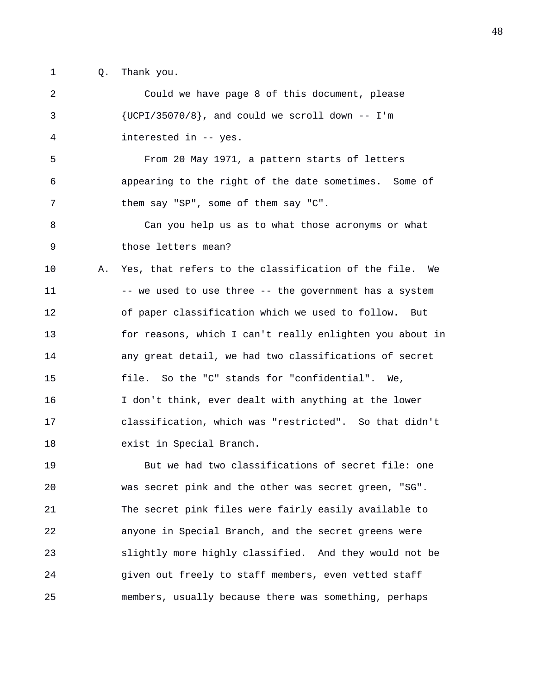1 Q. Thank you.

2 Could we have page 8 of this document, please  ${UCPI/35070/8}$ , and could we scroll down -- I'm 4 interested in -- yes. 5 From 20 May 1971, a pattern starts of letters 6 appearing to the right of the date sometimes. Some of 7 them say "SP", some of them say "C". 8 Can you help us as to what those acronyms or what 9 those letters mean? 10 A. Yes, that refers to the classification of the file. We 11 -- we used to use three -- the government has a system 12 of paper classification which we used to follow. But 13 for reasons, which I can't really enlighten you about in 14 any great detail, we had two classifications of secret 15 file. So the "C" stands for "confidential". We, 16 I don't think, ever dealt with anything at the lower 17 classification, which was "restricted". So that didn't 18 exist in Special Branch. 19 But we had two classifications of secret file: one 20 was secret pink and the other was secret green, "SG". 21 The secret pink files were fairly easily available to

22 anyone in Special Branch, and the secret greens were 23 slightly more highly classified. And they would not be 24 given out freely to staff members, even vetted staff 25 members, usually because there was something, perhaps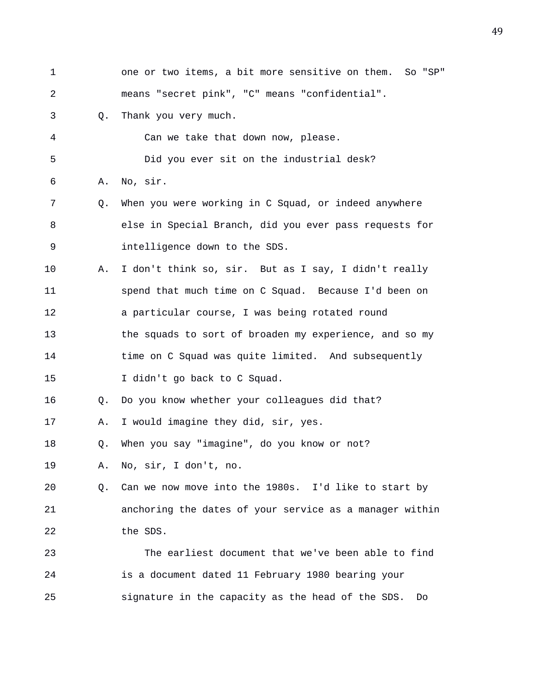1 one or two items, a bit more sensitive on them. So "SP" 2 means "secret pink", "C" means "confidential". 3 Q. Thank you very much. 4 Can we take that down now, please. 5 Did you ever sit on the industrial desk? 6 A. No, sir. 7 Q. When you were working in C Squad, or indeed anywhere 8 else in Special Branch, did you ever pass requests for 9 intelligence down to the SDS. 10 A. I don't think so, sir. But as I say, I didn't really 11 spend that much time on C Squad. Because I'd been on 12 a particular course, I was being rotated round 13 the squads to sort of broaden my experience, and so my 14 time on C Squad was quite limited. And subsequently 15 I didn't go back to C Squad. 16 Q. Do you know whether your colleagues did that? 17 A. I would imagine they did, sir, yes. 18 Q. When you say "imagine", do you know or not? 19 A. No, sir, I don't, no. 20 Q. Can we now move into the 1980s. I'd like to start by 21 anchoring the dates of your service as a manager within 22 the SDS. 23 The earliest document that we've been able to find 24 is a document dated 11 February 1980 bearing your 25 signature in the capacity as the head of the SDS. Do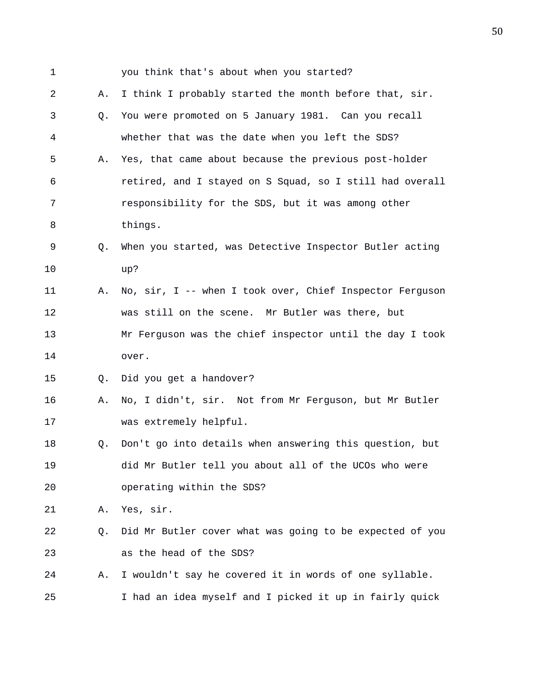| $\mathbf 1$ |    | you think that's about when you started?                 |
|-------------|----|----------------------------------------------------------|
| 2           | Α. | I think I probably started the month before that, sir.   |
| 3           | Q. | You were promoted on 5 January 1981. Can you recall      |
| 4           |    | whether that was the date when you left the SDS?         |
| 5           | Α. | Yes, that came about because the previous post-holder    |
| 6           |    | retired, and I stayed on S Squad, so I still had overall |
| 7           |    | responsibility for the SDS, but it was among other       |
| 8           |    | things.                                                  |
| 9           | Q. | When you started, was Detective Inspector Butler acting  |
| 10          |    | up?                                                      |
| 11          | Α. | No, sir, I -- when I took over, Chief Inspector Ferguson |
| 12          |    | was still on the scene. Mr Butler was there, but         |
| 13          |    | Mr Ferguson was the chief inspector until the day I took |
| 14          |    | over.                                                    |
| 15          | Q. | Did you get a handover?                                  |
| 16          | Α. | No, I didn't, sir. Not from Mr Ferguson, but Mr Butler   |
| 17          |    | was extremely helpful.                                   |
| 18          | Q. | Don't go into details when answering this question, but  |
| 19          |    | did Mr Butler tell you about all of the UCOs who were    |
| 20          |    | operating within the SDS?                                |
| 21          | Α. | Yes, sir.                                                |
| 22          | Q. | Did Mr Butler cover what was going to be expected of you |
| 23          |    | as the head of the SDS?                                  |
| 24          | Α. | I wouldn't say he covered it in words of one syllable.   |
| 25          |    | I had an idea myself and I picked it up in fairly quick  |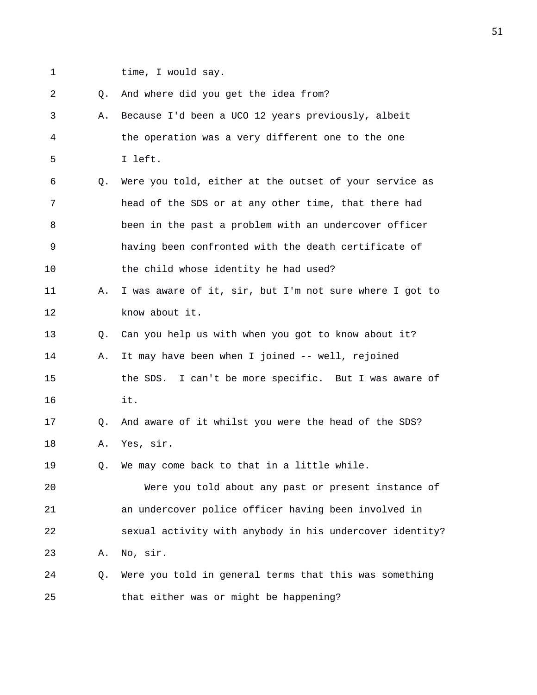1 time, I would say.

| 2  | Q. | And where did you get the idea from?                     |
|----|----|----------------------------------------------------------|
| 3  | Α. | Because I'd been a UCO 12 years previously, albeit       |
| 4  |    | the operation was a very different one to the one        |
| 5  |    | I left.                                                  |
| 6  | Q. | Were you told, either at the outset of your service as   |
| 7  |    | head of the SDS or at any other time, that there had     |
| 8  |    | been in the past a problem with an undercover officer    |
| 9  |    | having been confronted with the death certificate of     |
| 10 |    | the child whose identity he had used?                    |
| 11 | Α. | I was aware of it, sir, but I'm not sure where I got to  |
| 12 |    | know about it.                                           |
| 13 | Q. | Can you help us with when you got to know about it?      |
| 14 | Α. | It may have been when I joined -- well, rejoined         |
| 15 |    | the SDS. I can't be more specific. But I was aware of    |
| 16 |    | it.                                                      |
| 17 | O. | And aware of it whilst you were the head of the SDS?     |
| 18 | Α. | Yes, sir.                                                |
| 19 | Q. | We may come back to that in a little while.              |
| 20 |    | Were you told about any past or present instance of      |
| 21 |    | an undercover police officer having been involved in     |
| 22 |    | sexual activity with anybody in his undercover identity? |
| 23 | Α. | No, sir.                                                 |
| 24 | Q. | Were you told in general terms that this was something   |
| 25 |    | that either was or might be happening?                   |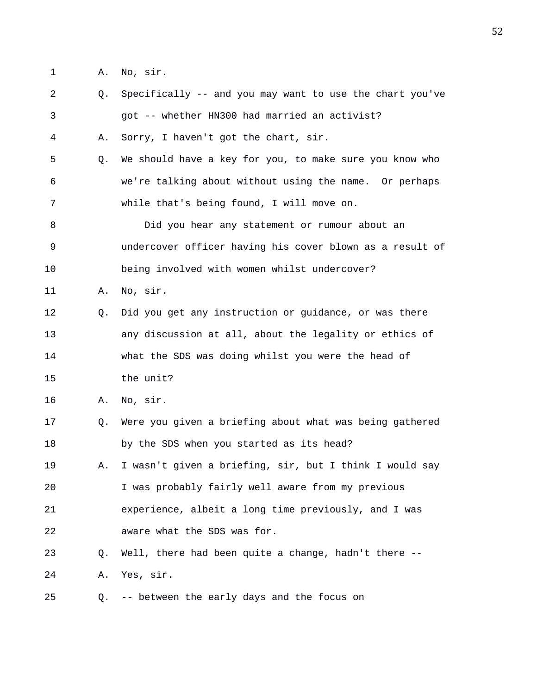1 A. No, sir.

| $\mathbf{2}$   | Q. | Specifically -- and you may want to use the chart you've |
|----------------|----|----------------------------------------------------------|
| $\mathfrak{Z}$ |    | got -- whether HN300 had married an activist?            |
| 4              | Α. | Sorry, I haven't got the chart, sir.                     |
| 5              | Q. | We should have a key for you, to make sure you know who  |
| 6              |    | we're talking about without using the name. Or perhaps   |
| 7              |    | while that's being found, I will move on.                |
| 8              |    | Did you hear any statement or rumour about an            |
| 9              |    | undercover officer having his cover blown as a result of |
| 10             |    | being involved with women whilst undercover?             |
| 11             | Α. | No, sir.                                                 |
| 12             | O. | Did you get any instruction or guidance, or was there    |
| 13             |    | any discussion at all, about the legality or ethics of   |
| 14             |    | what the SDS was doing whilst you were the head of       |
| 15             |    | the unit?                                                |
| 16             | Α. | No, sir.                                                 |
| 17             | Q. | Were you given a briefing about what was being gathered  |
| 18             |    | by the SDS when you started as its head?                 |
| 19             | Α. | I wasn't given a briefing, sir, but I think I would say  |
| 20             |    | I was probably fairly well aware from my previous        |
| 21             |    | experience, albeit a long time previously, and I was     |
| 22             |    | aware what the SDS was for.                              |
| 23             | O. | Well, there had been quite a change, hadn't there --     |
| 24             | Α. | Yes, sir.                                                |
| 25             | Q. | -- between the early days and the focus on               |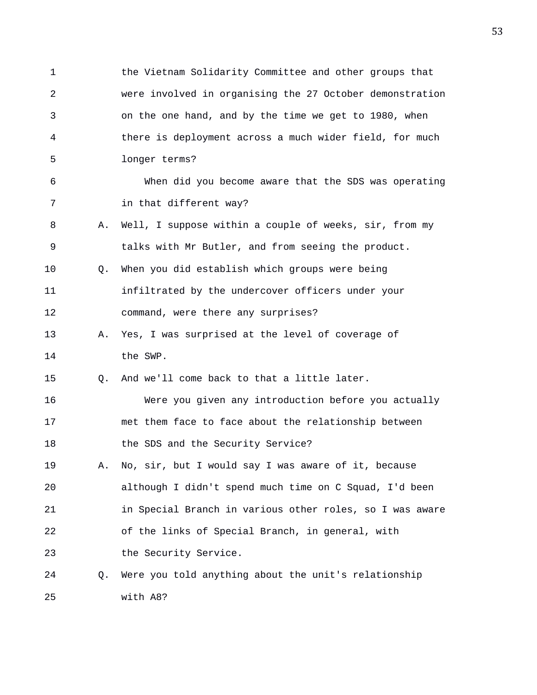1 the Vietnam Solidarity Committee and other groups that 2 were involved in organising the 27 October demonstration 3 on the one hand, and by the time we get to 1980, when 4 there is deployment across a much wider field, for much 5 longer terms? 6 When did you become aware that the SDS was operating 7 in that different way? 8 A. Well, I suppose within a couple of weeks, sir, from my 9 talks with Mr Butler, and from seeing the product. 10 Q. When you did establish which groups were being 11 infiltrated by the undercover officers under your 12 command, were there any surprises? 13 A. Yes, I was surprised at the level of coverage of 14 the SWP. 15 Q. And we'll come back to that a little later. 16 Were you given any introduction before you actually 17 met them face to face about the relationship between 18 the SDS and the Security Service? 19 A. No, sir, but I would say I was aware of it, because 20 although I didn't spend much time on C Squad, I'd been 21 in Special Branch in various other roles, so I was aware 22 of the links of Special Branch, in general, with 23 the Security Service. 24 Q. Were you told anything about the unit's relationship 25 with A8?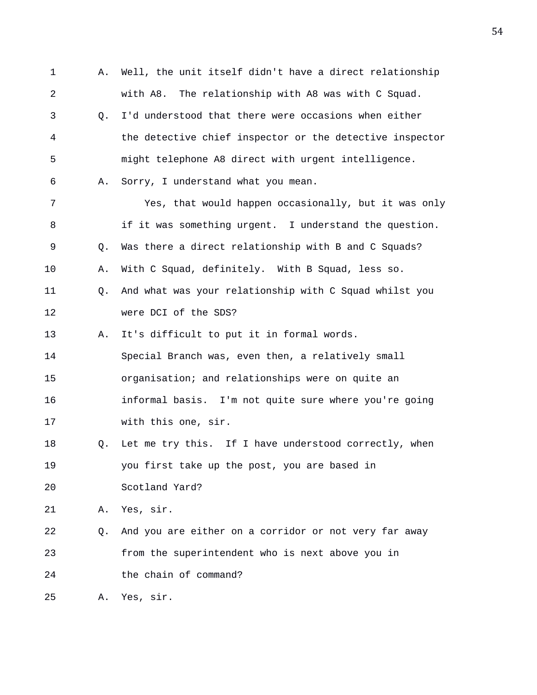1 A. Well, the unit itself didn't have a direct relationship 2 with A8. The relationship with A8 was with C Squad. 3 Q. I'd understood that there were occasions when either 4 the detective chief inspector or the detective inspector 5 might telephone A8 direct with urgent intelligence. 6 A. Sorry, I understand what you mean. 7 Yes, that would happen occasionally, but it was only 8 if it was something urgent. I understand the question. 9 Q. Was there a direct relationship with B and C Squads? 10 A. With C Squad, definitely. With B Squad, less so. 11 Q. And what was your relationship with C Squad whilst you 12 were DCI of the SDS? 13 A. It's difficult to put it in formal words. 14 Special Branch was, even then, a relatively small 15 organisation; and relationships were on quite an 16 informal basis. I'm not quite sure where you're going 17 with this one, sir. 18 Q. Let me try this. If I have understood correctly, when 19 you first take up the post, you are based in 20 Scotland Yard? 21 A. Yes, sir. 22 Q. And you are either on a corridor or not very far away 23 from the superintendent who is next above you in 24 the chain of command? 25 A. Yes, sir.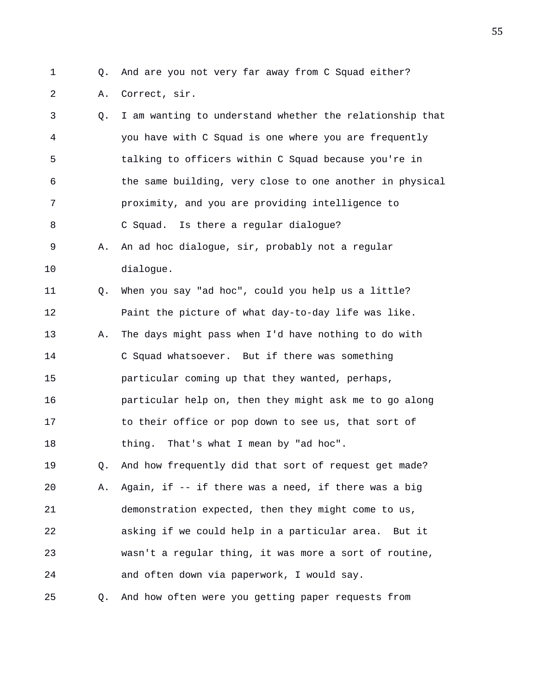- 
- 1 Q. And are you not very far away from C Squad either?
	- 2 A. Correct, sir.

3 Q. I am wanting to understand whether the relationship that 4 you have with C Squad is one where you are frequently 5 talking to officers within C Squad because you're in 6 the same building, very close to one another in physical 7 proximity, and you are providing intelligence to 8 C Squad. Is there a regular dialogue? 9 A. An ad hoc dialogue, sir, probably not a regular 10 dialogue. 11 Q. When you say "ad hoc", could you help us a little? 12 Paint the picture of what day-to-day life was like. 13 A. The days might pass when I'd have nothing to do with 14 C Squad whatsoever. But if there was something 15 particular coming up that they wanted, perhaps, 16 particular help on, then they might ask me to go along 17 to their office or pop down to see us, that sort of 18 thing. That's what I mean by "ad hoc". 19 Q. And how frequently did that sort of request get made? 20 A. Again, if -- if there was a need, if there was a big 21 demonstration expected, then they might come to us, 22 asking if we could help in a particular area. But it 23 wasn't a regular thing, it was more a sort of routine, 24 and often down via paperwork, I would say. 25 Q. And how often were you getting paper requests from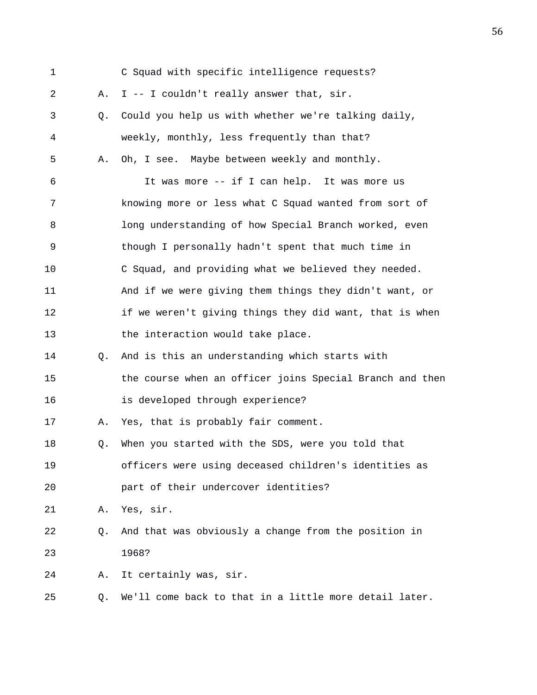| $\mathbf 1$ |    | C Squad with specific intelligence requests?             |
|-------------|----|----------------------------------------------------------|
| 2           | Α. | I -- I couldn't really answer that, sir.                 |
| 3           | Q. | Could you help us with whether we're talking daily,      |
| 4           |    | weekly, monthly, less frequently than that?              |
| 5           | Α. | Oh, I see. Maybe between weekly and monthly.             |
| 6           |    | It was more -- if I can help. It was more us             |
| 7           |    | knowing more or less what C Squad wanted from sort of    |
| 8           |    | long understanding of how Special Branch worked, even    |
| 9           |    | though I personally hadn't spent that much time in       |
| 10          |    | C Squad, and providing what we believed they needed.     |
| 11          |    | And if we were giving them things they didn't want, or   |
| 12          |    | if we weren't giving things they did want, that is when  |
| 13          |    | the interaction would take place.                        |
| 14          | Q. | And is this an understanding which starts with           |
| 15          |    | the course when an officer joins Special Branch and then |
| 16          |    | is developed through experience?                         |
| 17          | Α. | Yes, that is probably fair comment.                      |
| 18          | Q. | When you started with the SDS, were you told that        |
| 19          |    | officers were using deceased children's identities as    |
| 20          |    | part of their undercover identities?                     |
| 21          | Α. | Yes, sir.                                                |
| 22          | Q. | And that was obviously a change from the position in     |
| 23          |    | 1968?                                                    |
| 24          | Α. | It certainly was, sir.                                   |
| 25          | Q. | We'll come back to that in a little more detail later.   |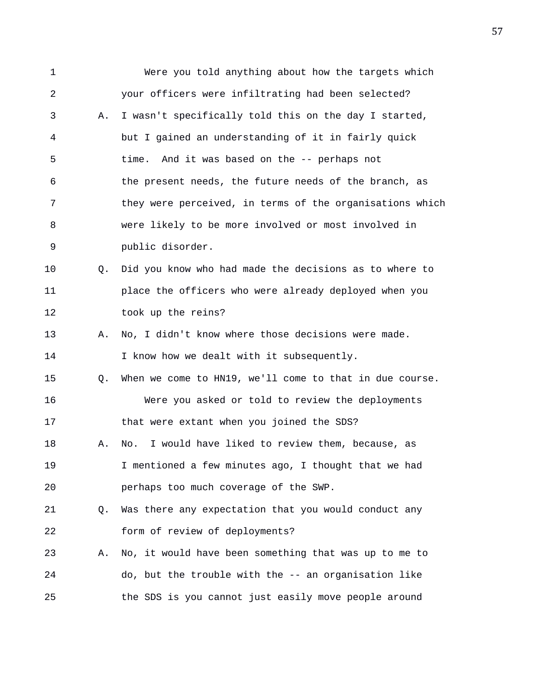1 Were you told anything about how the targets which 2 your officers were infiltrating had been selected? 3 A. I wasn't specifically told this on the day I started, 4 but I gained an understanding of it in fairly quick 5 time. And it was based on the -- perhaps not 6 the present needs, the future needs of the branch, as 7 they were perceived, in terms of the organisations which 8 were likely to be more involved or most involved in 9 public disorder. 10 Q. Did you know who had made the decisions as to where to 11 place the officers who were already deployed when you 12 took up the reins? 13 A. No, I didn't know where those decisions were made. 14 I know how we dealt with it subsequently. 15 Q. When we come to HN19, we'll come to that in due course. 16 Were you asked or told to review the deployments 17 that were extant when you joined the SDS? 18 A. No. I would have liked to review them, because, as 19 I mentioned a few minutes ago, I thought that we had 20 perhaps too much coverage of the SWP. 21 Q. Was there any expectation that you would conduct any 22 form of review of deployments? 23 A. No, it would have been something that was up to me to 24 do, but the trouble with the -- an organisation like 25 the SDS is you cannot just easily move people around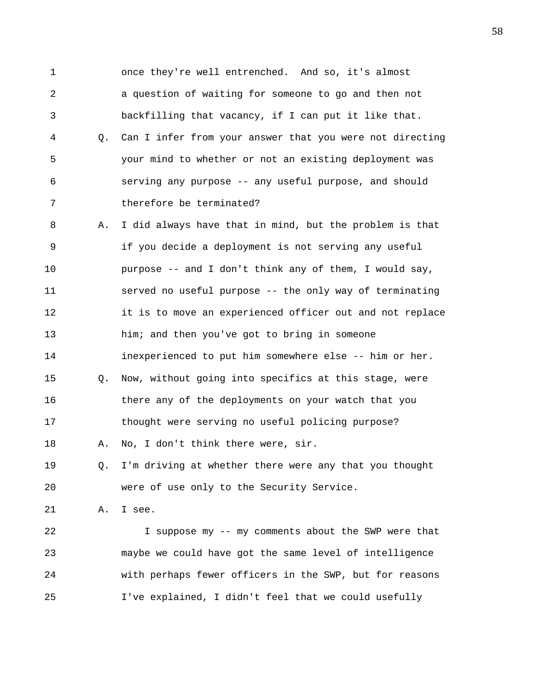1 once they're well entrenched. And so, it's almost 2 a question of waiting for someone to go and then not 3 backfilling that vacancy, if I can put it like that. 4 Q. Can I infer from your answer that you were not directing 5 your mind to whether or not an existing deployment was 6 serving any purpose -- any useful purpose, and should 7 therefore be terminated? 8 A. I did always have that in mind, but the problem is that 9 if you decide a deployment is not serving any useful 10 purpose -- and I don't think any of them, I would say, 11 served no useful purpose -- the only way of terminating 12 it is to move an experienced officer out and not replace 13 him; and then you've got to bring in someone 14 inexperienced to put him somewhere else -- him or her.

15 Q. Now, without going into specifics at this stage, were 16 there any of the deployments on your watch that you 17 thought were serving no useful policing purpose? 18 A. No, I don't think there were, sir.

19 Q. I'm driving at whether there were any that you thought 20 were of use only to the Security Service.

21 A. I see.

22 I suppose my -- my comments about the SWP were that 23 maybe we could have got the same level of intelligence 24 with perhaps fewer officers in the SWP, but for reasons 25 I've explained, I didn't feel that we could usefully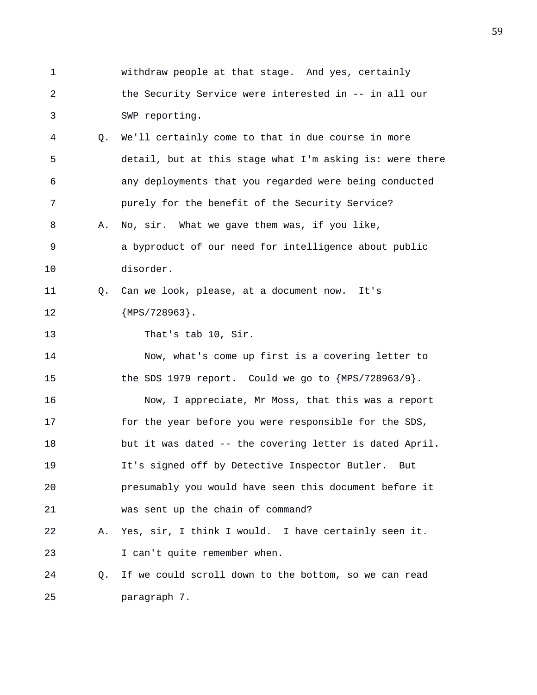1 withdraw people at that stage. And yes, certainly 2 the Security Service were interested in -- in all our 3 SWP reporting. 4 Q. We'll certainly come to that in due course in more 5 detail, but at this stage what I'm asking is: were there 6 any deployments that you regarded were being conducted 7 purely for the benefit of the Security Service? 8 A. No, sir. What we gave them was, if you like, 9 a byproduct of our need for intelligence about public 10 disorder. 11 Q. Can we look, please, at a document now. It's 12 {MPS/728963}. 13 That's tab 10, Sir. 14 Now, what's come up first is a covering letter to 15 the SDS 1979 report. Could we go to  ${MPS/728963/9}$ . 16 Now, I appreciate, Mr Moss, that this was a report 17 for the year before you were responsible for the SDS, 18 but it was dated -- the covering letter is dated April. 19 It's signed off by Detective Inspector Butler. But 20 presumably you would have seen this document before it 21 was sent up the chain of command? 22 A. Yes, sir, I think I would. I have certainly seen it. 23 I can't quite remember when. 24 Q. If we could scroll down to the bottom, so we can read 25 paragraph 7.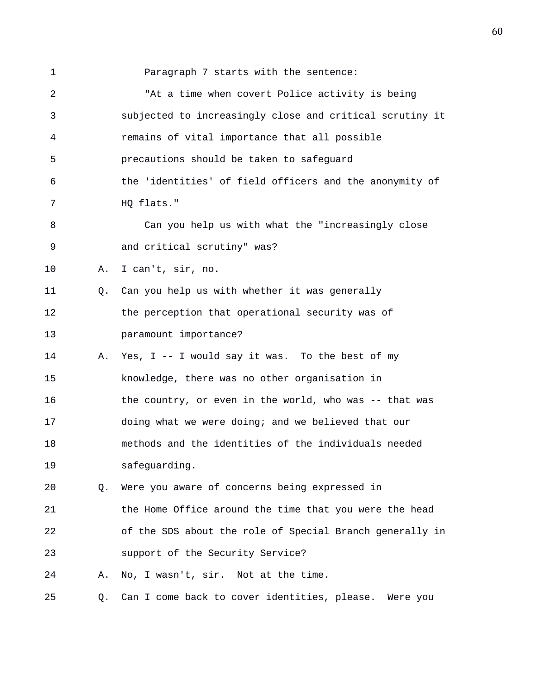1 **Paragraph 7 starts with the sentence:** 2 "At a time when covert Police activity is being 3 subjected to increasingly close and critical scrutiny it 4 remains of vital importance that all possible 5 precautions should be taken to safeguard 6 the 'identities' of field officers and the anonymity of 7 HQ flats." 8 Can you help us with what the "increasingly close 9 and critical scrutiny" was? 10 A. I can't, sir, no. 11 Q. Can you help us with whether it was generally 12 the perception that operational security was of 13 paramount importance? 14 A. Yes, I -- I would say it was. To the best of my 15 knowledge, there was no other organisation in 16 the country, or even in the world, who was -- that was 17 doing what we were doing; and we believed that our 18 methods and the identities of the individuals needed 19 safeguarding. 20 Q. Were you aware of concerns being expressed in 21 the Home Office around the time that you were the head 22 of the SDS about the role of Special Branch generally in 23 support of the Security Service? 24 A. No, I wasn't, sir. Not at the time. 25 Q. Can I come back to cover identities, please. Were you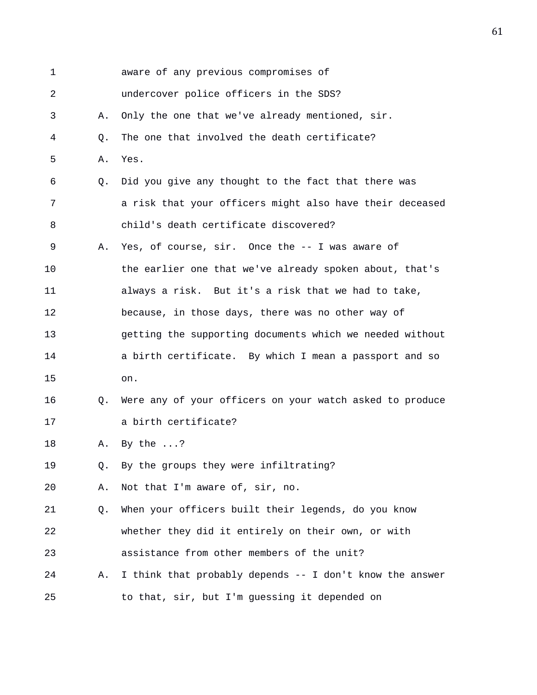| $\mathbf 1$ |    | aware of any previous compromises of                     |
|-------------|----|----------------------------------------------------------|
| 2           |    | undercover police officers in the SDS?                   |
| 3           | Α. | Only the one that we've already mentioned, sir.          |
| 4           | Q. | The one that involved the death certificate?             |
| 5           | Α. | Yes.                                                     |
| 6           | Q. | Did you give any thought to the fact that there was      |
| 7           |    | a risk that your officers might also have their deceased |
| 8           |    | child's death certificate discovered?                    |
| 9           | Α. | Yes, of course, sir. Once the -- I was aware of          |
| 10          |    | the earlier one that we've already spoken about, that's  |
| 11          |    | always a risk. But it's a risk that we had to take,      |
| 12          |    | because, in those days, there was no other way of        |
| 13          |    | getting the supporting documents which we needed without |
| 14          |    | a birth certificate. By which I mean a passport and so   |
| 15          |    | on.                                                      |
| 16          | Q. | Were any of your officers on your watch asked to produce |
| 17          |    | a birth certificate?                                     |
| 18          | Α. | By the $\ldots$ ?                                        |
| 19          | Q. | By the groups they were infiltrating?                    |
| 20          | Α. | Not that I'm aware of, sir, no.                          |
| 21          | Q. | When your officers built their legends, do you know      |
| 22          |    | whether they did it entirely on their own, or with       |
| 23          |    | assistance from other members of the unit?               |
| 24          | Α. | I think that probably depends -- I don't know the answer |
| 25          |    | to that, sir, but I'm guessing it depended on            |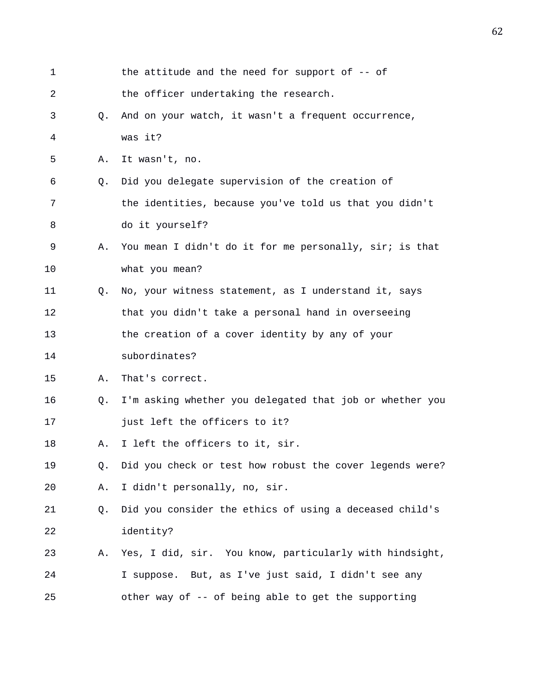| 1  |    | the attitude and the need for support of $-$ - of        |
|----|----|----------------------------------------------------------|
| 2  |    | the officer undertaking the research.                    |
| 3  | O. | And on your watch, it wasn't a frequent occurrence,      |
| 4  |    | was it?                                                  |
| 5  | Α. | It wasn't, no.                                           |
| 6  | Q. | Did you delegate supervision of the creation of          |
| 7  |    | the identities, because you've told us that you didn't   |
| 8  |    | do it yourself?                                          |
| 9  | Α. | You mean I didn't do it for me personally, sir; is that  |
| 10 |    | what you mean?                                           |
| 11 | Q. | No, your witness statement, as I understand it, says     |
| 12 |    | that you didn't take a personal hand in overseeing       |
| 13 |    | the creation of a cover identity by any of your          |
| 14 |    | subordinates?                                            |
| 15 | Α. | That's correct.                                          |
| 16 | Q. | I'm asking whether you delegated that job or whether you |
| 17 |    | just left the officers to it?                            |
| 18 | Α. | I left the officers to it, sir.                          |
| 19 | Q. | Did you check or test how robust the cover legends were? |
| 20 | Α. | I didn't personally, no, sir.                            |
| 21 | Q. | Did you consider the ethics of using a deceased child's  |
| 22 |    | identity?                                                |
| 23 | Α. | Yes, I did, sir. You know, particularly with hindsight,  |
| 24 |    | I suppose. But, as I've just said, I didn't see any      |
| 25 |    | other way of -- of being able to get the supporting      |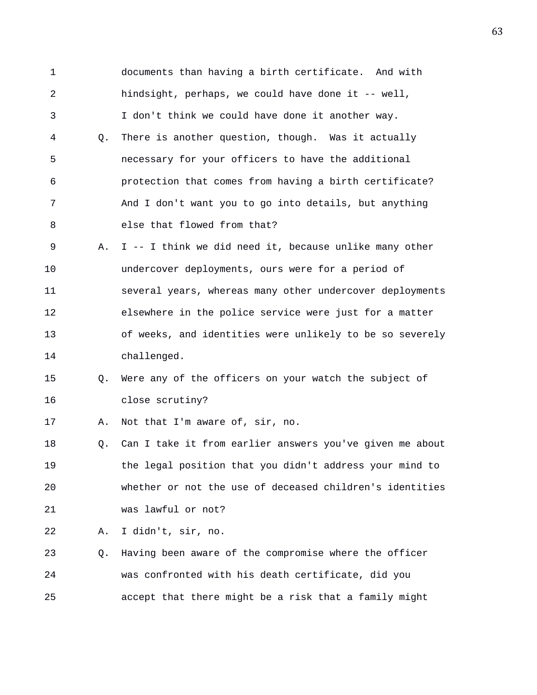1 documents than having a birth certificate. And with 2 hindsight, perhaps, we could have done it -- well, 3 I don't think we could have done it another way. 4 Q. There is another question, though. Was it actually 5 necessary for your officers to have the additional 6 protection that comes from having a birth certificate? 7 And I don't want you to go into details, but anything 8 else that flowed from that? 9 A. I -- I think we did need it, because unlike many other 10 undercover deployments, ours were for a period of 11 several years, whereas many other undercover deployments 12 elsewhere in the police service were just for a matter 13 of weeks, and identities were unlikely to be so severely 14 challenged. 15 Q. Were any of the officers on your watch the subject of 16 close scrutiny? 17 A. Not that I'm aware of, sir, no. 18 Q. Can I take it from earlier answers you've given me about 19 the legal position that you didn't address your mind to 20 whether or not the use of deceased children's identities 21 was lawful or not? 22 A. I didn't, sir, no.

23 Q. Having been aware of the compromise where the officer 24 was confronted with his death certificate, did you 25 accept that there might be a risk that a family might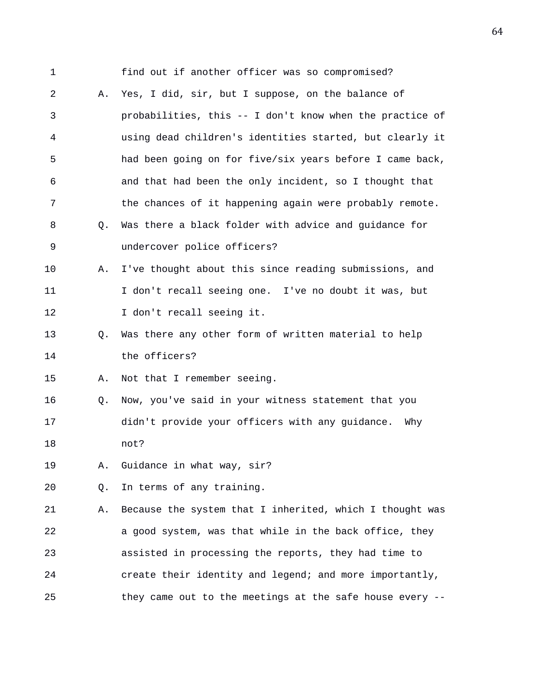1 find out if another officer was so compromised? 2 A. Yes, I did, sir, but I suppose, on the balance of 3 probabilities, this -- I don't know when the practice of 4 using dead children's identities started, but clearly it 5 had been going on for five/six years before I came back, 6 and that had been the only incident, so I thought that 7 the chances of it happening again were probably remote. 8 Q. Was there a black folder with advice and guidance for 9 undercover police officers? 10 A. I've thought about this since reading submissions, and 11 I don't recall seeing one. I've no doubt it was, but 12 I don't recall seeing it. 13 Q. Was there any other form of written material to help 14 the officers? 15 A. Not that I remember seeing. 16 Q. Now, you've said in your witness statement that you 17 didn't provide your officers with any guidance. Why 18 not? 19 A. Guidance in what way, sir? 20 Q. In terms of any training. 21 A. Because the system that I inherited, which I thought was 22 a good system, was that while in the back office, they 23 assisted in processing the reports, they had time to 24 create their identity and legend; and more importantly, 25 they came out to the meetings at the safe house every --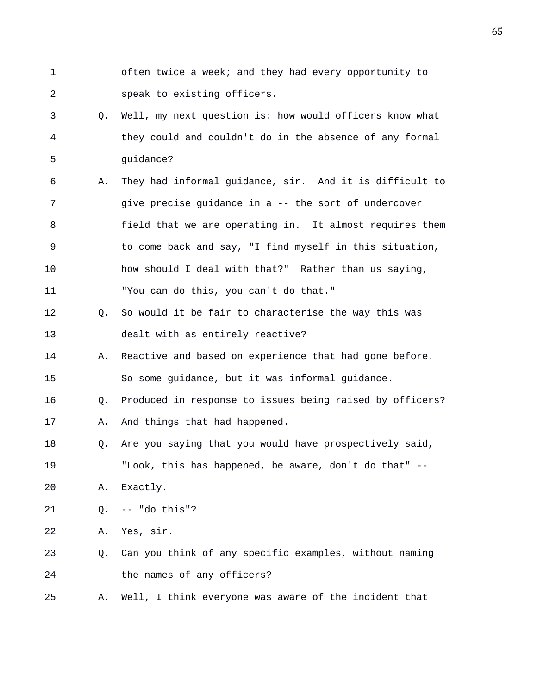- 1 often twice a week; and they had every opportunity to 2 speak to existing officers.
- 3 Q. Well, my next question is: how would officers know what 4 they could and couldn't do in the absence of any formal 5 guidance?
- 6 A. They had informal guidance, sir. And it is difficult to 7 give precise guidance in a -- the sort of undercover 8 field that we are operating in. It almost requires them 9 to come back and say, "I find myself in this situation, 10 how should I deal with that?" Rather than us saying, 11 "You can do this, you can't do that."
- 12 Q. So would it be fair to characterise the way this was 13 dealt with as entirely reactive?
- 14 A. Reactive and based on experience that had gone before. 15 So some guidance, but it was informal guidance.
- 16 Q. Produced in response to issues being raised by officers?
- 17 A. And things that had happened.
- 18 Q. Are you saying that you would have prospectively said, 19 "Look, this has happened, be aware, don't do that" --
- 20 A. Exactly.
- 21 Q. -- "do this"?

22 A. Yes, sir.

- 23 Q. Can you think of any specific examples, without naming 24 the names of any officers?
- 25 A. Well, I think everyone was aware of the incident that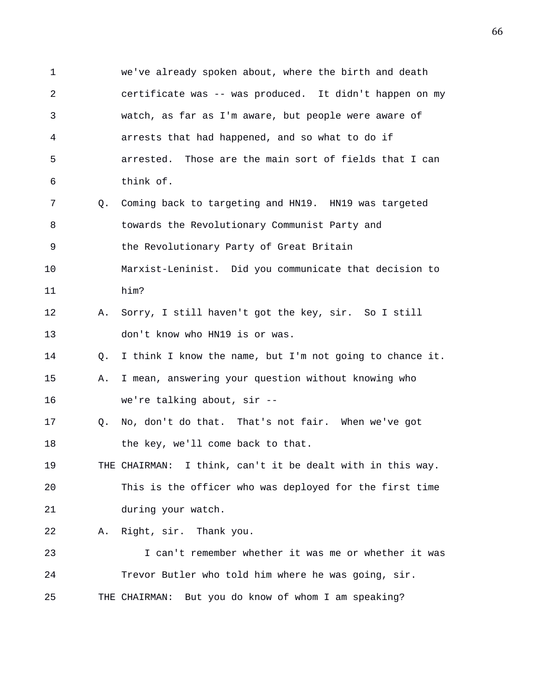1 we've already spoken about, where the birth and death 2 certificate was -- was produced. It didn't happen on my 3 watch, as far as I'm aware, but people were aware of 4 arrests that had happened, and so what to do if 5 arrested. Those are the main sort of fields that I can 6 think of. 7 Q. Coming back to targeting and HN19. HN19 was targeted 8 towards the Revolutionary Communist Party and 9 the Revolutionary Party of Great Britain 10 Marxist-Leninist. Did you communicate that decision to 11 him? 12 A. Sorry, I still haven't got the key, sir. So I still 13 don't know who HN19 is or was. 14 Q. I think I know the name, but I'm not going to chance it. 15 A. I mean, answering your question without knowing who 16 we're talking about, sir -- 17 Q. No, don't do that. That's not fair. When we've got 18 the key, we'll come back to that. 19 THE CHAIRMAN: I think, can't it be dealt with in this way. 20 This is the officer who was deployed for the first time 21 during your watch. 22 A. Right, sir. Thank you. 23 I can't remember whether it was me or whether it was 24 Trevor Butler who told him where he was going, sir. 25 THE CHAIRMAN: But you do know of whom I am speaking?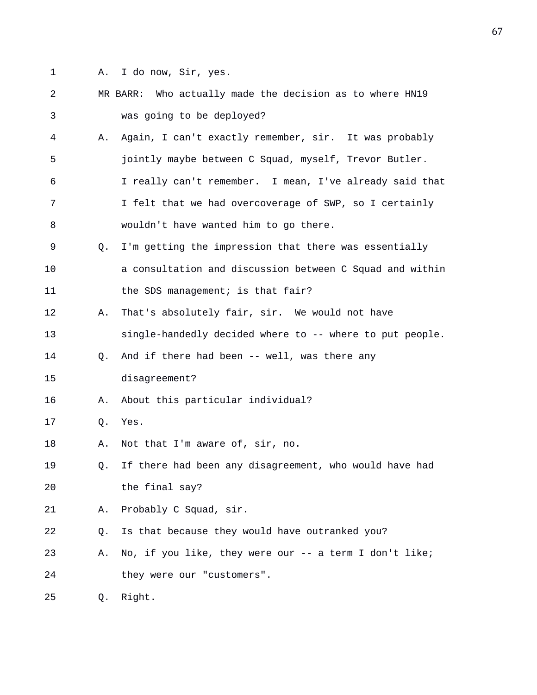- 
- 1 A. I do now, Sir, yes.
- 2 MR BARR: Who actually made the decision as to where HN19 3 was going to be deployed? 4 A. Again, I can't exactly remember, sir. It was probably 5 jointly maybe between C Squad, myself, Trevor Butler. 6 I really can't remember. I mean, I've already said that 7 I felt that we had overcoverage of SWP, so I certainly 8 wouldn't have wanted him to go there. 9 Q. I'm getting the impression that there was essentially 10 a consultation and discussion between C Squad and within 11 the SDS management; is that fair? 12 A. That's absolutely fair, sir. We would not have 13 single-handedly decided where to -- where to put people. 14 Q. And if there had been -- well, was there any 15 disagreement? 16 A. About this particular individual? 17 Q. Yes. 18 A. Not that I'm aware of, sir, no. 19 Q. If there had been any disagreement, who would have had 20 the final say? 21 A. Probably C Squad, sir. 22 Q. Is that because they would have outranked you? 23 A. No, if you like, they were our -- a term I don't like; 24 they were our "customers". 25 Q. Right.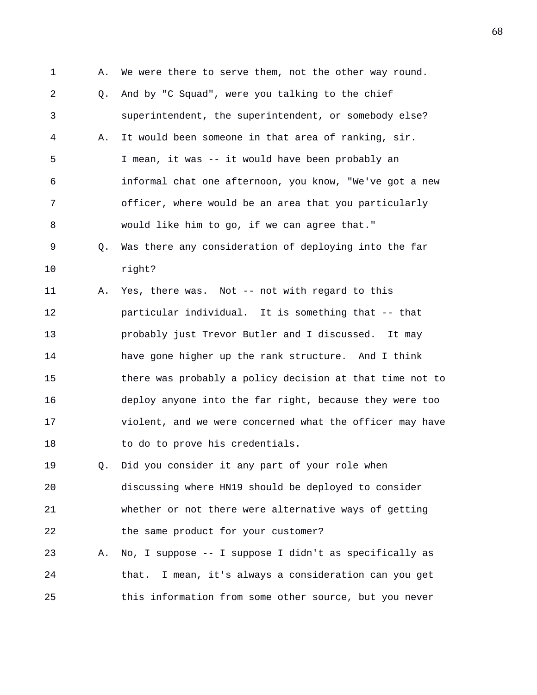1 A. We were there to serve them, not the other way round. 2 Q. And by "C Squad", were you talking to the chief 3 superintendent, the superintendent, or somebody else? 4 A. It would been someone in that area of ranking, sir. 5 I mean, it was -- it would have been probably an 6 informal chat one afternoon, you know, "We've got a new 7 officer, where would be an area that you particularly 8 would like him to go, if we can agree that." 9 Q. Was there any consideration of deploying into the far 10 right? 11 A. Yes, there was. Not -- not with regard to this 12 particular individual. It is something that -- that 13 probably just Trevor Butler and I discussed. It may 14 have gone higher up the rank structure. And I think 15 there was probably a policy decision at that time not to 16 deploy anyone into the far right, because they were too 17 violent, and we were concerned what the officer may have 18 to do to prove his credentials. 19 Q. Did you consider it any part of your role when 20 discussing where HN19 should be deployed to consider 21 whether or not there were alternative ways of getting 22 the same product for your customer? 23 A. No, I suppose -- I suppose I didn't as specifically as 24 that. I mean, it's always a consideration can you get 25 this information from some other source, but you never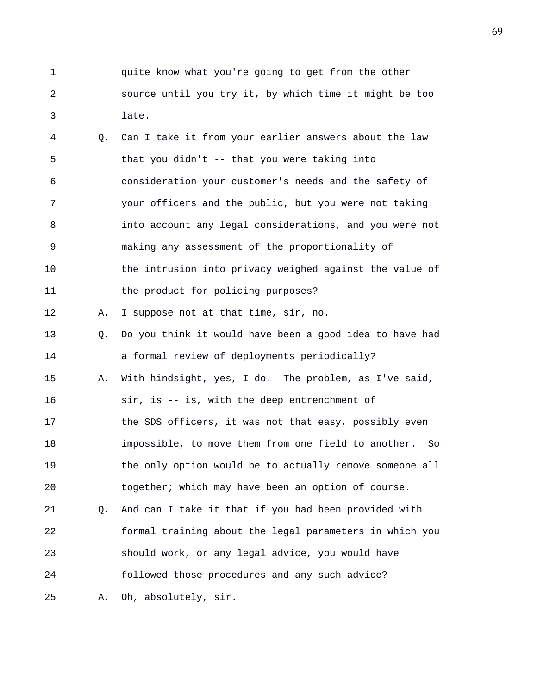1 quite know what you're going to get from the other 2 source until you try it, by which time it might be too 3 late.

4 Q. Can I take it from your earlier answers about the law 5 that you didn't -- that you were taking into 6 consideration your customer's needs and the safety of 7 your officers and the public, but you were not taking 8 into account any legal considerations, and you were not 9 making any assessment of the proportionality of 10 the intrusion into privacy weighed against the value of 11 the product for policing purposes? 12 A. I suppose not at that time, sir, no. 13 Q. Do you think it would have been a good idea to have had 14 a formal review of deployments periodically? 15 A. With hindsight, yes, I do. The problem, as I've said, 16 sir, is -- is, with the deep entrenchment of 17 the SDS officers, it was not that easy, possibly even 18 impossible, to move them from one field to another. So 19 the only option would be to actually remove someone all 20 together; which may have been an option of course. 21 Q. And can I take it that if you had been provided with 22 formal training about the legal parameters in which you 23 should work, or any legal advice, you would have 24 followed those procedures and any such advice? 25 A. Oh, absolutely, sir.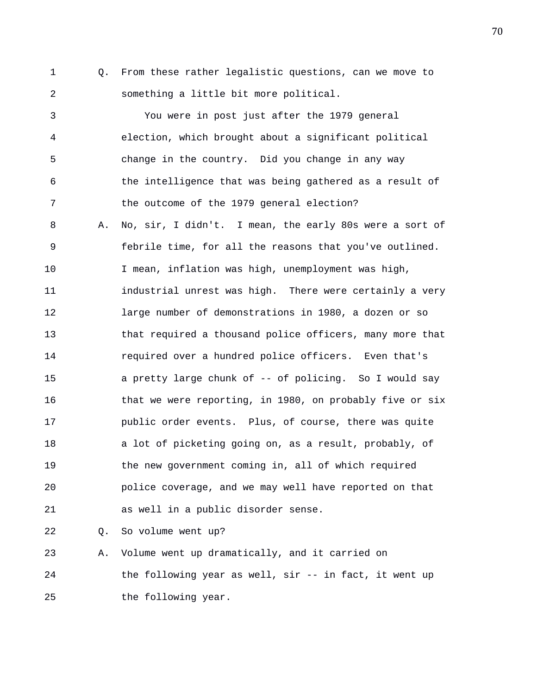1 Q. From these rather legalistic questions, can we move to 2 something a little bit more political.

3 You were in post just after the 1979 general 4 election, which brought about a significant political 5 change in the country. Did you change in any way 6 the intelligence that was being gathered as a result of 7 the outcome of the 1979 general election? 8 A. No, sir, I didn't. I mean, the early 80s were a sort of 9 febrile time, for all the reasons that you've outlined. 10 I mean, inflation was high, unemployment was high, 11 industrial unrest was high. There were certainly a very 12 large number of demonstrations in 1980, a dozen or so 13 that required a thousand police officers, many more that 14 required over a hundred police officers. Even that's 15 a pretty large chunk of -- of policing. So I would say 16 that we were reporting, in 1980, on probably five or six 17 public order events. Plus, of course, there was quite 18 a lot of picketing going on, as a result, probably, of 19 the new government coming in, all of which required 20 police coverage, and we may well have reported on that 21 as well in a public disorder sense.

22 Q. So volume went up?

23 A. Volume went up dramatically, and it carried on 24 the following year as well, sir -- in fact, it went up 25 the following year.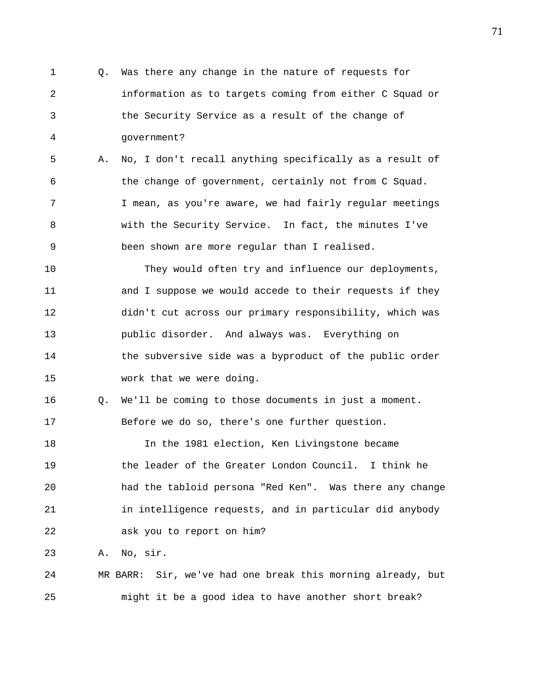1 Q. Was there any change in the nature of requests for 2 information as to targets coming from either C Squad or 3 the Security Service as a result of the change of 4 government? 5 A. No, I don't recall anything specifically as a result of 6 the change of government, certainly not from C Squad. 7 I mean, as you're aware, we had fairly regular meetings 8 with the Security Service. In fact, the minutes I've 9 been shown are more regular than I realised.

10 They would often try and influence our deployments, 11 and I suppose we would accede to their requests if they 12 didn't cut across our primary responsibility, which was 13 public disorder. And always was. Everything on 14 the subversive side was a byproduct of the public order 15 work that we were doing.

16 Q. We'll be coming to those documents in just a moment. 17 Before we do so, there's one further question.

18 In the 1981 election, Ken Livingstone became 19 the leader of the Greater London Council. I think he 20 had the tabloid persona "Red Ken". Was there any change 21 in intelligence requests, and in particular did anybody 22 ask you to report on him?

23 A. No, sir.

24 MR BARR: Sir, we've had one break this morning already, but 25 might it be a good idea to have another short break?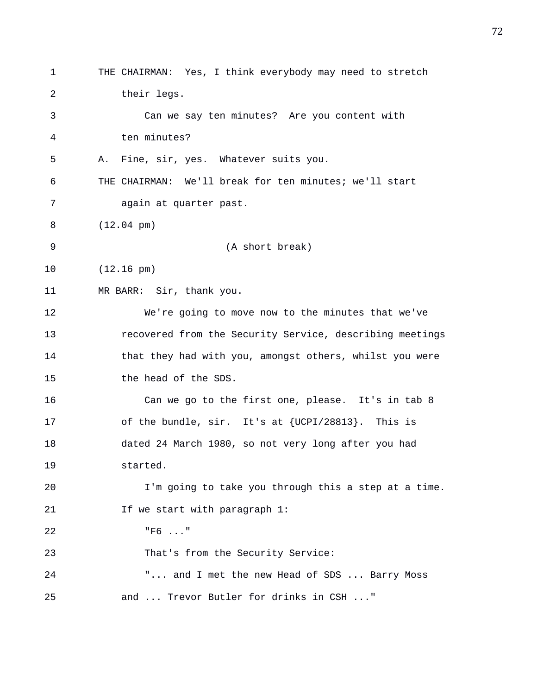1 THE CHAIRMAN: Yes, I think everybody may need to stretch 2 their legs. 3 Can we say ten minutes? Are you content with 4 ten minutes? 5 A. Fine, sir, yes. Whatever suits you. 6 THE CHAIRMAN: We'll break for ten minutes; we'll start 7 again at quarter past. 8 (12.04 pm) 9 (A short break) 10 (12.16 pm) 11 MR BARR: Sir, thank you. 12 We're going to move now to the minutes that we've 13 recovered from the Security Service, describing meetings 14 that they had with you, amongst others, whilst you were 15 the head of the SDS. 16 Can we go to the first one, please. It's in tab 8 17 of the bundle, sir. It's at {UCPI/28813}. This is 18 dated 24 March 1980, so not very long after you had 19 started. 20 I'm going to take you through this a step at a time. 21 **If we start with paragraph 1:** 22 "F6 ..." 23 That's from the Security Service: 24 "... and I met the new Head of SDS ... Barry Moss 25 and ... Trevor Butler for drinks in CSH ..."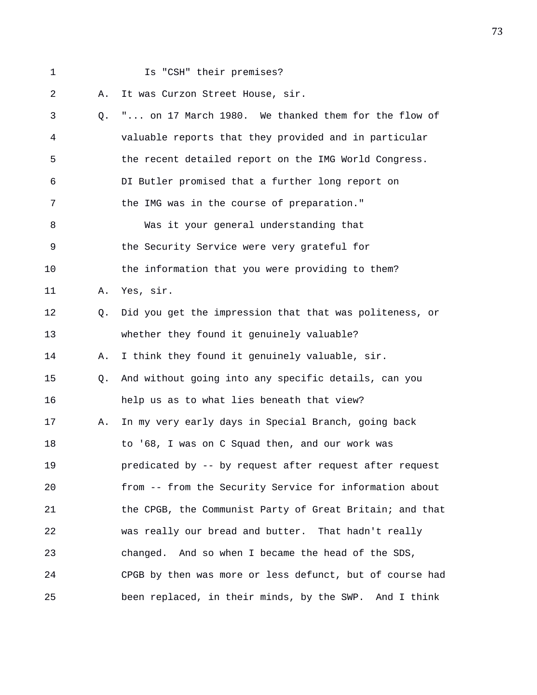1 Is "CSH" their premises?

2 A. It was Curzon Street House, sir.

| 3  |    | Q. " on 17 March 1980. We thanked them for the flow of   |
|----|----|----------------------------------------------------------|
| 4  |    | valuable reports that they provided and in particular    |
| 5  |    | the recent detailed report on the IMG World Congress.    |
| 6  |    | DI Butler promised that a further long report on         |
| 7  |    | the IMG was in the course of preparation."               |
| 8  |    | Was it your general understanding that                   |
| 9  |    | the Security Service were very grateful for              |
| 10 |    | the information that you were providing to them?         |
| 11 | Α. | Yes, sir.                                                |
| 12 | Q. | Did you get the impression that that was politeness, or  |
| 13 |    | whether they found it genuinely valuable?                |
| 14 | Α. | I think they found it genuinely valuable, sir.           |
| 15 | Q. | And without going into any specific details, can you     |
| 16 |    | help us as to what lies beneath that view?               |
| 17 | Α. | In my very early days in Special Branch, going back      |
| 18 |    | to '68, I was on C Squad then, and our work was          |
| 19 |    | predicated by -- by request after request after request  |
| 20 |    | from -- from the Security Service for information about  |
| 21 |    | the CPGB, the Communist Party of Great Britain; and that |
| 22 |    | was really our bread and butter. That hadn't really      |
| 23 |    | changed. And so when I became the head of the SDS,       |
| 24 |    | CPGB by then was more or less defunct, but of course had |
| 25 |    | been replaced, in their minds, by the SWP. And I think   |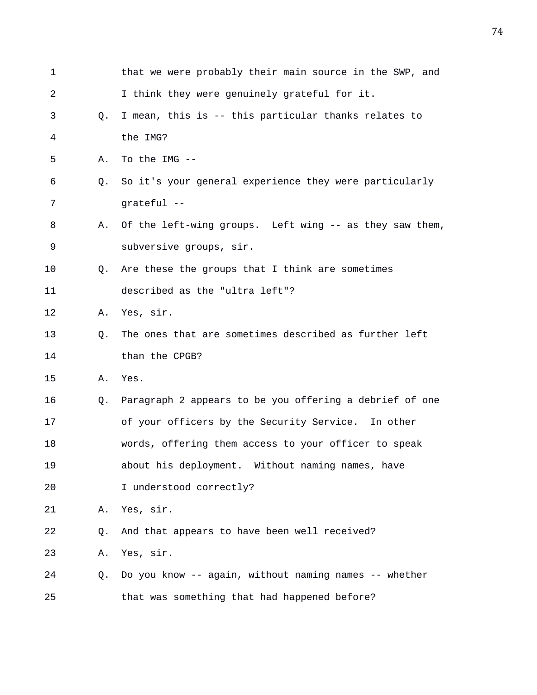| 1  |    | that we were probably their main source in the SWP, and |
|----|----|---------------------------------------------------------|
| 2  |    | I think they were genuinely grateful for it.            |
| 3  | Q. | I mean, this is -- this particular thanks relates to    |
| 4  |    | the IMG?                                                |
| 5  | Α. | To the IMG --                                           |
| 6  | O. | So it's your general experience they were particularly  |
| 7  |    | grateful --                                             |
| 8  | Α. | Of the left-wing groups. Left wing -- as they saw them, |
| 9  |    | subversive groups, sir.                                 |
| 10 | Q. | Are these the groups that I think are sometimes         |
| 11 |    | described as the "ultra left"?                          |
| 12 | Α. | Yes, sir.                                               |
| 13 | O. | The ones that are sometimes described as further left   |
| 14 |    | than the CPGB?                                          |
| 15 | Α. | Yes.                                                    |
| 16 | Q. | Paragraph 2 appears to be you offering a debrief of one |
| 17 |    | of your officers by the Security Service. In other      |
| 18 |    | words, offering them access to your officer to speak    |
| 19 |    | about his deployment. Without naming names, have        |
| 20 |    | I understood correctly?                                 |
| 21 | Α. | Yes, sir.                                               |
| 22 | Q. | And that appears to have been well received?            |
| 23 | Α. | Yes, sir.                                               |
| 24 | Q. | Do you know -- again, without naming names -- whether   |
| 25 |    | that was something that had happened before?            |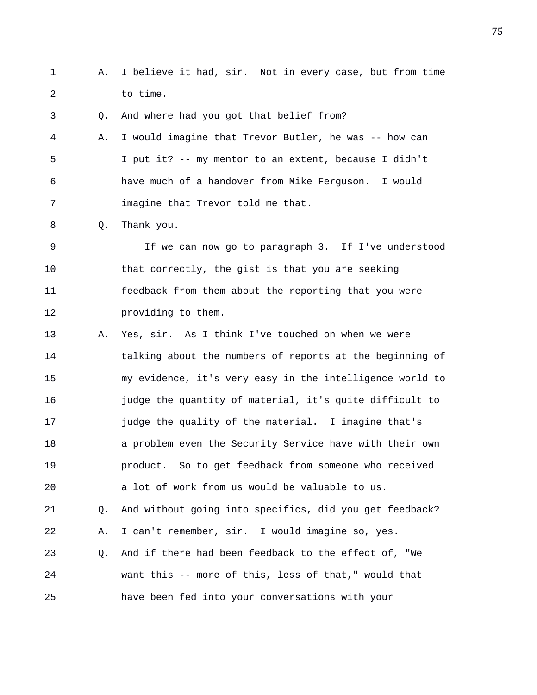1 A. I believe it had, sir. Not in every case, but from time 2 to time.

3 Q. And where had you got that belief from?

4 A. I would imagine that Trevor Butler, he was -- how can 5 I put it? -- my mentor to an extent, because I didn't 6 have much of a handover from Mike Ferguson. I would 7 imagine that Trevor told me that.

8 Q. Thank you.

9 If we can now go to paragraph 3. If I've understood 10 that correctly, the gist is that you are seeking 11 feedback from them about the reporting that you were 12 providing to them.

13 A. Yes, sir. As I think I've touched on when we were 14 talking about the numbers of reports at the beginning of 15 my evidence, it's very easy in the intelligence world to 16 judge the quantity of material, it's quite difficult to 17 judge the quality of the material. I imagine that's 18 a problem even the Security Service have with their own 19 product. So to get feedback from someone who received 20 a lot of work from us would be valuable to us. 21 Q. And without going into specifics, did you get feedback? 22 A. I can't remember, sir. I would imagine so, yes. 23 Q. And if there had been feedback to the effect of, "We 24 want this -- more of this, less of that," would that 25 have been fed into your conversations with your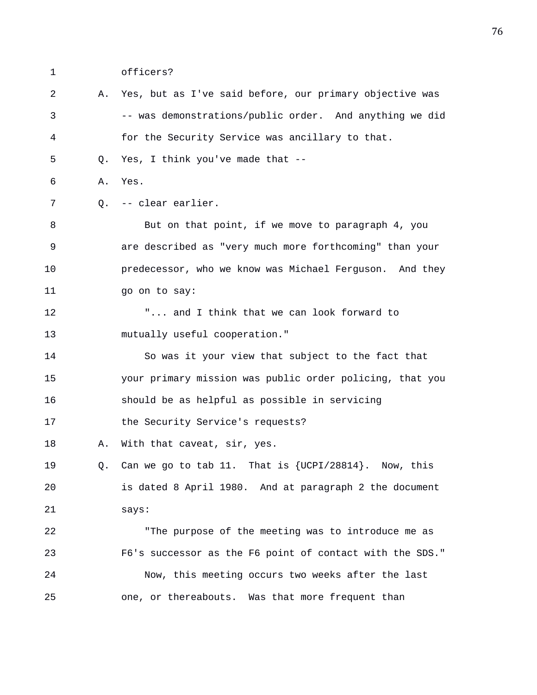1 officers?

2 A. Yes, but as I've said before, our primary objective was 3 -- was demonstrations/public order. And anything we did 4 for the Security Service was ancillary to that. 5 Q. Yes, I think you've made that -- 6 A. Yes. 7 Q. -- clear earlier. 8 But on that point, if we move to paragraph 4, you 9 are described as "very much more forthcoming" than your 10 predecessor, who we know was Michael Ferguson. And they 11 go on to say: 12 "... and I think that we can look forward to 13 mutually useful cooperation." 14 So was it your view that subject to the fact that 15 your primary mission was public order policing, that you 16 should be as helpful as possible in servicing 17 the Security Service's requests? 18 A. With that caveat, sir, yes. 19 Q. Can we go to tab 11. That is {UCPI/28814}. Now, this 20 is dated 8 April 1980. And at paragraph 2 the document 21 says: 22 "The purpose of the meeting was to introduce me as 23 F6's successor as the F6 point of contact with the SDS." 24 Now, this meeting occurs two weeks after the last 25 one, or thereabouts. Was that more frequent than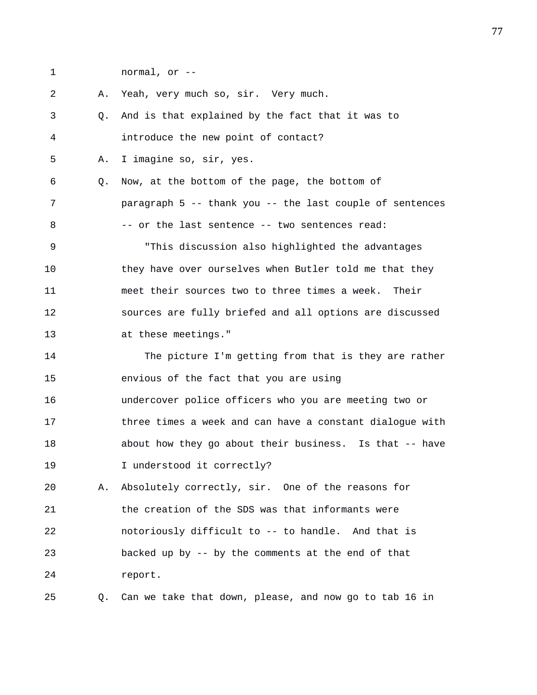1 normal, or -- 2 A. Yeah, very much so, sir. Very much. 3 Q. And is that explained by the fact that it was to 4 introduce the new point of contact? 5 A. I imagine so, sir, yes. 6 Q. Now, at the bottom of the page, the bottom of 7 paragraph 5 -- thank you -- the last couple of sentences 8 -- or the last sentence -- two sentences read: 9 "This discussion also highlighted the advantages 10 they have over ourselves when Butler told me that they 11 meet their sources two to three times a week. Their 12 sources are fully briefed and all options are discussed 13 at these meetings." 14 The picture I'm getting from that is they are rather 15 envious of the fact that you are using 16 undercover police officers who you are meeting two or 17 three times a week and can have a constant dialogue with 18 about how they go about their business. Is that -- have 19 I understood it correctly? 20 A. Absolutely correctly, sir. One of the reasons for 21 the creation of the SDS was that informants were 22 notoriously difficult to -- to handle. And that is

23 backed up by -- by the comments at the end of that 24 report.

25 Q. Can we take that down, please, and now go to tab 16 in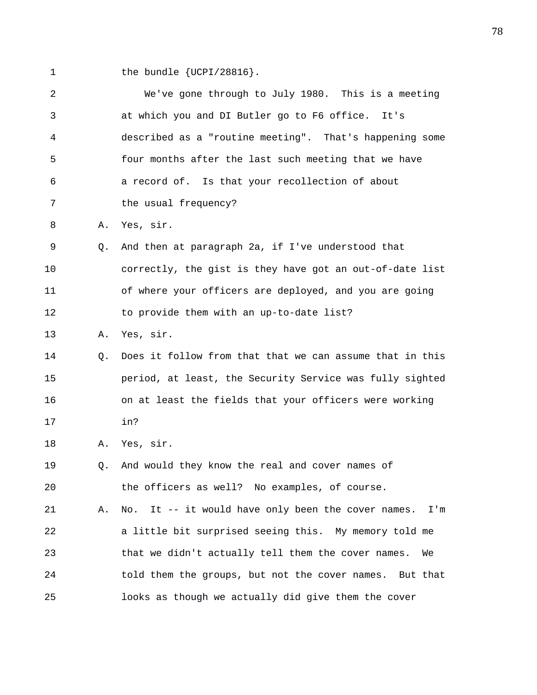1 the bundle {UCPI/28816}.

| $\overline{a}$ |    | We've gone through to July 1980. This is a meeting           |
|----------------|----|--------------------------------------------------------------|
| 3              |    | at which you and DI Butler go to F6 office. It's             |
| 4              |    | described as a "routine meeting". That's happening some      |
| 5              |    | four months after the last such meeting that we have         |
| 6              |    | a record of. Is that your recollection of about              |
| 7              |    | the usual frequency?                                         |
| 8              | Α. | Yes, sir.                                                    |
| 9              | Q. | And then at paragraph 2a, if I've understood that            |
| 10             |    | correctly, the gist is they have got an out-of-date list     |
| 11             |    | of where your officers are deployed, and you are going       |
| 12             |    | to provide them with an up-to-date list?                     |
| 13             | Α. | Yes, sir.                                                    |
| 14             | Q. | Does it follow from that that we can assume that in this     |
| 15             |    | period, at least, the Security Service was fully sighted     |
| 16             |    | on at least the fields that your officers were working       |
| 17             |    | in?                                                          |
| 18             | Α. | Yes, sir.                                                    |
| 19             | Q. | And would they know the real and cover names of              |
| 20             |    | the officers as well? No examples, of course.                |
| 21             | Α. | It -- it would have only been the cover names.<br>No.<br>I'm |
| 22             |    | a little bit surprised seeing this. My memory told me        |
| 23             |    | that we didn't actually tell them the cover names.<br>We     |
| 24             |    | told them the groups, but not the cover names. But that      |
| 25             |    | looks as though we actually did give them the cover          |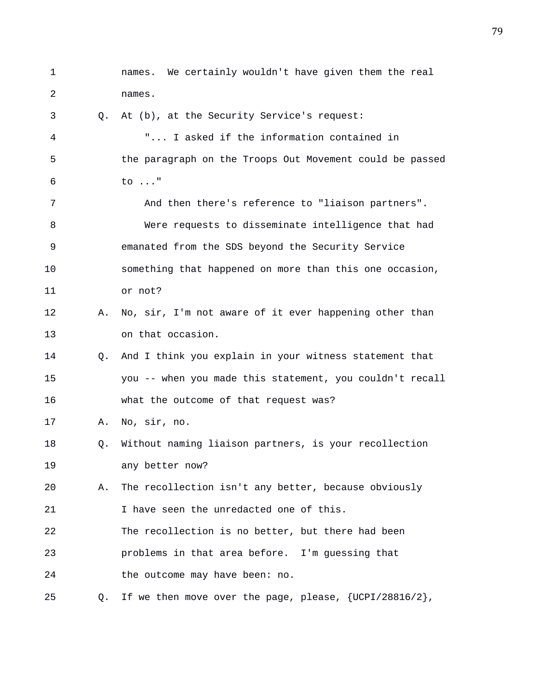1 names. We certainly wouldn't have given them the real 2 names. 3 Q. At (b), at the Security Service's request: 4 "... I asked if the information contained in 5 the paragraph on the Troops Out Movement could be passed 6 to ..." 7 And then there's reference to "liaison partners". 8 Were requests to disseminate intelligence that had 9 emanated from the SDS beyond the Security Service 10 something that happened on more than this one occasion, 11 or not? 12 A. No, sir, I'm not aware of it ever happening other than 13 on that occasion. 14 Q. And I think you explain in your witness statement that 15 you -- when you made this statement, you couldn't recall 16 what the outcome of that request was? 17 A. No, sir, no. 18 Q. Without naming liaison partners, is your recollection 19 any better now? 20 A. The recollection isn't any better, because obviously 21 I have seen the unredacted one of this. 22 The recollection is no better, but there had been 23 problems in that area before. I'm guessing that 24 the outcome may have been: no. 25 Q. If we then move over the page, please, {UCPI/28816/2},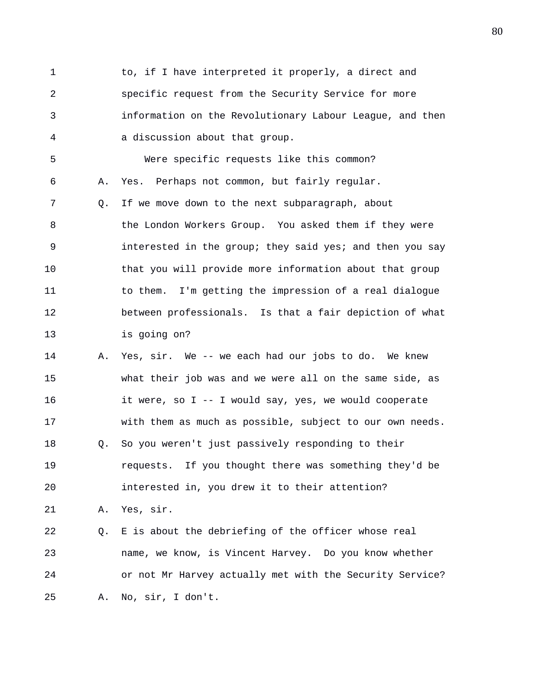1 to, if I have interpreted it properly, a direct and 2 specific request from the Security Service for more 3 information on the Revolutionary Labour League, and then 4 a discussion about that group. 5 Were specific requests like this common? 6 A. Yes. Perhaps not common, but fairly regular. 7 Q. If we move down to the next subparagraph, about 8 the London Workers Group. You asked them if they were 9 interested in the group; they said yes; and then you say 10 that you will provide more information about that group 11 to them. I'm getting the impression of a real dialogue 12 between professionals. Is that a fair depiction of what 13 is going on? 14 A. Yes, sir. We -- we each had our jobs to do. We knew 15 what their job was and we were all on the same side, as 16 it were, so I -- I would say, yes, we would cooperate 17 with them as much as possible, subject to our own needs. 18 Q. So you weren't just passively responding to their 19 requests. If you thought there was something they'd be 20 interested in, you drew it to their attention? 21 A. Yes, sir. 22 Q. E is about the debriefing of the officer whose real 23 name, we know, is Vincent Harvey. Do you know whether 24 or not Mr Harvey actually met with the Security Service?

25 A. No, sir, I don't.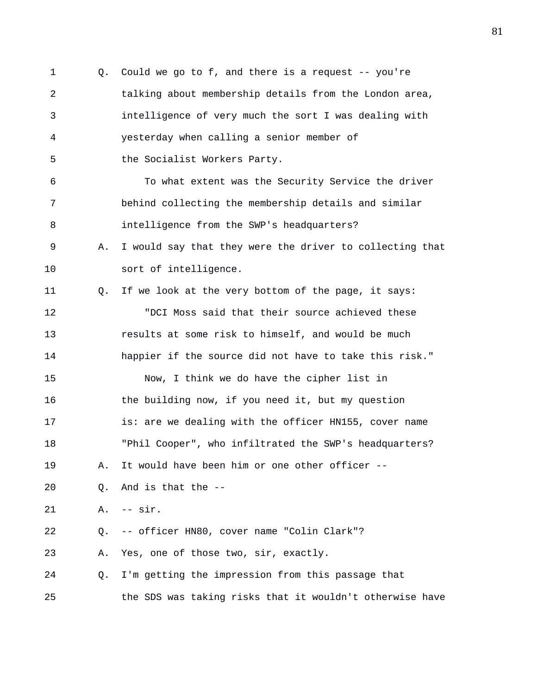1 Q. Could we go to f, and there is a request -- you're 2 talking about membership details from the London area, 3 intelligence of very much the sort I was dealing with 4 yesterday when calling a senior member of 5 the Socialist Workers Party. 6 To what extent was the Security Service the driver 7 behind collecting the membership details and similar 8 intelligence from the SWP's headquarters? 9 A. I would say that they were the driver to collecting that 10 sort of intelligence. 11 Q. If we look at the very bottom of the page, it says: 12 "DCI Moss said that their source achieved these 13 results at some risk to himself, and would be much 14 happier if the source did not have to take this risk." 15 Now, I think we do have the cipher list in 16 the building now, if you need it, but my question 17 is: are we dealing with the officer HN155, cover name 18 "Phil Cooper", who infiltrated the SWP's headquarters? 19 A. It would have been him or one other officer -- 20 Q. And is that the -- 21 A. -- sir. 22 Q. -- officer HN80, cover name "Colin Clark"? 23 A. Yes, one of those two, sir, exactly. 24 Q. I'm getting the impression from this passage that 25 the SDS was taking risks that it wouldn't otherwise have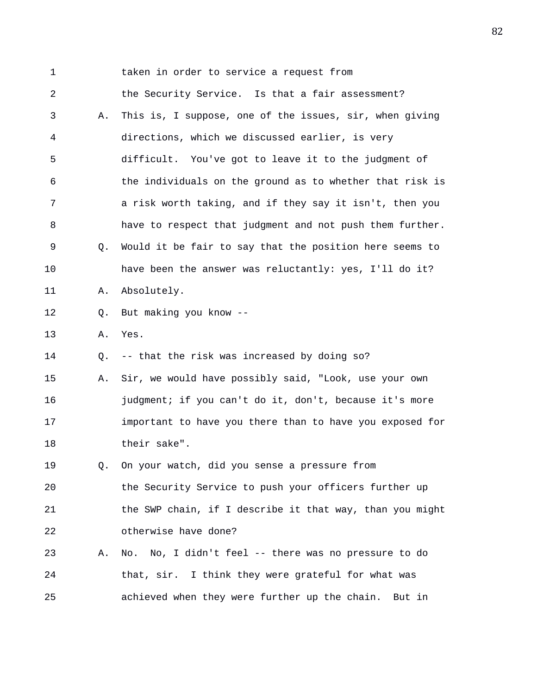1 taken in order to service a request from 2 the Security Service. Is that a fair assessment? 3 A. This is, I suppose, one of the issues, sir, when giving 4 directions, which we discussed earlier, is very 5 difficult. You've got to leave it to the judgment of 6 the individuals on the ground as to whether that risk is 7 a risk worth taking, and if they say it isn't, then you 8 have to respect that judgment and not push them further. 9 Q. Would it be fair to say that the position here seems to 10 have been the answer was reluctantly: yes, I'll do it? 11 A. Absolutely. 12 Q. But making you know -- 13 A. Yes. 14 Q. -- that the risk was increased by doing so? 15 A. Sir, we would have possibly said, "Look, use your own 16 **judgment;** if you can't do it, don't, because it's more 17 important to have you there than to have you exposed for 18 their sake". 19 Q. On your watch, did you sense a pressure from 20 the Security Service to push your officers further up 21 the SWP chain, if I describe it that way, than you might 22 otherwise have done? 23 A. No. No, I didn't feel -- there was no pressure to do 24 that, sir. I think they were grateful for what was 25 achieved when they were further up the chain. But in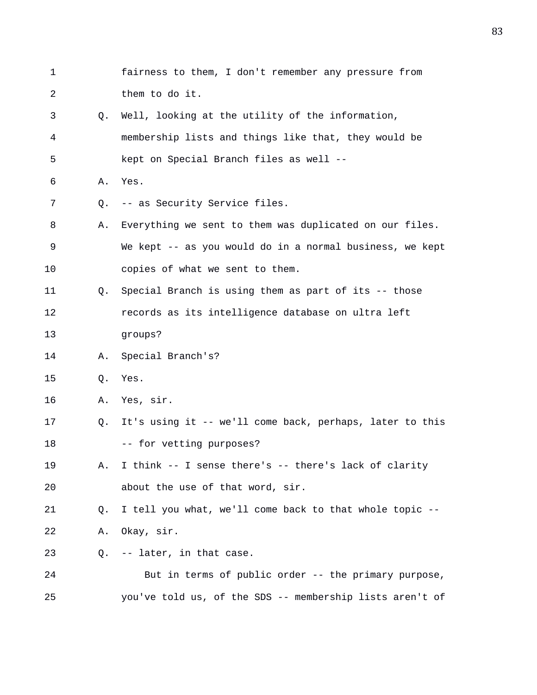1 fairness to them, I don't remember any pressure from 2 them to do it. 3 Q. Well, looking at the utility of the information, 4 membership lists and things like that, they would be 5 kept on Special Branch files as well -- 6 A. Yes. 7 Q. -- as Security Service files. 8 A. Everything we sent to them was duplicated on our files. 9 We kept -- as you would do in a normal business, we kept 10 copies of what we sent to them. 11 Q. Special Branch is using them as part of its -- those 12 records as its intelligence database on ultra left 13 groups? 14 A. Special Branch's? 15 Q. Yes. 16 A. Yes, sir. 17 Q. It's using it -- we'll come back, perhaps, later to this 18 -- for vetting purposes? 19 A. I think -- I sense there's -- there's lack of clarity 20 about the use of that word, sir. 21 Q. I tell you what, we'll come back to that whole topic -- 22 A. Okay, sir. 23 Q. -- later, in that case. 24 But in terms of public order -- the primary purpose, 25 you've told us, of the SDS -- membership lists aren't of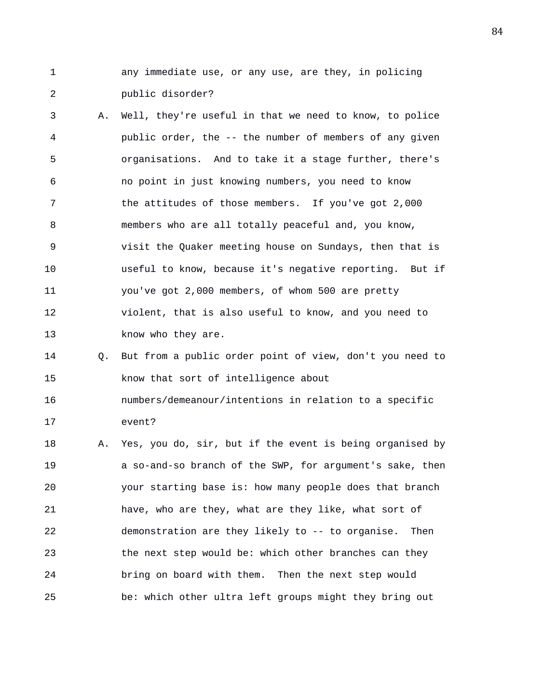- 1 any immediate use, or any use, are they, in policing 2 public disorder?
- 3 A. Well, they're useful in that we need to know, to police 4 public order, the -- the number of members of any given 5 organisations. And to take it a stage further, there's 6 no point in just knowing numbers, you need to know 7 the attitudes of those members. If you've got 2,000 8 members who are all totally peaceful and, you know, 9 visit the Quaker meeting house on Sundays, then that is 10 useful to know, because it's negative reporting. But if 11 you've got 2,000 members, of whom 500 are pretty 12 violent, that is also useful to know, and you need to 13 know who they are.
- 14 Q. But from a public order point of view, don't you need to 15 know that sort of intelligence about 16 numbers/demeanour/intentions in relation to a specific 17 event?
- 18 A. Yes, you do, sir, but if the event is being organised by 19 a so-and-so branch of the SWP, for argument's sake, then 20 your starting base is: how many people does that branch 21 have, who are they, what are they like, what sort of 22 demonstration are they likely to -- to organise. Then 23 the next step would be: which other branches can they 24 bring on board with them. Then the next step would 25 be: which other ultra left groups might they bring out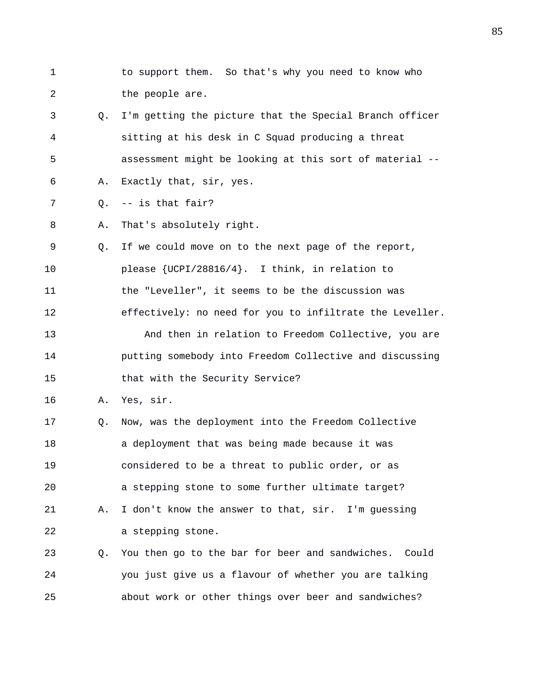- 
- 1 to support them. So that's why you need to know who 2 the people are.
- 3 Q. I'm getting the picture that the Special Branch officer 4 sitting at his desk in C Squad producing a threat 5 assessment might be looking at this sort of material --
- 6 A. Exactly that, sir, yes.
- 7 Q. -- is that fair?
- 8 A. That's absolutely right.

9 Q. If we could move on to the next page of the report, 10 please {UCPI/28816/4}. I think, in relation to 11 the "Leveller", it seems to be the discussion was 12 effectively: no need for you to infiltrate the Leveller. 13 And then in relation to Freedom Collective, you are

- 14 putting somebody into Freedom Collective and discussing 15 that with the Security Service?
- 16 A. Yes, sir.

17 Q. Now, was the deployment into the Freedom Collective 18 a deployment that was being made because it was 19 considered to be a threat to public order, or as 20 a stepping stone to some further ultimate target? 21 A. I don't know the answer to that, sir. I'm guessing 22 a stepping stone.

23 Q. You then go to the bar for beer and sandwiches. Could 24 you just give us a flavour of whether you are talking 25 about work or other things over beer and sandwiches?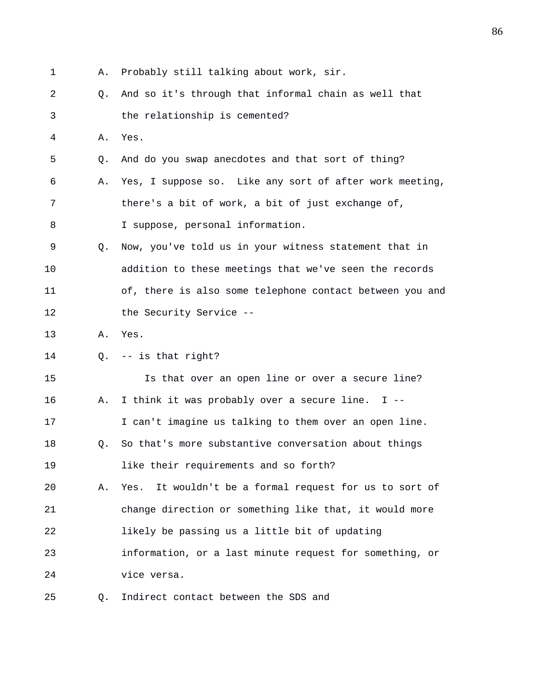1 A. Probably still talking about work, sir. 2 Q. And so it's through that informal chain as well that 3 the relationship is cemented? 4 A. Yes. 5 Q. And do you swap anecdotes and that sort of thing? 6 A. Yes, I suppose so. Like any sort of after work meeting, 7 there's a bit of work, a bit of just exchange of, 8 I suppose, personal information. 9 Q. Now, you've told us in your witness statement that in 10 addition to these meetings that we've seen the records 11 of, there is also some telephone contact between you and 12 the Security Service --13 A. Yes. 14 Q. -- is that right? 15 Is that over an open line or over a secure line? 16 A. I think it was probably over a secure line. I -- 17 I can't imagine us talking to them over an open line. 18 Q. So that's more substantive conversation about things 19 like their requirements and so forth? 20 A. Yes. It wouldn't be a formal request for us to sort of 21 change direction or something like that, it would more 22 likely be passing us a little bit of updating 23 information, or a last minute request for something, or 24 vice versa. 25 Q. Indirect contact between the SDS and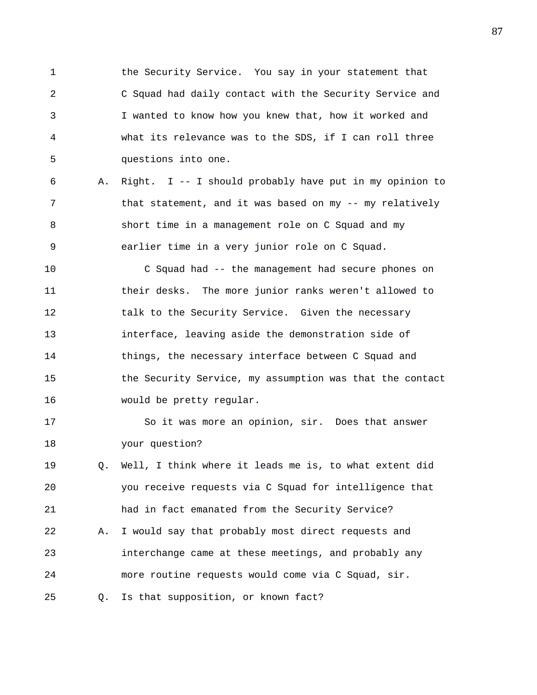1 the Security Service. You say in your statement that 2 C Squad had daily contact with the Security Service and 3 I wanted to know how you knew that, how it worked and 4 what its relevance was to the SDS, if I can roll three 5 questions into one.

6 A. Right. I -- I should probably have put in my opinion to 7 that statement, and it was based on my -- my relatively 8 short time in a management role on C Squad and my 9 earlier time in a very junior role on C Squad.

10 C Squad had -- the management had secure phones on 11 their desks. The more junior ranks weren't allowed to 12 talk to the Security Service. Given the necessary 13 interface, leaving aside the demonstration side of 14 things, the necessary interface between C Squad and 15 the Security Service, my assumption was that the contact 16 would be pretty regular.

17 So it was more an opinion, sir. Does that answer 18 your question?

19 Q. Well, I think where it leads me is, to what extent did 20 you receive requests via C Squad for intelligence that 21 had in fact emanated from the Security Service? 22 A. I would say that probably most direct requests and 23 interchange came at these meetings, and probably any 24 more routine requests would come via C Squad, sir. 25 Q. Is that supposition, or known fact?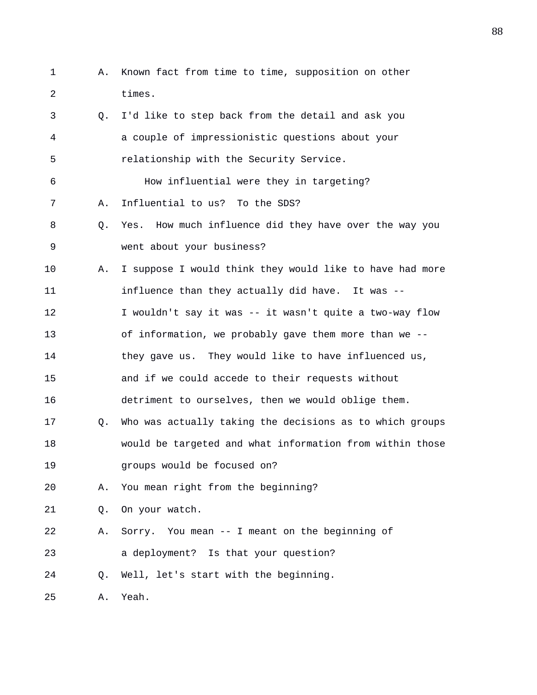1 A. Known fact from time to time, supposition on other 2 times. 3 Q. I'd like to step back from the detail and ask you 4 a couple of impressionistic questions about your 5 relationship with the Security Service. 6 How influential were they in targeting? 7 A. Influential to us? To the SDS? 8 Q. Yes. How much influence did they have over the way you 9 went about your business? 10 A. I suppose I would think they would like to have had more 11 influence than they actually did have. It was -- 12 I wouldn't say it was -- it wasn't quite a two-way flow 13 of information, we probably gave them more than we -- 14 they gave us. They would like to have influenced us, 15 and if we could accede to their requests without 16 detriment to ourselves, then we would oblige them. 17 Q. Who was actually taking the decisions as to which groups 18 would be targeted and what information from within those 19 groups would be focused on? 20 A. You mean right from the beginning? 21 Q. On your watch. 22 A. Sorry. You mean -- I meant on the beginning of 23 a deployment? Is that your question? 24 Q. Well, let's start with the beginning. 25 A. Yeah.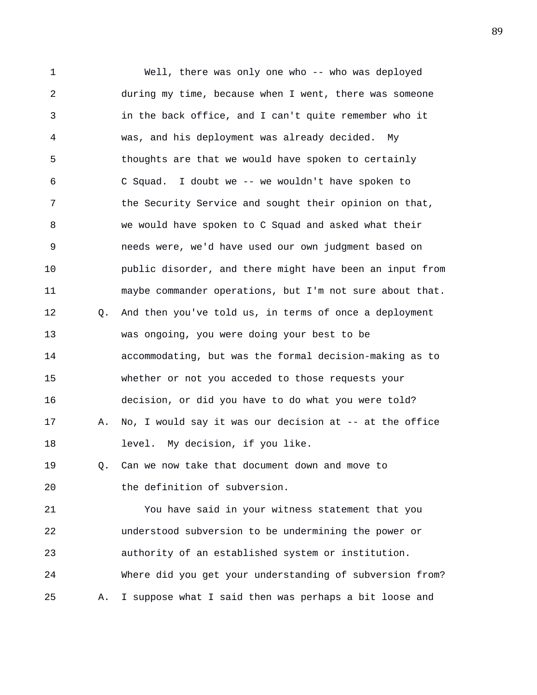1 Well, there was only one who -- who was deployed 2 during my time, because when I went, there was someone 3 in the back office, and I can't quite remember who it 4 was, and his deployment was already decided. My 5 thoughts are that we would have spoken to certainly 6 C Squad. I doubt we -- we wouldn't have spoken to 7 the Security Service and sought their opinion on that, 8 we would have spoken to C Squad and asked what their 9 needs were, we'd have used our own judgment based on 10 public disorder, and there might have been an input from 11 maybe commander operations, but I'm not sure about that. 12 Q. And then you've told us, in terms of once a deployment 13 was ongoing, you were doing your best to be 14 accommodating, but was the formal decision-making as to 15 whether or not you acceded to those requests your 16 decision, or did you have to do what you were told? 17 A. No, I would say it was our decision at -- at the office 18 level. My decision, if you like. 19 Q. Can we now take that document down and move to 20 the definition of subversion. 21 You have said in your witness statement that you 22 understood subversion to be undermining the power or 23 authority of an established system or institution. 24 Where did you get your understanding of subversion from? 25 A. I suppose what I said then was perhaps a bit loose and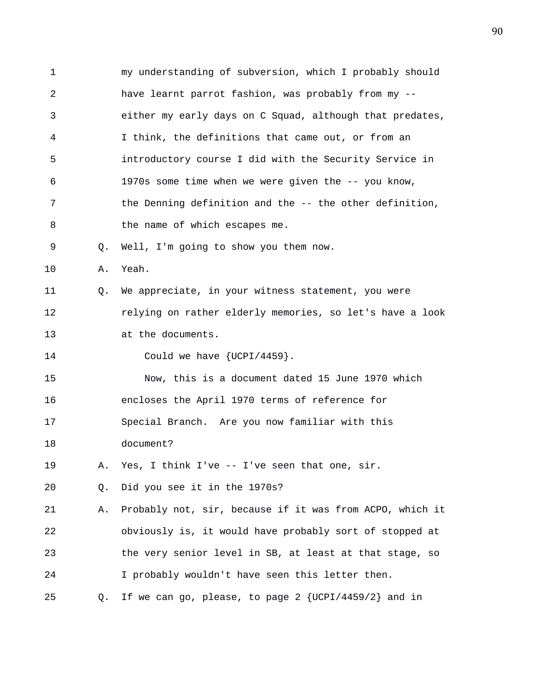1 my understanding of subversion, which I probably should 2 have learnt parrot fashion, was probably from my -- 3 either my early days on C Squad, although that predates, 4 I think, the definitions that came out, or from an 5 introductory course I did with the Security Service in 6 1970s some time when we were given the -- you know, 7 the Denning definition and the -- the other definition, 8 the name of which escapes me. 9 Q. Well, I'm going to show you them now. 10 A. Yeah. 11 Q. We appreciate, in your witness statement, you were 12 relying on rather elderly memories, so let's have a look 13 at the documents. 14 Could we have  $\{UCPI/4459\}$ . 15 Now, this is a document dated 15 June 1970 which 16 encloses the April 1970 terms of reference for 17 Special Branch. Are you now familiar with this 18 document? 19 A. Yes, I think I've -- I've seen that one, sir. 20 Q. Did you see it in the 1970s? 21 A. Probably not, sir, because if it was from ACPO, which it 22 obviously is, it would have probably sort of stopped at 23 the very senior level in SB, at least at that stage, so 24 I probably wouldn't have seen this letter then. 25 Q. If we can go, please, to page 2 {UCPI/4459/2} and in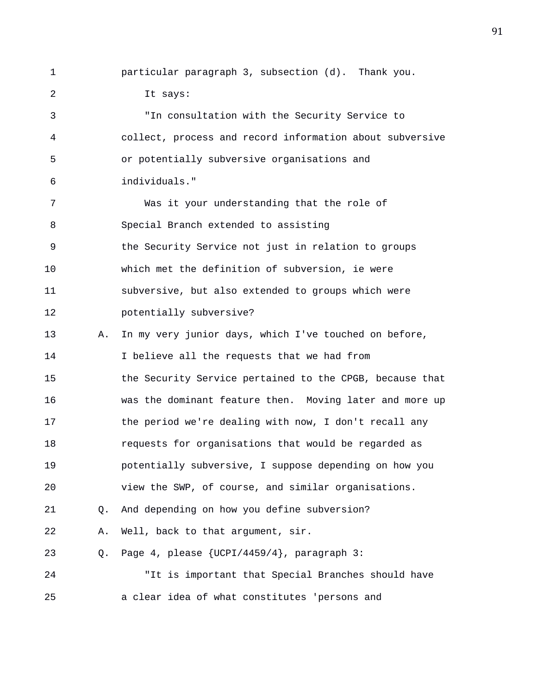1 particular paragraph 3, subsection (d). Thank you. 2 It says:

3 "In consultation with the Security Service to 4 collect, process and record information about subversive 5 or potentially subversive organisations and 6 individuals." 7 Was it your understanding that the role of 8 Special Branch extended to assisting 9 the Security Service not just in relation to groups 10 which met the definition of subversion, ie were 11 subversive, but also extended to groups which were 12 potentially subversive? 13 A. In my very junior days, which I've touched on before, 14 I believe all the requests that we had from 15 the Security Service pertained to the CPGB, because that 16 was the dominant feature then. Moving later and more up 17 the period we're dealing with now, I don't recall any 18 requests for organisations that would be regarded as 19 potentially subversive, I suppose depending on how you 20 view the SWP, of course, and similar organisations. 21 Q. And depending on how you define subversion? 22 A. Well, back to that argument, sir. 23 Q. Page 4, please {UCPI/4459/4}, paragraph 3: 24 "It is important that Special Branches should have 25 a clear idea of what constitutes 'persons and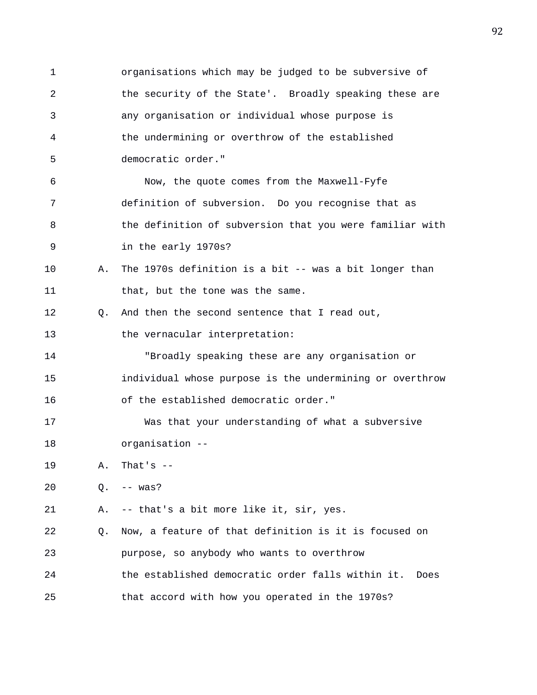1 organisations which may be judged to be subversive of 2 the security of the State'. Broadly speaking these are 3 any organisation or individual whose purpose is 4 the undermining or overthrow of the established 5 democratic order." 6 Now, the quote comes from the Maxwell-Fyfe 7 definition of subversion. Do you recognise that as 8 the definition of subversion that you were familiar with 9 in the early 1970s? 10 A. The 1970s definition is a bit -- was a bit longer than 11 that, but the tone was the same. 12 Q. And then the second sentence that I read out, 13 the vernacular interpretation: 14 "Broadly speaking these are any organisation or 15 individual whose purpose is the undermining or overthrow 16 of the established democratic order." 17 Was that your understanding of what a subversive 18 organisation -- 19 A. That's -- 20 Q. -- was? 21 A. -- that's a bit more like it, sir, yes. 22 Q. Now, a feature of that definition is it is focused on 23 purpose, so anybody who wants to overthrow 24 the established democratic order falls within it. Does 25 that accord with how you operated in the 1970s?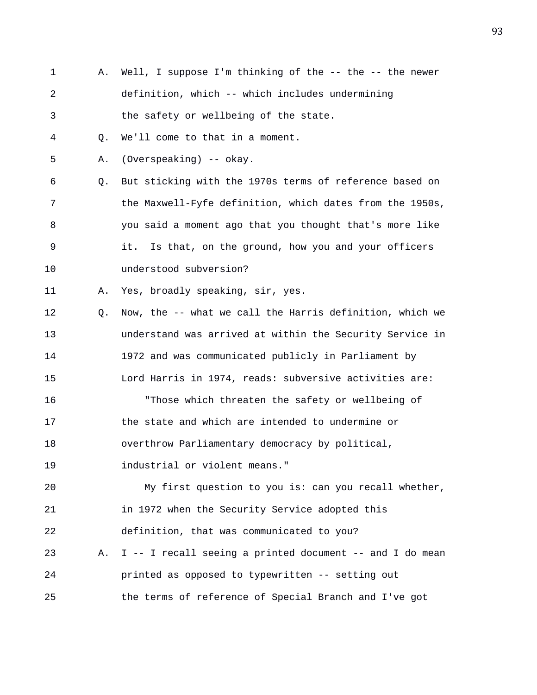1 A. Well, I suppose I'm thinking of the -- the -- the newer 2 definition, which -- which includes undermining 3 the safety or wellbeing of the state. 4 Q. We'll come to that in a moment. 5 A. (Overspeaking) -- okay. 6 Q. But sticking with the 1970s terms of reference based on 7 the Maxwell-Fyfe definition, which dates from the 1950s, 8 you said a moment ago that you thought that's more like 9 it. Is that, on the ground, how you and your officers 10 understood subversion? 11 A. Yes, broadly speaking, sir, yes. 12 Q. Now, the -- what we call the Harris definition, which we 13 understand was arrived at within the Security Service in 14 1972 and was communicated publicly in Parliament by 15 Lord Harris in 1974, reads: subversive activities are: 16 "Those which threaten the safety or wellbeing of 17 the state and which are intended to undermine or 18 overthrow Parliamentary democracy by political, 19 industrial or violent means." 20 My first question to you is: can you recall whether, 21 in 1972 when the Security Service adopted this 22 definition, that was communicated to you? 23 A. I -- I recall seeing a printed document -- and I do mean 24 printed as opposed to typewritten -- setting out 25 the terms of reference of Special Branch and I've got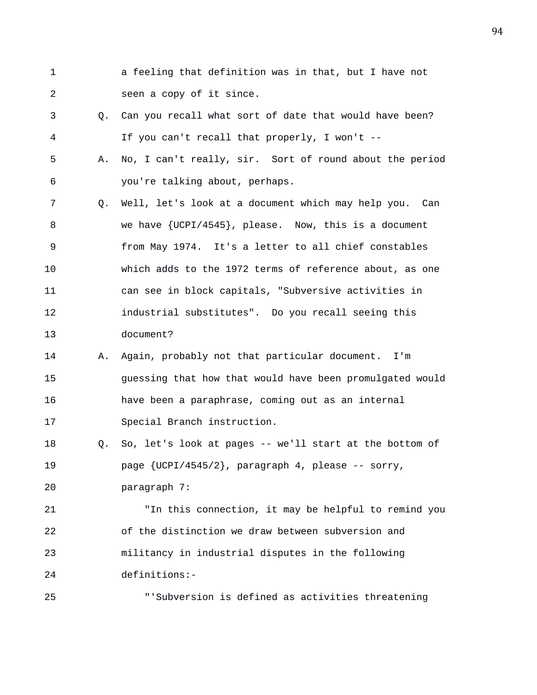- 1 a feeling that definition was in that, but I have not 2 seen a copy of it since.
- 3 Q. Can you recall what sort of date that would have been? 4 If you can't recall that properly, I won't --
- 5 A. No, I can't really, sir. Sort of round about the period 6 you're talking about, perhaps.
- 7 Q. Well, let's look at a document which may help you. Can 8 we have {UCPI/4545}, please. Now, this is a document 9 from May 1974. It's a letter to all chief constables 10 which adds to the 1972 terms of reference about, as one 11 can see in block capitals, "Subversive activities in 12 industrial substitutes". Do you recall seeing this 13 document?
- 14 A. Again, probably not that particular document. I'm 15 guessing that how that would have been promulgated would 16 have been a paraphrase, coming out as an internal 17 Special Branch instruction.
- 18 Q. So, let's look at pages -- we'll start at the bottom of 19 page {UCPI/4545/2}, paragraph 4, please -- sorry,

20 paragraph 7:

21 "In this connection, it may be helpful to remind you 22 of the distinction we draw between subversion and 23 militancy in industrial disputes in the following 24 definitions:-

25 "'Subversion is defined as activities threatening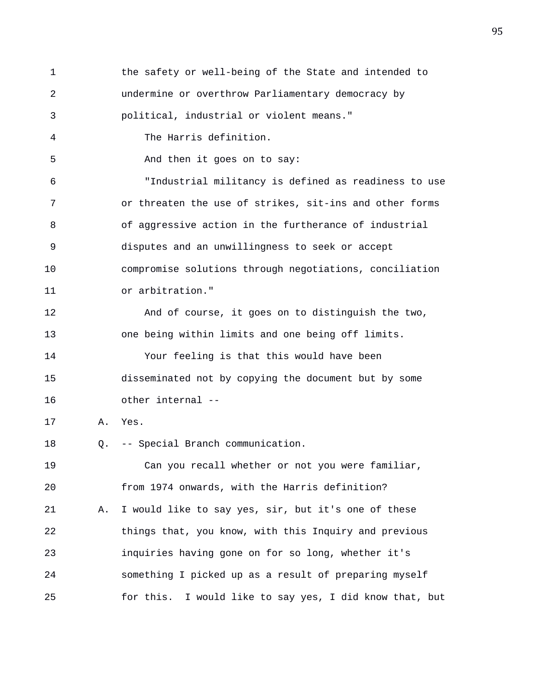1 the safety or well-being of the State and intended to 2 undermine or overthrow Parliamentary democracy by 3 political, industrial or violent means." 4 The Harris definition. 5 And then it goes on to say: 6 "Industrial militancy is defined as readiness to use 7 or threaten the use of strikes, sit-ins and other forms 8 of aggressive action in the furtherance of industrial 9 disputes and an unwillingness to seek or accept 10 compromise solutions through negotiations, conciliation 11 or arbitration." 12 And of course, it goes on to distinguish the two, 13 one being within limits and one being off limits. 14 Your feeling is that this would have been 15 disseminated not by copying the document but by some 16 other internal -- 17 A. Yes. 18 Q. -- Special Branch communication. 19 Can you recall whether or not you were familiar, 20 from 1974 onwards, with the Harris definition? 21 A. I would like to say yes, sir, but it's one of these 22 things that, you know, with this Inquiry and previous 23 inquiries having gone on for so long, whether it's 24 something I picked up as a result of preparing myself 25 for this. I would like to say yes, I did know that, but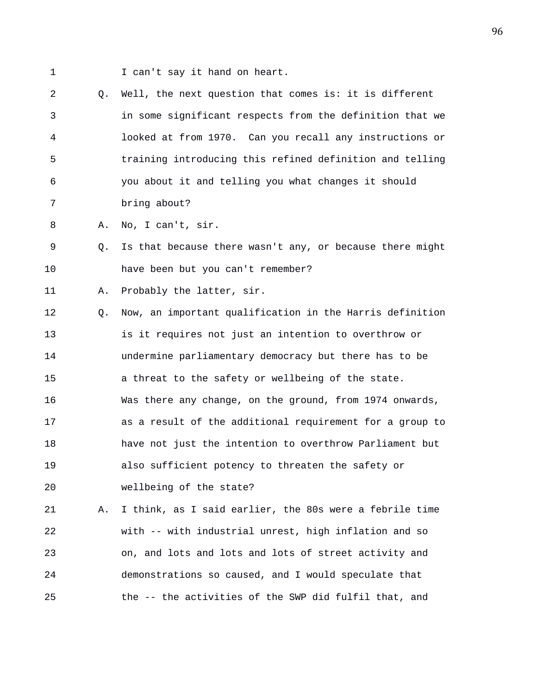1 I can't say it hand on heart.

2 Q. Well, the next question that comes is: it is different 3 in some significant respects from the definition that we 4 looked at from 1970. Can you recall any instructions or 5 training introducing this refined definition and telling 6 you about it and telling you what changes it should 7 bring about?

8 A. No, I can't, sir.

9 Q. Is that because there wasn't any, or because there might 10 have been but you can't remember?

11 A. Probably the latter, sir.

12 Q. Now, an important qualification in the Harris definition 13 is it requires not just an intention to overthrow or 14 undermine parliamentary democracy but there has to be 15 a threat to the safety or wellbeing of the state. 16 Was there any change, on the ground, from 1974 onwards, 17 as a result of the additional requirement for a group to 18 have not just the intention to overthrow Parliament but 19 also sufficient potency to threaten the safety or 20 wellbeing of the state?

21 A. I think, as I said earlier, the 80s were a febrile time 22 with -- with industrial unrest, high inflation and so 23 on, and lots and lots and lots of street activity and 24 demonstrations so caused, and I would speculate that 25 the -- the activities of the SWP did fulfil that, and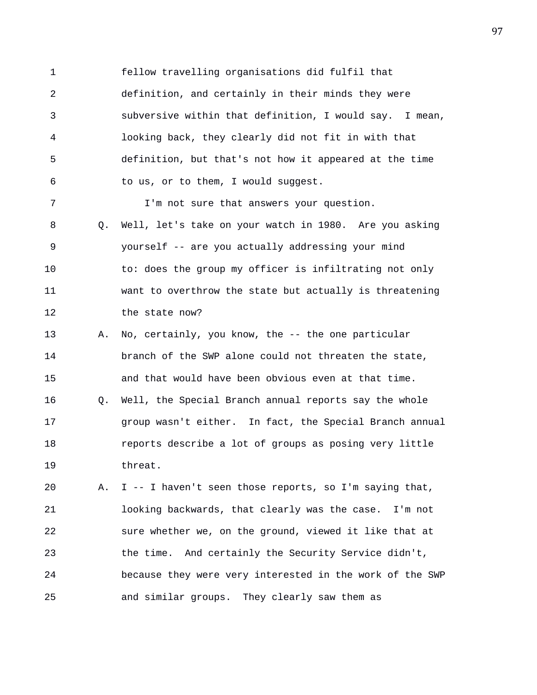1 fellow travelling organisations did fulfil that 2 definition, and certainly in their minds they were 3 subversive within that definition, I would say. I mean, 4 looking back, they clearly did not fit in with that 5 definition, but that's not how it appeared at the time 6 to us, or to them, I would suggest.

8 Q. Well, let's take on your watch in 1980. Are you asking 9 yourself -- are you actually addressing your mind 10 to: does the group my officer is infiltrating not only 11 want to overthrow the state but actually is threatening 12 the state now?

7 I'm not sure that answers your question.

13 A. No, certainly, you know, the -- the one particular 14 branch of the SWP alone could not threaten the state, 15 and that would have been obvious even at that time. 16 Q. Well, the Special Branch annual reports say the whole 17 group wasn't either. In fact, the Special Branch annual 18 reports describe a lot of groups as posing very little 19 threat.

20 A. I -- I haven't seen those reports, so I'm saying that, 21 looking backwards, that clearly was the case. I'm not 22 sure whether we, on the ground, viewed it like that at 23 the time. And certainly the Security Service didn't, 24 because they were very interested in the work of the SWP 25 and similar groups. They clearly saw them as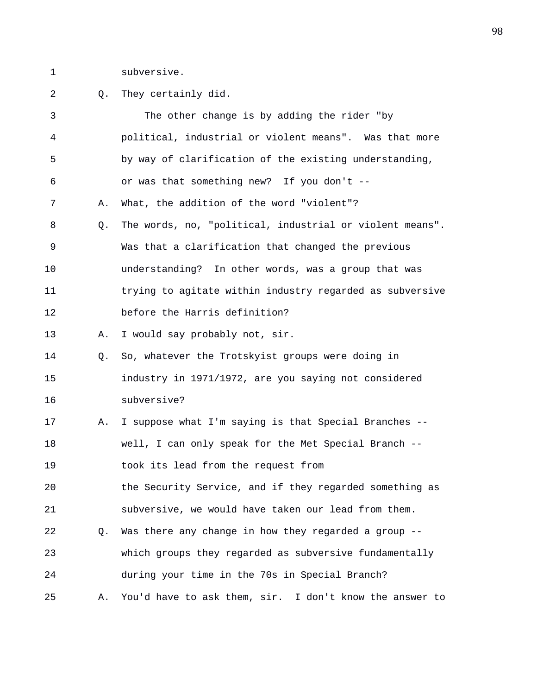1 subversive.

## 2 Q. They certainly did.

| 3  |    | The other change is by adding the rider "by              |
|----|----|----------------------------------------------------------|
| 4  |    | political, industrial or violent means". Was that more   |
| 5  |    | by way of clarification of the existing understanding,   |
| 6  |    | or was that something new? If you don't --               |
| 7  | Α. | What, the addition of the word "violent"?                |
| 8  | Q. | The words, no, "political, industrial or violent means". |
| 9  |    | Was that a clarification that changed the previous       |
| 10 |    | understanding? In other words, was a group that was      |
| 11 |    | trying to agitate within industry regarded as subversive |
| 12 |    | before the Harris definition?                            |
| 13 | Α. | I would say probably not, sir.                           |
| 14 | 0. | So, whatever the Trotskyist groups were doing in         |
| 15 |    | industry in 1971/1972, are you saying not considered     |
| 16 |    | subversive?                                              |
| 17 | Α. | I suppose what I'm saying is that Special Branches --    |
| 18 |    | well, I can only speak for the Met Special Branch --     |
| 19 |    | took its lead from the request from                      |
| 20 |    | the Security Service, and if they regarded something as  |
| 21 |    | subversive, we would have taken our lead from them.      |
| 22 | Q. | Was there any change in how they regarded a group --     |
| 23 |    | which groups they regarded as subversive fundamentally   |
| 24 |    | during your time in the 70s in Special Branch?           |
| 25 | Α. | You'd have to ask them, sir. I don't know the answer to  |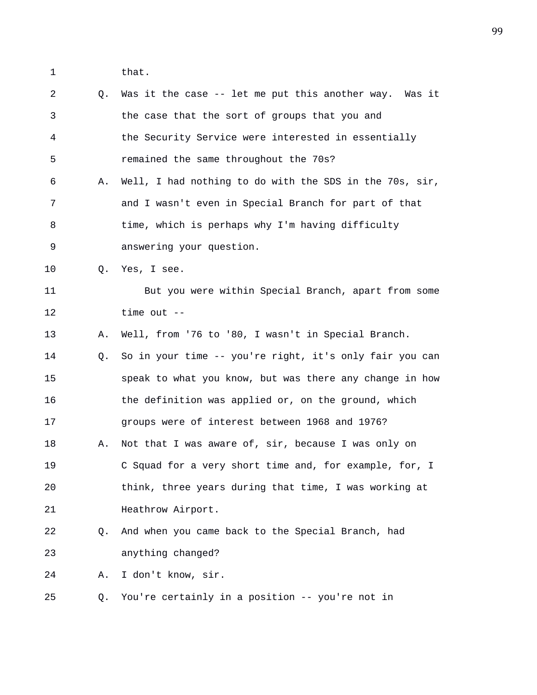1 that.

2 Q. Was it the case -- let me put this another way. Was it 3 the case that the sort of groups that you and 4 the Security Service were interested in essentially 5 remained the same throughout the 70s? 6 A. Well, I had nothing to do with the SDS in the 70s, sir, 7 and I wasn't even in Special Branch for part of that 8 time, which is perhaps why I'm having difficulty 9 answering your question. 10 0. Yes, I see. 11 But you were within Special Branch, apart from some 12 time out -- 13 A. Well, from '76 to '80, I wasn't in Special Branch. 14 Q. So in your time -- you're right, it's only fair you can 15 speak to what you know, but was there any change in how 16 the definition was applied or, on the ground, which 17 groups were of interest between 1968 and 1976? 18 A. Not that I was aware of, sir, because I was only on 19 C Squad for a very short time and, for example, for, I 20 think, three years during that time, I was working at 21 **Heathrow Airport.** 22 Q. And when you came back to the Special Branch, had 23 anything changed? 24 A. I don't know, sir. 25 Q. You're certainly in a position -- you're not in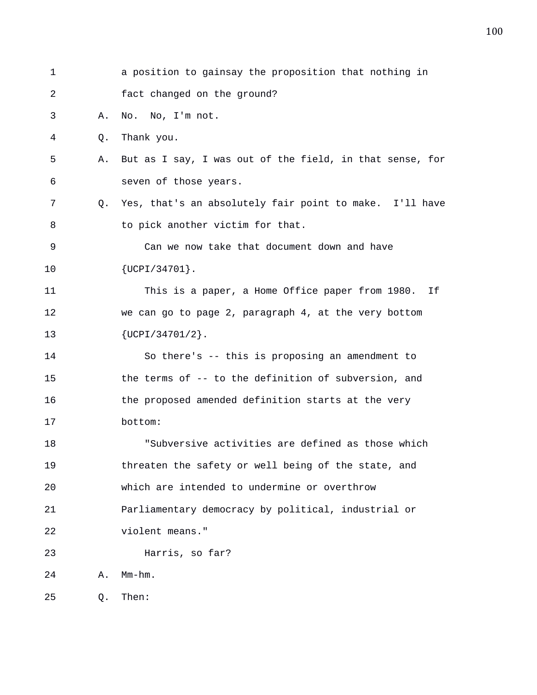| 1  |    | a position to gainsay the proposition that nothing in    |
|----|----|----------------------------------------------------------|
| 2  |    | fact changed on the ground?                              |
| 3  | Α. | No. No, I'm not.                                         |
| 4  | Q. | Thank you.                                               |
| 5  | Α. | But as I say, I was out of the field, in that sense, for |
| 6  |    | seven of those years.                                    |
| 7  | 0. | Yes, that's an absolutely fair point to make. I'll have  |
| 8  |    | to pick another victim for that.                         |
| 9  |    | Can we now take that document down and have              |
| 10 |    | $\{UCPI/34701\}$ .                                       |
| 11 |    | This is a paper, a Home Office paper from 1980. If       |
| 12 |    | we can go to page 2, paragraph 4, at the very bottom     |
| 13 |    | $\{UCPI/34701/2\}$ .                                     |
| 14 |    | So there's -- this is proposing an amendment to          |
| 15 |    | the terms of -- to the definition of subversion, and     |
| 16 |    | the proposed amended definition starts at the very       |
| 17 |    | bottom:                                                  |
| 18 |    | "Subversive activities are defined as those which        |
| 19 |    | threaten the safety or well being of the state, and      |
| 20 |    | which are intended to undermine or overthrow             |
| 21 |    | Parliamentary democracy by political, industrial or      |
| 22 |    | violent means."                                          |
| 23 |    | Harris, so far?                                          |
| 24 | Α. | $Mm-hm$ .                                                |
| 25 | Q. | Then:                                                    |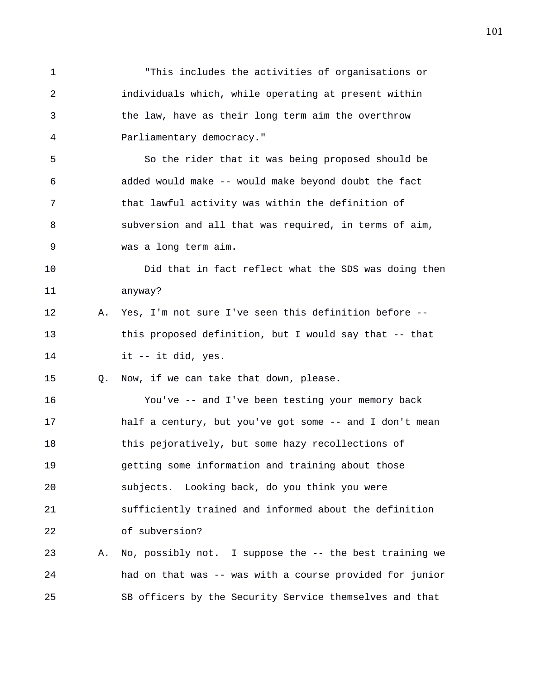1 "This includes the activities of organisations or 2 individuals which, while operating at present within 3 the law, have as their long term aim the overthrow 4 Parliamentary democracy." 5 So the rider that it was being proposed should be 6 added would make -- would make beyond doubt the fact 7 that lawful activity was within the definition of 8 subversion and all that was required, in terms of aim, 9 was a long term aim. 10 Did that in fact reflect what the SDS was doing then 11 anyway? 12 A. Yes, I'm not sure I've seen this definition before -- 13 this proposed definition, but I would say that -- that 14 it -- it did, yes. 15 Q. Now, if we can take that down, please. 16 You've -- and I've been testing your memory back 17 half a century, but you've got some -- and I don't mean 18 this pejoratively, but some hazy recollections of 19 getting some information and training about those 20 subjects. Looking back, do you think you were 21 sufficiently trained and informed about the definition 22 of subversion? 23 A. No, possibly not. I suppose the -- the best training we 24 had on that was -- was with a course provided for junior 25 SB officers by the Security Service themselves and that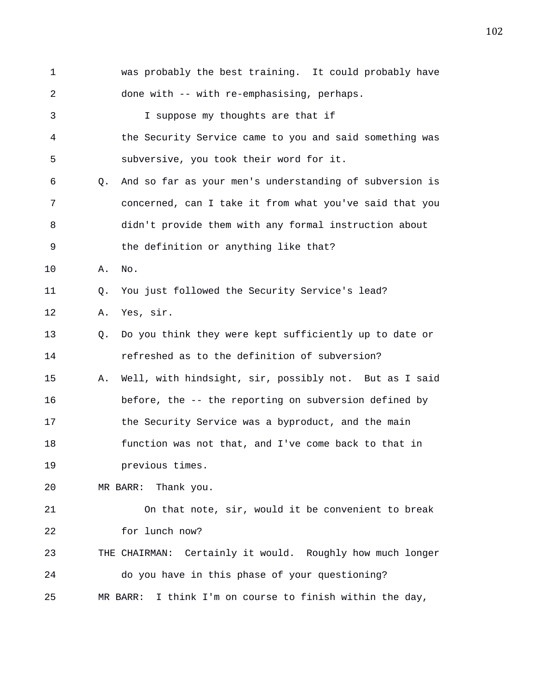1 was probably the best training. It could probably have 2 done with -- with re-emphasising, perhaps. 3 I suppose my thoughts are that if 4 the Security Service came to you and said something was 5 subversive, you took their word for it. 6 Q. And so far as your men's understanding of subversion is 7 concerned, can I take it from what you've said that you 8 didn't provide them with any formal instruction about 9 the definition or anything like that? 10 A. No. 11 Q. You just followed the Security Service's lead? 12 A. Yes, sir. 13 Q. Do you think they were kept sufficiently up to date or 14 refreshed as to the definition of subversion? 15 A. Well, with hindsight, sir, possibly not. But as I said 16 before, the -- the reporting on subversion defined by 17 the Security Service was a byproduct, and the main 18 function was not that, and I've come back to that in 19 previous times. 20 MR BARR: Thank you. 21 On that note, sir, would it be convenient to break 22 for lunch now? 23 THE CHAIRMAN: Certainly it would. Roughly how much longer 24 do you have in this phase of your questioning? 25 MR BARR: I think I'm on course to finish within the day,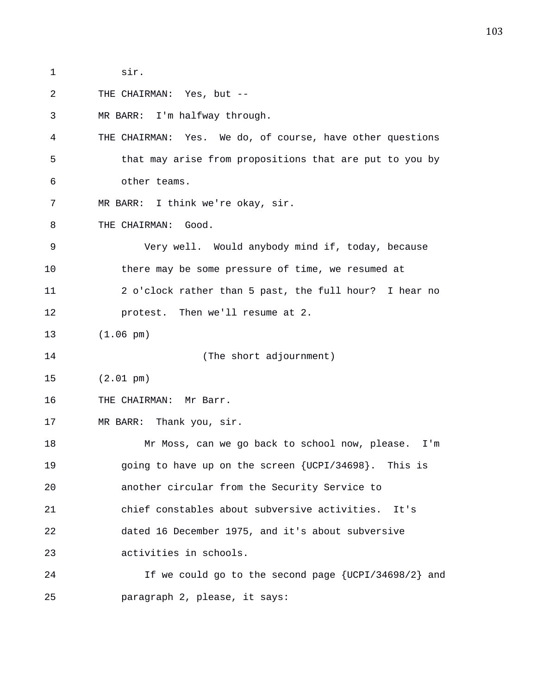1 sir.

2 THE CHAIRMAN: Yes, but --

3 MR BARR: I'm halfway through.

4 THE CHAIRMAN: Yes. We do, of course, have other questions 5 that may arise from propositions that are put to you by 6 other teams.

7 MR BARR: I think we're okay, sir.

8 THE CHAIRMAN: Good.

9 Very well. Would anybody mind if, today, because 10 there may be some pressure of time, we resumed at 11 2 o'clock rather than 5 past, the full hour? I hear no 12 protest. Then we'll resume at 2.

13 (1.06 pm)

14 (The short adjournment)

15 (2.01 pm)

16 THE CHAIRMAN: Mr Barr.

17 MR BARR: Thank you, sir.

18 Mr Moss, can we go back to school now, please. I'm 19 going to have up on the screen {UCPI/34698}. This is 20 another circular from the Security Service to 21 chief constables about subversive activities. It's 22 dated 16 December 1975, and it's about subversive 23 activities in schools.

24 If we could go to the second page {UCPI/34698/2} and 25 paragraph 2, please, it says: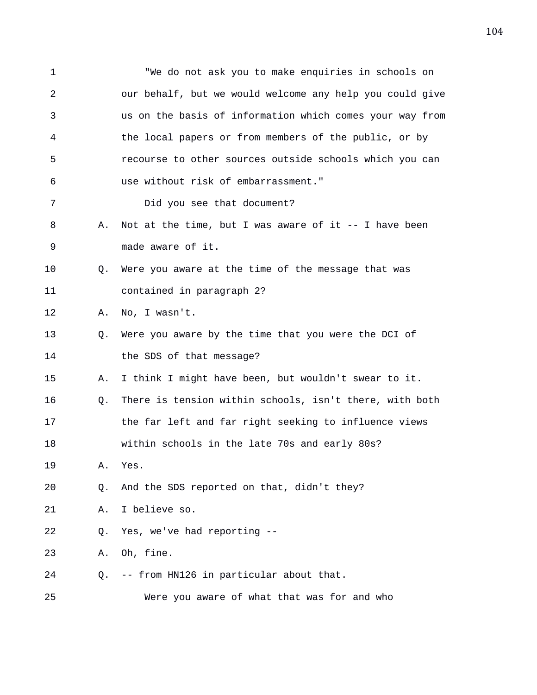1 "We do not ask you to make enquiries in schools on 2 our behalf, but we would welcome any help you could give 3 us on the basis of information which comes your way from 4 the local papers or from members of the public, or by 5 recourse to other sources outside schools which you can 6 use without risk of embarrassment." 7 Did you see that document? 8 A. Not at the time, but I was aware of it -- I have been 9 made aware of it. 10 Q. Were you aware at the time of the message that was 11 contained in paragraph 2? 12 A. No, I wasn't. 13 Q. Were you aware by the time that you were the DCI of 14 the SDS of that message? 15 A. I think I might have been, but wouldn't swear to it. 16 Q. There is tension within schools, isn't there, with both 17 the far left and far right seeking to influence views 18 within schools in the late 70s and early 80s? 19 A. Yes. 20 Q. And the SDS reported on that, didn't they? 21 A. I believe so. 22 Q. Yes, we've had reporting -- 23 A. Oh, fine. 24 Q. -- from HN126 in particular about that. 25 Were you aware of what that was for and who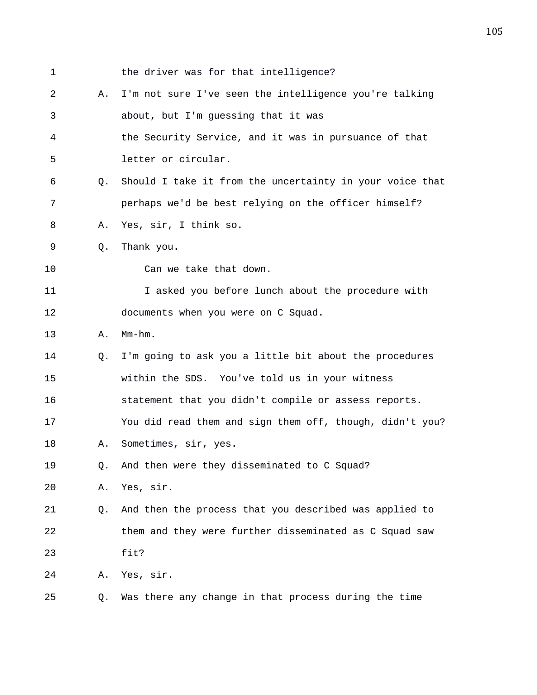| 1              |    | the driver was for that intelligence?                    |
|----------------|----|----------------------------------------------------------|
| $\overline{a}$ | Α. | I'm not sure I've seen the intelligence you're talking   |
| 3              |    | about, but I'm guessing that it was                      |
| 4              |    | the Security Service, and it was in pursuance of that    |
| 5              |    | letter or circular.                                      |
| 6              | O. | Should I take it from the uncertainty in your voice that |
| 7              |    | perhaps we'd be best relying on the officer himself?     |
| 8              | Α. | Yes, sir, I think so.                                    |
| 9              | Q. | Thank you.                                               |
| 10             |    | Can we take that down.                                   |
| 11             |    | I asked you before lunch about the procedure with        |
| 12             |    | documents when you were on C Squad.                      |
| 13             | Α. | $Mm-hm$ .                                                |
| 14             | Q. | I'm going to ask you a little bit about the procedures   |
| 15             |    | within the SDS. You've told us in your witness           |
| 16             |    | statement that you didn't compile or assess reports.     |
| 17             |    | You did read them and sign them off, though, didn't you? |
| 18             | Α. | Sometimes, sir, yes.                                     |
| 19             | Q. | And then were they disseminated to C Squad?              |
| 20             | Α. | Yes, sir.                                                |
| 21             | Q. | And then the process that you described was applied to   |
| 22             |    | them and they were further disseminated as C Squad saw   |
| 23             |    | fit?                                                     |
| 24             | Α. | Yes, sir.                                                |
| 25             | Q. | Was there any change in that process during the time     |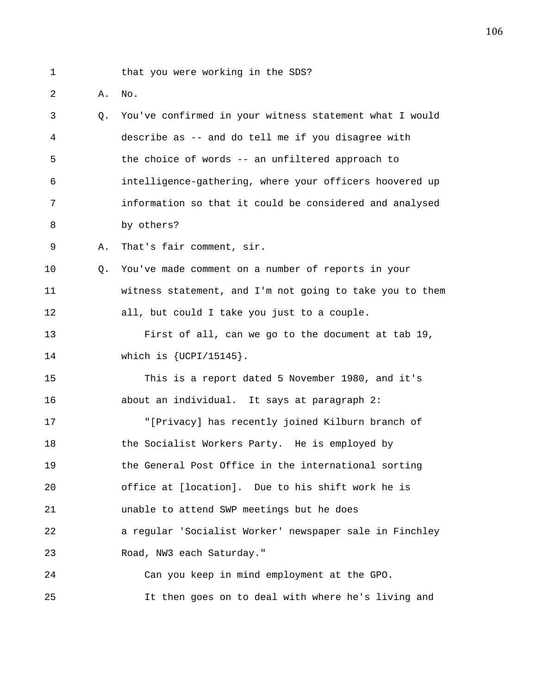1 that you were working in the SDS?

2 A. No.

3 Q. You've confirmed in your witness statement what I would 4 describe as -- and do tell me if you disagree with 5 the choice of words -- an unfiltered approach to 6 intelligence-gathering, where your officers hoovered up 7 information so that it could be considered and analysed 8 by others?

9 A. That's fair comment, sir.

10 Q. You've made comment on a number of reports in your 11 witness statement, and I'm not going to take you to them 12 all, but could I take you just to a couple.

13 First of all, can we go to the document at tab 19, 14 which is {UCPI/15145}.

15 This is a report dated 5 November 1980, and it's 16 about an individual. It says at paragraph 2:

17 "[Privacy] has recently joined Kilburn branch of 18 the Socialist Workers Party. He is employed by 19 the General Post Office in the international sorting 20 office at [location]. Due to his shift work he is 21 unable to attend SWP meetings but he does 22 a regular 'Socialist Worker' newspaper sale in Finchley 23 Road, NW3 each Saturday."

24 Can you keep in mind employment at the GPO. 25 It then goes on to deal with where he's living and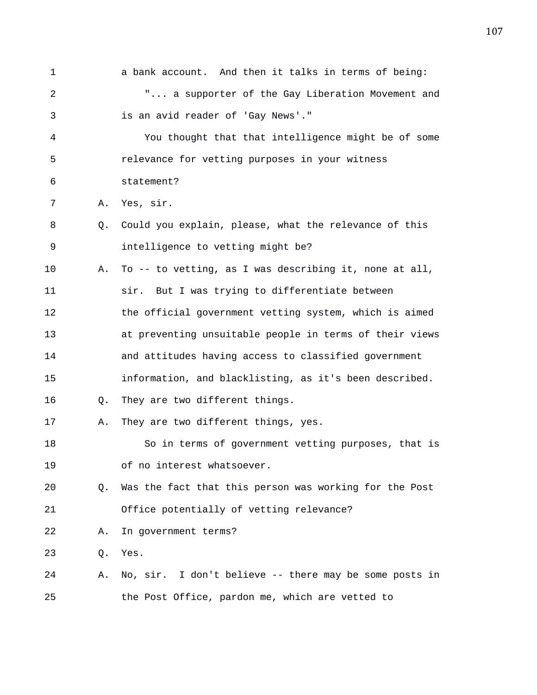1 a bank account. And then it talks in terms of being: 2 "... a supporter of the Gay Liberation Movement and 3 is an avid reader of 'Gay News'." 4 You thought that that intelligence might be of some 5 relevance for vetting purposes in your witness 6 statement? 7 A. Yes, sir. 8 Q. Could you explain, please, what the relevance of this 9 intelligence to vetting might be? 10 A. To -- to vetting, as I was describing it, none at all, 11 sir. But I was trying to differentiate between 12 the official government vetting system, which is aimed 13 at preventing unsuitable people in terms of their views 14 and attitudes having access to classified government 15 information, and blacklisting, as it's been described. 16 Q. They are two different things. 17 A. They are two different things, yes. 18 So in terms of government vetting purposes, that is 19 of no interest whatsoever. 20 Q. Was the fact that this person was working for the Post 21 Office potentially of vetting relevance? 22 A. In government terms? 23 Q. Yes. 24 A. No, sir. I don't believe -- there may be some posts in 25 the Post Office, pardon me, which are vetted to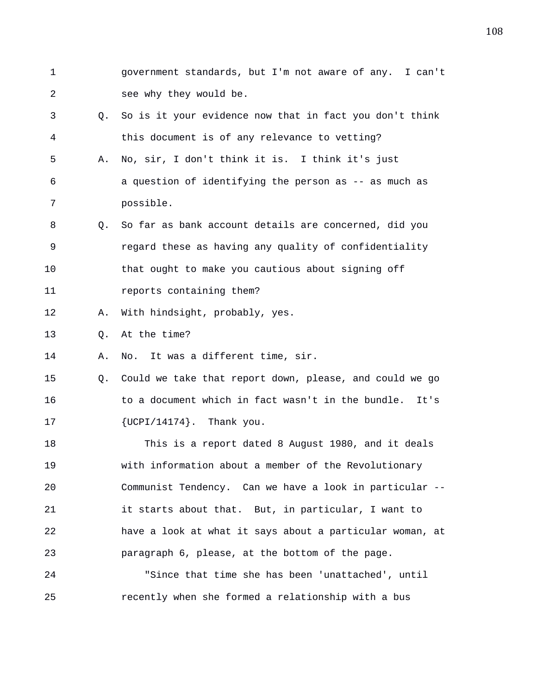1 government standards, but I'm not aware of any. I can't 2 see why they would be.

- 3 Q. So is it your evidence now that in fact you don't think 4 this document is of any relevance to vetting?
- 5 A. No, sir, I don't think it is. I think it's just 6 a question of identifying the person as -- as much as 7 possible.
- 8 Q. So far as bank account details are concerned, did you 9 regard these as having any quality of confidentiality 10 that ought to make you cautious about signing off 11 **reports** containing them?
- 12 A. With hindsight, probably, yes.

13 Q. At the time?

14 A. No. It was a different time, sir.

15 Q. Could we take that report down, please, and could we go 16 to a document which in fact wasn't in the bundle. It's 17  ${UCPI}/14174$ . Thank you.

18 This is a report dated 8 August 1980, and it deals 19 with information about a member of the Revolutionary 20 Communist Tendency. Can we have a look in particular -- 21 it starts about that. But, in particular, I want to 22 have a look at what it says about a particular woman, at 23 paragraph 6, please, at the bottom of the page.

24 "Since that time she has been 'unattached', until 25 recently when she formed a relationship with a bus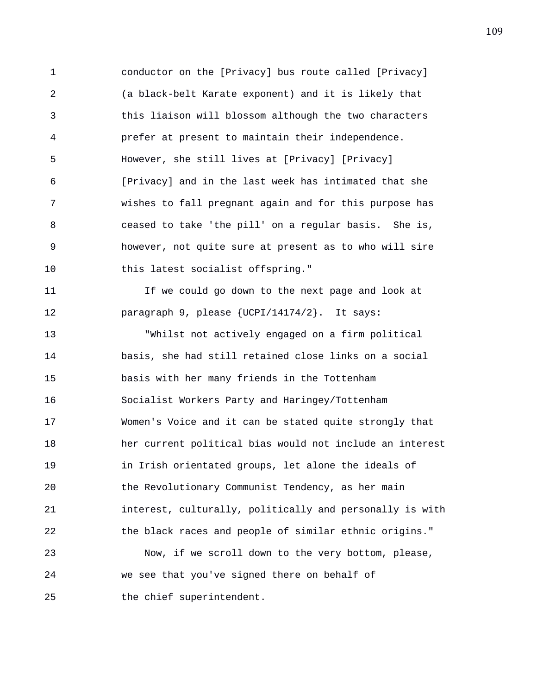1 conductor on the [Privacy] bus route called [Privacy] 2 (a black-belt Karate exponent) and it is likely that 3 this liaison will blossom although the two characters 4 prefer at present to maintain their independence. 5 However, she still lives at [Privacy] [Privacy] 6 [Privacy] and in the last week has intimated that she 7 wishes to fall pregnant again and for this purpose has 8 ceased to take 'the pill' on a regular basis. She is, 9 however, not quite sure at present as to who will sire 10 this latest socialist offspring."

11 If we could go down to the next page and look at 12 paragraph 9, please {UCPI/14174/2}. It says:

13 "Whilst not actively engaged on a firm political 14 basis, she had still retained close links on a social 15 basis with her many friends in the Tottenham 16 Socialist Workers Party and Haringey/Tottenham 17 Women's Voice and it can be stated quite strongly that 18 her current political bias would not include an interest 19 in Irish orientated groups, let alone the ideals of 20 the Revolutionary Communist Tendency, as her main 21 interest, culturally, politically and personally is with 22 the black races and people of similar ethnic origins."

23 Now, if we scroll down to the very bottom, please, 24 we see that you've signed there on behalf of 25 the chief superintendent.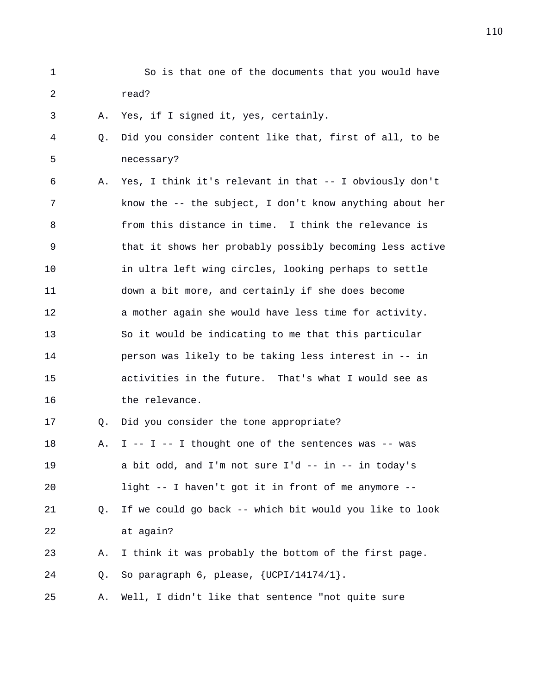1 So is that one of the documents that you would have 2 read?

3 A. Yes, if I signed it, yes, certainly.

4 Q. Did you consider content like that, first of all, to be 5 necessary?

6 A. Yes, I think it's relevant in that -- I obviously don't 7 know the -- the subject, I don't know anything about her 8 from this distance in time. I think the relevance is 9 that it shows her probably possibly becoming less active 10 in ultra left wing circles, looking perhaps to settle 11 down a bit more, and certainly if she does become 12 a mother again she would have less time for activity. 13 So it would be indicating to me that this particular 14 person was likely to be taking less interest in -- in 15 activities in the future. That's what I would see as 16 the relevance. 17 Q. Did you consider the tone appropriate? 18 A. I -- I -- I thought one of the sentences was -- was 19 a bit odd, and I'm not sure I'd -- in -- in today's

20 light -- I haven't got it in front of me anymore -- 21 Q. If we could go back -- which bit would you like to look 22 at again?

23 A. I think it was probably the bottom of the first page. 24 Q. So paragraph 6, please, {UCPI/14174/1}.

25 A. Well, I didn't like that sentence "not quite sure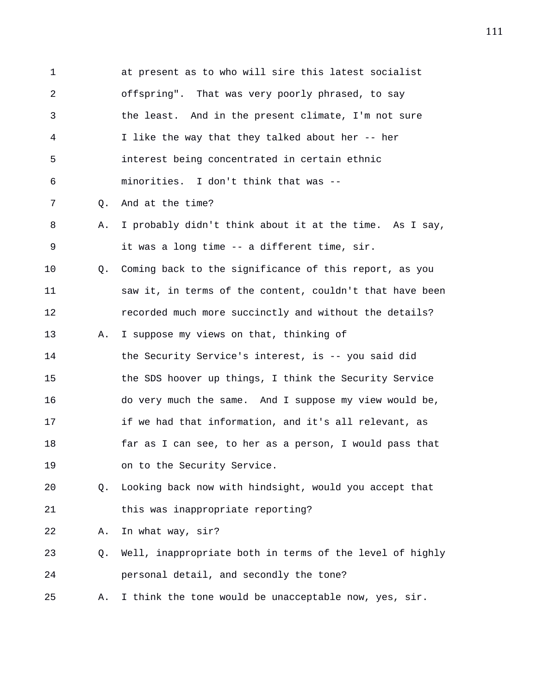1 at present as to who will sire this latest socialist 2 offspring". That was very poorly phrased, to say 3 the least. And in the present climate, I'm not sure 4 I like the way that they talked about her -- her 5 interest being concentrated in certain ethnic 6 minorities. I don't think that was -- 7 Q. And at the time? 8 A. I probably didn't think about it at the time. As I say, 9 it was a long time -- a different time, sir. 10 Q. Coming back to the significance of this report, as you 11 saw it, in terms of the content, couldn't that have been 12 recorded much more succinctly and without the details? 13 A. I suppose my views on that, thinking of 14 the Security Service's interest, is -- you said did 15 the SDS hoover up things, I think the Security Service 16 do very much the same. And I suppose my view would be, 17 if we had that information, and it's all relevant, as 18 far as I can see, to her as a person, I would pass that 19 on to the Security Service. 20 Q. Looking back now with hindsight, would you accept that 21 this was inappropriate reporting? 22 A. In what way, sir? 23 Q. Well, inappropriate both in terms of the level of highly 24 personal detail, and secondly the tone? 25 A. I think the tone would be unacceptable now, yes, sir.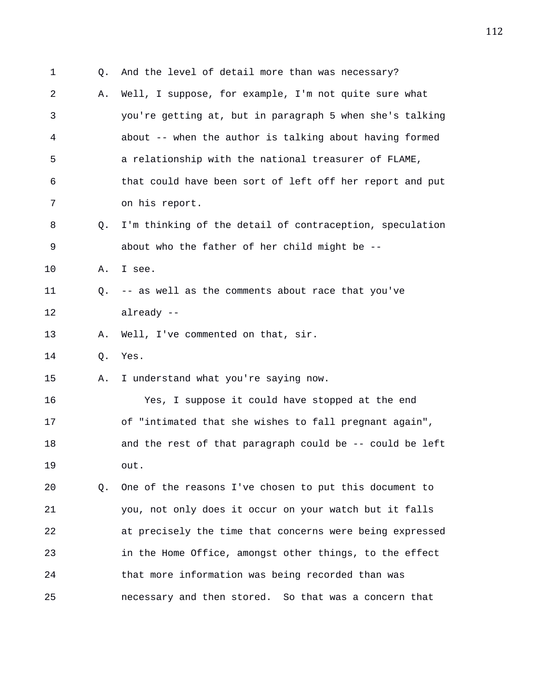1 Q. And the level of detail more than was necessary? 2 A. Well, I suppose, for example, I'm not quite sure what 3 you're getting at, but in paragraph 5 when she's talking 4 about -- when the author is talking about having formed 5 a relationship with the national treasurer of FLAME, 6 that could have been sort of left off her report and put 7 on his report. 8 Q. I'm thinking of the detail of contraception, speculation 9 about who the father of her child might be -- 10 A. I see. 11 Q. -- as well as the comments about race that you've 12 already -- 13 A. Well, I've commented on that, sir. 14 Q. Yes. 15 A. I understand what you're saying now. 16 Yes, I suppose it could have stopped at the end 17 of "intimated that she wishes to fall pregnant again", 18 and the rest of that paragraph could be -- could be left 19 out. 20 Q. One of the reasons I've chosen to put this document to 21 you, not only does it occur on your watch but it falls 22 at precisely the time that concerns were being expressed 23 in the Home Office, amongst other things, to the effect 24 that more information was being recorded than was 25 necessary and then stored. So that was a concern that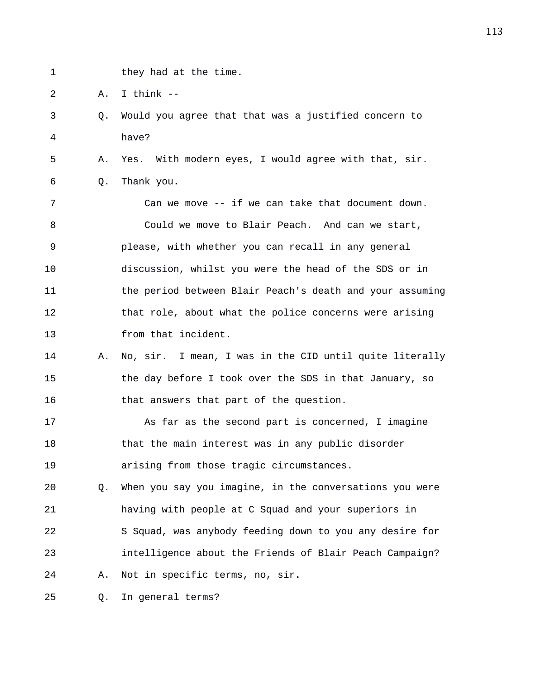- 
- 1 they had at the time.

2 A. I think --

3 Q. Would you agree that that was a justified concern to 4 have?

5 A. Yes. With modern eyes, I would agree with that, sir. 6 Q. Thank you.

7 Can we move -- if we can take that document down. 8 Could we move to Blair Peach. And can we start, 9 please, with whether you can recall in any general 10 discussion, whilst you were the head of the SDS or in 11 the period between Blair Peach's death and your assuming 12 that role, about what the police concerns were arising 13 from that incident.

14 A. No, sir. I mean, I was in the CID until quite literally 15 the day before I took over the SDS in that January, so 16 that answers that part of the question.

17 As far as the second part is concerned, I imagine 18 that the main interest was in any public disorder 19 arising from those tragic circumstances.

20 Q. When you say you imagine, in the conversations you were 21 having with people at C Squad and your superiors in 22 S Squad, was anybody feeding down to you any desire for 23 intelligence about the Friends of Blair Peach Campaign? 24 A. Not in specific terms, no, sir.

25 Q. In general terms?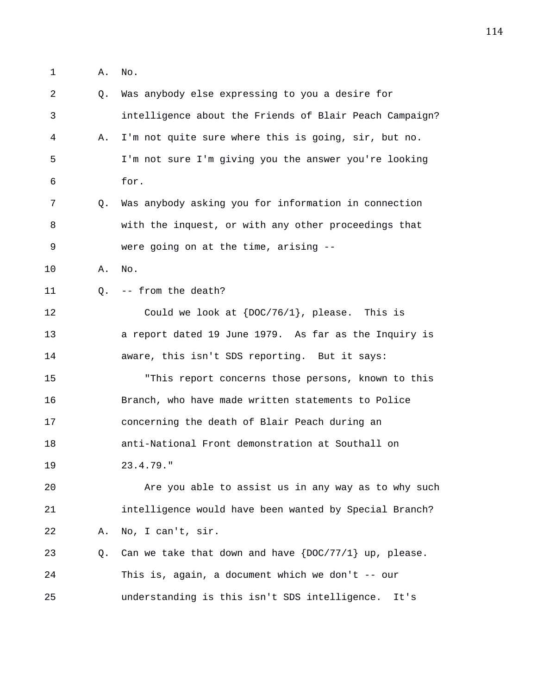1 A. No.

2 Q. Was anybody else expressing to you a desire for 3 intelligence about the Friends of Blair Peach Campaign? 4 A. I'm not quite sure where this is going, sir, but no. 5 I'm not sure I'm giving you the answer you're looking 6 for. 7 Q. Was anybody asking you for information in connection 8 with the inquest, or with any other proceedings that 9 were going on at the time, arising -- 10 A. No. 11 0. -- from the death? 12 Could we look at {DOC/76/1}, please. This is 13 a report dated 19 June 1979. As far as the Inquiry is 14 aware, this isn't SDS reporting. But it says: 15 "This report concerns those persons, known to this 16 Branch, who have made written statements to Police 17 concerning the death of Blair Peach during an 18 anti-National Front demonstration at Southall on 19 23.4.79." 20 Are you able to assist us in any way as to why such 21 intelligence would have been wanted by Special Branch? 22 A. No, I can't, sir. 23  $Q.$  Can we take that down and have  $\{DOC/77/1\}$  up, please. 24 This is, again, a document which we don't -- our 25 understanding is this isn't SDS intelligence. It's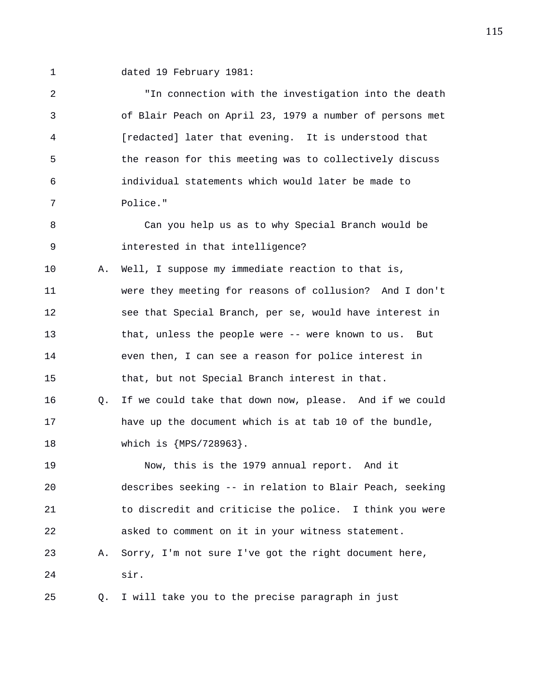- 
- 1 dated 19 February 1981:

2 "In connection with the investigation into the death 3 of Blair Peach on April 23, 1979 a number of persons met 4 [redacted] later that evening. It is understood that 5 the reason for this meeting was to collectively discuss 6 individual statements which would later be made to 7 Police." 8 Can you help us as to why Special Branch would be 9 interested in that intelligence? 10 A. Well, I suppose my immediate reaction to that is, 11 were they meeting for reasons of collusion? And I don't 12 see that Special Branch, per se, would have interest in 13 that, unless the people were -- were known to us. But 14 even then, I can see a reason for police interest in 15 that, but not Special Branch interest in that. 16 Q. If we could take that down now, please. And if we could 17 have up the document which is at tab 10 of the bundle, 18 which is {MPS/728963}. 19 Now, this is the 1979 annual report. And it 20 describes seeking -- in relation to Blair Peach, seeking 21 to discredit and criticise the police. I think you were 22 asked to comment on it in your witness statement. 23 A. Sorry, I'm not sure I've got the right document here, 24 sir. 25 Q. I will take you to the precise paragraph in just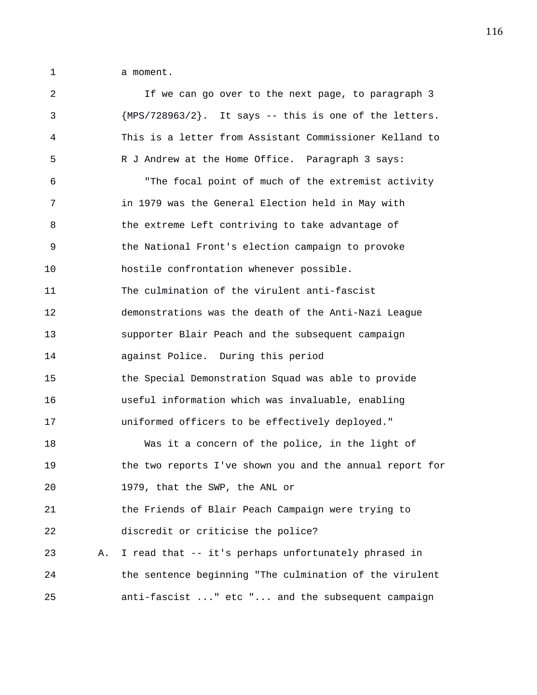1 a moment.

| 2  |    | If we can go over to the next page, to paragraph 3        |
|----|----|-----------------------------------------------------------|
| 3  |    | ${MPS}/728963/2$ . It says -- this is one of the letters. |
| 4  |    | This is a letter from Assistant Commissioner Kelland to   |
| 5  |    | R J Andrew at the Home Office. Paragraph 3 says:          |
| 6  |    | "The focal point of much of the extremist activity        |
| 7  |    | in 1979 was the General Election held in May with         |
| 8  |    | the extreme Left contriving to take advantage of          |
| 9  |    | the National Front's election campaign to provoke         |
| 10 |    | hostile confrontation whenever possible.                  |
| 11 |    | The culmination of the virulent anti-fascist              |
| 12 |    | demonstrations was the death of the Anti-Nazi League      |
| 13 |    | supporter Blair Peach and the subsequent campaign         |
| 14 |    | against Police. During this period                        |
| 15 |    | the Special Demonstration Squad was able to provide       |
| 16 |    | useful information which was invaluable, enabling         |
| 17 |    | uniformed officers to be effectively deployed."           |
| 18 |    | Was it a concern of the police, in the light of           |
| 19 |    | the two reports I've shown you and the annual report for  |
| 20 |    | 1979, that the SWP, the ANL or                            |
| 21 |    | the Friends of Blair Peach Campaign were trying to        |
| 22 |    | discredit or criticise the police?                        |
| 23 | Α. | I read that -- it's perhaps unfortunately phrased in      |
| 24 |    | the sentence beginning "The culmination of the virulent   |
| 25 |    | anti-fascist " etc " and the subsequent campaign          |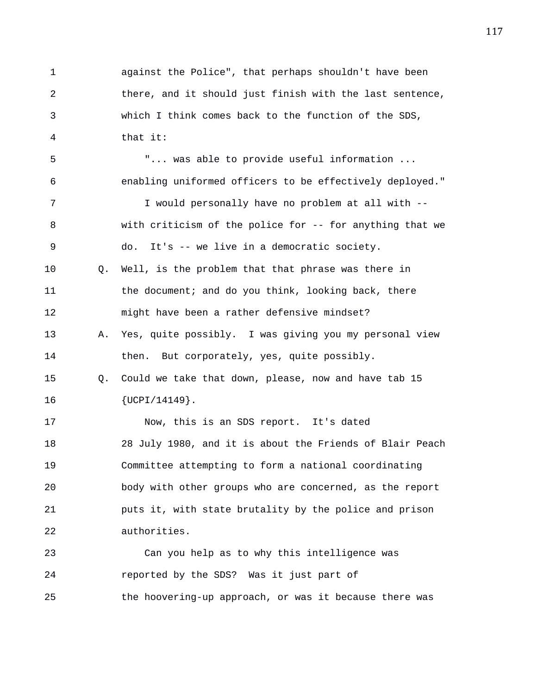1 against the Police", that perhaps shouldn't have been 2 there, and it should just finish with the last sentence, 3 which I think comes back to the function of the SDS, 4 that it: 5 "... was able to provide useful information ... 6 enabling uniformed officers to be effectively deployed." 7 I would personally have no problem at all with -- 8 with criticism of the police for -- for anything that we 9 do. It's -- we live in a democratic society. 10 Q. Well, is the problem that that phrase was there in 11 the document; and do you think, looking back, there 12 might have been a rather defensive mindset? 13 A. Yes, quite possibly. I was giving you my personal view 14 then. But corporately, yes, quite possibly. 15 Q. Could we take that down, please, now and have tab 15 16 {UCPI/14149}. 17 Now, this is an SDS report. It's dated 18 28 July 1980, and it is about the Friends of Blair Peach 19 Committee attempting to form a national coordinating 20 body with other groups who are concerned, as the report 21 puts it, with state brutality by the police and prison 22 authorities. 23 Can you help as to why this intelligence was 24 reported by the SDS? Was it just part of 25 the hoovering-up approach, or was it because there was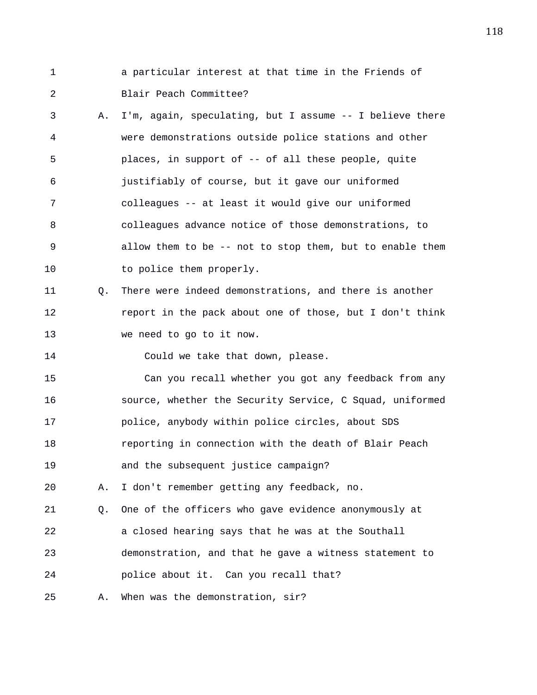1 a particular interest at that time in the Friends of 2 Blair Peach Committee?

- 3 A. I'm, again, speculating, but I assume -- I believe there 4 were demonstrations outside police stations and other 5 places, in support of -- of all these people, quite 6 justifiably of course, but it gave our uniformed 7 colleagues -- at least it would give our uniformed 8 colleagues advance notice of those demonstrations, to 9 allow them to be -- not to stop them, but to enable them 10 to police them properly.
- 11 Q. There were indeed demonstrations, and there is another 12 report in the pack about one of those, but I don't think 13 we need to go to it now.

14 Could we take that down, please.

15 Can you recall whether you got any feedback from any 16 source, whether the Security Service, C Squad, uniformed 17 police, anybody within police circles, about SDS 18 reporting in connection with the death of Blair Peach 19 and the subsequent justice campaign?

20 A. I don't remember getting any feedback, no.

21 Q. One of the officers who gave evidence anonymously at 22 a closed hearing says that he was at the Southall 23 demonstration, and that he gave a witness statement to 24 police about it. Can you recall that?

25 A. When was the demonstration, sir?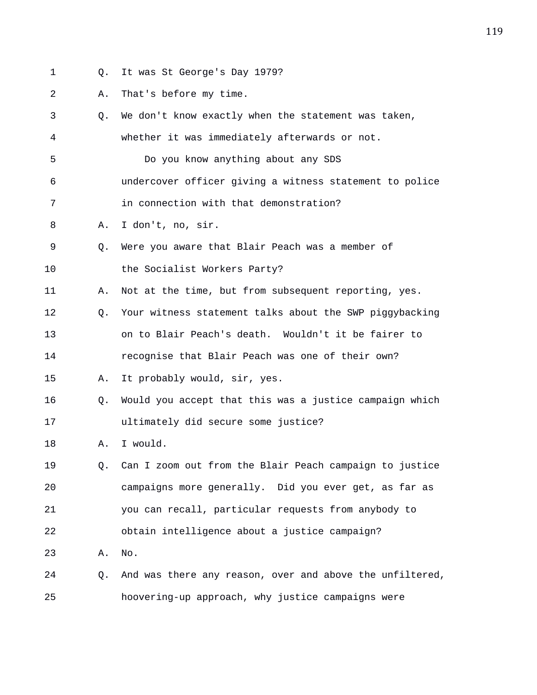- 
- 1 Q. It was St George's Day 1979?

2 A. That's before my time.

3 Q. We don't know exactly when the statement was taken, 4 whether it was immediately afterwards or not. 5 Do you know anything about any SDS 6 undercover officer giving a witness statement to police 7 in connection with that demonstration? 8 A. I don't, no, sir. 9 Q. Were you aware that Blair Peach was a member of 10 the Socialist Workers Party? 11 A. Not at the time, but from subsequent reporting, yes. 12 Q. Your witness statement talks about the SWP piggybacking 13 on to Blair Peach's death. Wouldn't it be fairer to 14 recognise that Blair Peach was one of their own? 15 A. It probably would, sir, yes. 16 Q. Would you accept that this was a justice campaign which 17 ultimately did secure some justice? 18 A. I would. 19 Q. Can I zoom out from the Blair Peach campaign to justice 20 campaigns more generally. Did you ever get, as far as 21 you can recall, particular requests from anybody to 22 obtain intelligence about a justice campaign? 23 A. No. 24 Q. And was there any reason, over and above the unfiltered, 25 hoovering-up approach, why justice campaigns were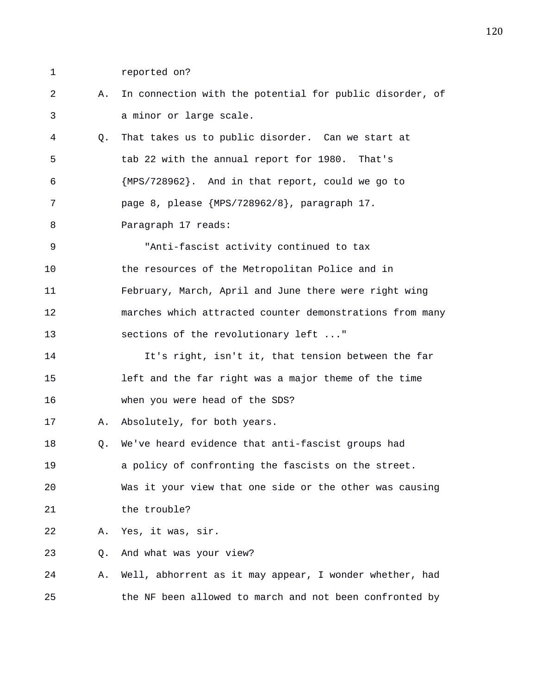- 
- 1 reported on?

2 A. In connection with the potential for public disorder, of 3 a minor or large scale. 4 Q. That takes us to public disorder. Can we start at 5 tab 22 with the annual report for 1980. That's 6 {MPS/728962}. And in that report, could we go to 7 page 8, please {MPS/728962/8}, paragraph 17. 8 Paragraph 17 reads: 9 "Anti-fascist activity continued to tax 10 the resources of the Metropolitan Police and in 11 February, March, April and June there were right wing 12 marches which attracted counter demonstrations from many 13 sections of the revolutionary left ..." 14 It's right, isn't it, that tension between the far 15 left and the far right was a major theme of the time 16 when you were head of the SDS? 17 A. Absolutely, for both years. 18 Q. We've heard evidence that anti-fascist groups had 19 a policy of confronting the fascists on the street. 20 Was it your view that one side or the other was causing 21 the trouble? 22 A. Yes, it was, sir. 23 Q. And what was your view? 24 A. Well, abhorrent as it may appear, I wonder whether, had 25 the NF been allowed to march and not been confronted by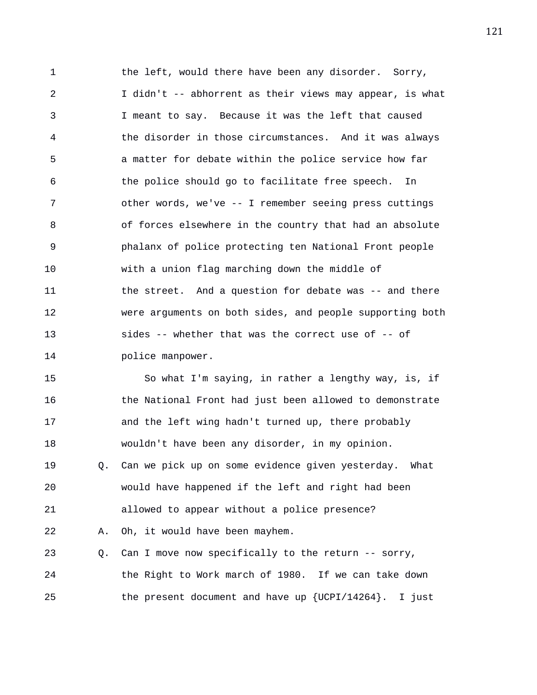1 the left, would there have been any disorder. Sorry, 2 I didn't -- abhorrent as their views may appear, is what 3 I meant to say. Because it was the left that caused 4 the disorder in those circumstances. And it was always 5 a matter for debate within the police service how far 6 the police should go to facilitate free speech. In 7 other words, we've -- I remember seeing press cuttings 8 of forces elsewhere in the country that had an absolute 9 phalanx of police protecting ten National Front people 10 with a union flag marching down the middle of 11 the street. And a question for debate was -- and there 12 were arguments on both sides, and people supporting both 13 sides -- whether that was the correct use of -- of 14 **police manpower.** 

15 So what I'm saying, in rather a lengthy way, is, if 16 **the National Front had just been allowed to demonstrate** 17 and the left wing hadn't turned up, there probably 18 wouldn't have been any disorder, in my opinion. 19 Q. Can we pick up on some evidence given yesterday. What 20 would have happened if the left and right had been 21 allowed to appear without a police presence? 22 A. Oh, it would have been mayhem. 23 Q. Can I move now specifically to the return -- sorry, 24 the Right to Work march of 1980. If we can take down 25 the present document and have up {UCPI/14264}. I just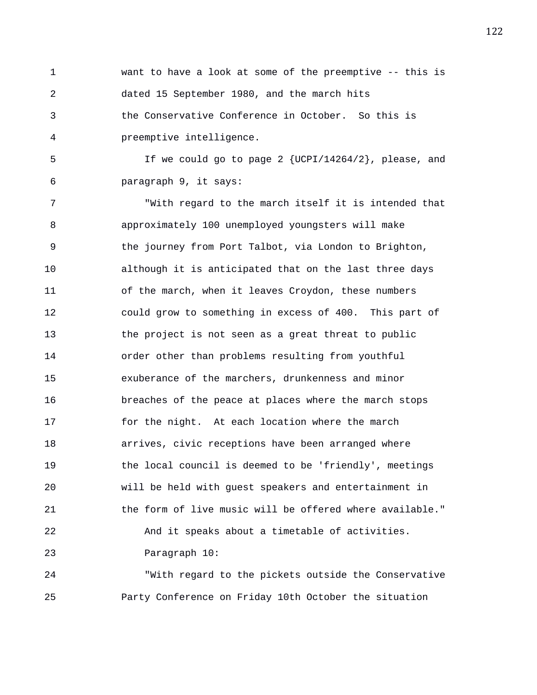1 want to have a look at some of the preemptive -- this is 2 dated 15 September 1980, and the march hits 3 the Conservative Conference in October. So this is 4 preemptive intelligence.

5 If we could go to page 2 {UCPI/14264/2}, please, and 6 paragraph 9, it says:

7 "With regard to the march itself it is intended that 8 approximately 100 unemployed youngsters will make 9 the journey from Port Talbot, via London to Brighton, 10 although it is anticipated that on the last three days 11 of the march, when it leaves Croydon, these numbers 12 could grow to something in excess of 400. This part of 13 the project is not seen as a great threat to public 14 order other than problems resulting from youthful 15 exuberance of the marchers, drunkenness and minor 16 breaches of the peace at places where the march stops 17 for the night. At each location where the march 18 arrives, civic receptions have been arranged where 19 the local council is deemed to be 'friendly', meetings 20 will be held with guest speakers and entertainment in 21 the form of live music will be offered where available." 22 And it speaks about a timetable of activities. 23 Paragraph 10:

24 "With regard to the pickets outside the Conservative 25 Party Conference on Friday 10th October the situation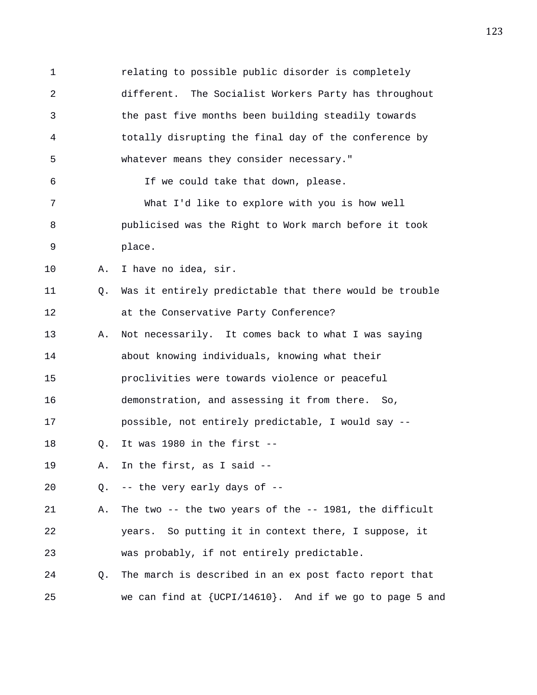1 relating to possible public disorder is completely 2 different. The Socialist Workers Party has throughout 3 the past five months been building steadily towards 4 totally disrupting the final day of the conference by 5 whatever means they consider necessary." 6 If we could take that down, please. 7 What I'd like to explore with you is how well 8 publicised was the Right to Work march before it took 9 place. 10 A. I have no idea, sir. 11 Q. Was it entirely predictable that there would be trouble 12 at the Conservative Party Conference? 13 A. Not necessarily. It comes back to what I was saying 14 about knowing individuals, knowing what their 15 proclivities were towards violence or peaceful 16 demonstration, and assessing it from there. So, 17 possible, not entirely predictable, I would say -- 18 Q. It was 1980 in the first -- 19 A. In the first, as I said -- 20 Q. -- the very early days of -- 21 A. The two -- the two years of the -- 1981, the difficult 22 years. So putting it in context there, I suppose, it 23 was probably, if not entirely predictable. 24 Q. The march is described in an ex post facto report that 25 we can find at {UCPI/14610}. And if we go to page 5 and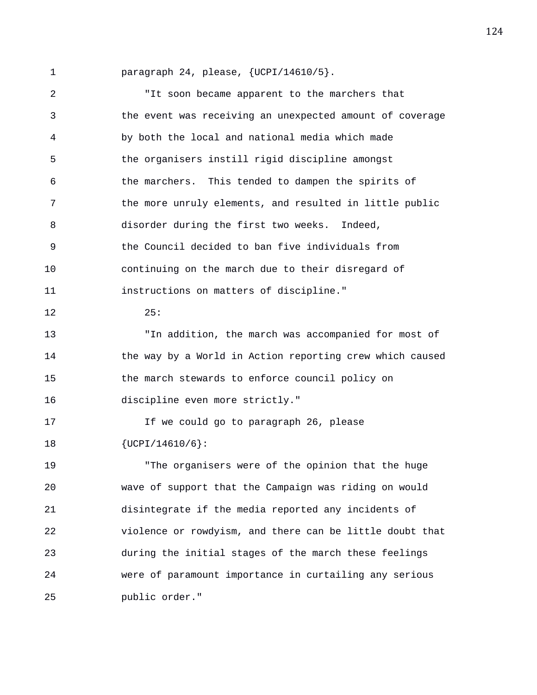1 paragraph 24, please, {UCPI/14610/5}.

2 "It soon became apparent to the marchers that 3 the event was receiving an unexpected amount of coverage 4 by both the local and national media which made 5 the organisers instill rigid discipline amongst 6 the marchers. This tended to dampen the spirits of 7 the more unruly elements, and resulted in little public 8 disorder during the first two weeks. Indeed, 9 the Council decided to ban five individuals from 10 continuing on the march due to their disregard of 11 instructions on matters of discipline." 12 25: 13 "In addition, the march was accompanied for most of 14 the way by a World in Action reporting crew which caused 15 the march stewards to enforce council policy on 16 discipline even more strictly." 17 If we could go to paragraph 26, please 18 {UCPI/14610/6}: 19 "The organisers were of the opinion that the huge 20 wave of support that the Campaign was riding on would 21 disintegrate if the media reported any incidents of 22 violence or rowdyism, and there can be little doubt that 23 during the initial stages of the march these feelings 24 were of paramount importance in curtailing any serious 25 public order."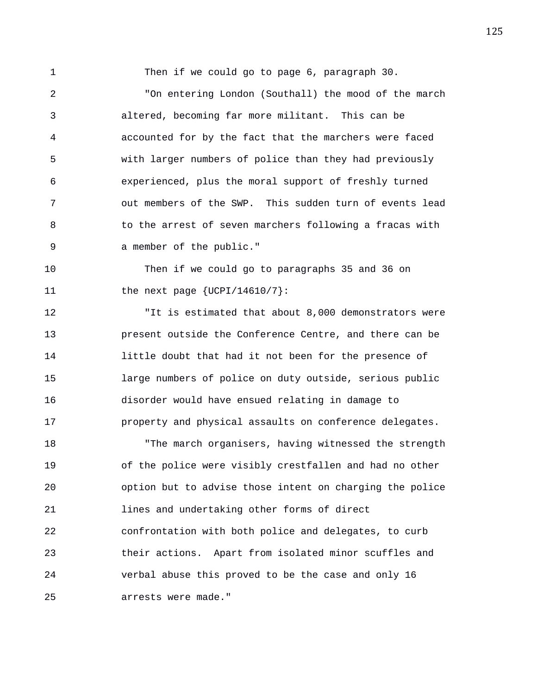1 Then if we could go to page 6, paragraph 30.

2 "On entering London (Southall) the mood of the march 3 altered, becoming far more militant. This can be 4 accounted for by the fact that the marchers were faced 5 with larger numbers of police than they had previously 6 experienced, plus the moral support of freshly turned 7 out members of the SWP. This sudden turn of events lead 8 to the arrest of seven marchers following a fracas with 9 a member of the public."

10 Then if we could go to paragraphs 35 and 36 on 11 the next page  $\{UCPI/14610/7\}$ :

12 "It is estimated that about 8,000 demonstrators were 13 present outside the Conference Centre, and there can be 14 little doubt that had it not been for the presence of 15 large numbers of police on duty outside, serious public 16 disorder would have ensued relating in damage to 17 property and physical assaults on conference delegates.

18 "The march organisers, having witnessed the strength 19 of the police were visibly crestfallen and had no other 20 option but to advise those intent on charging the police 21 lines and undertaking other forms of direct 22 confrontation with both police and delegates, to curb 23 their actions. Apart from isolated minor scuffles and 24 verbal abuse this proved to be the case and only 16 25 arrests were made."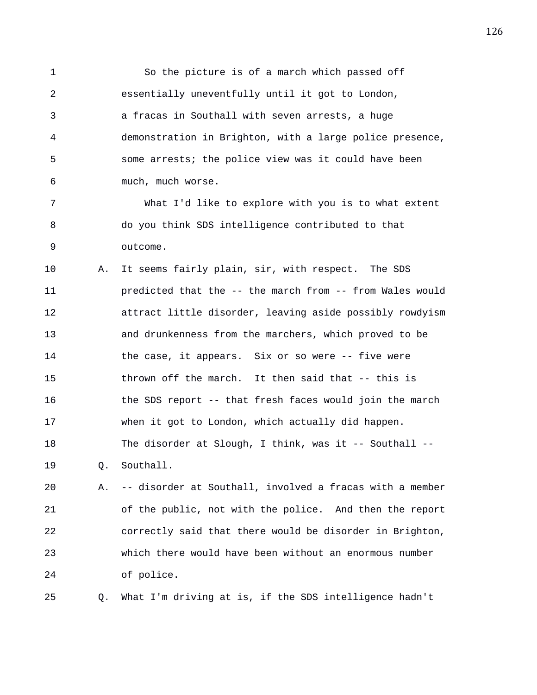1 So the picture is of a march which passed off 2 essentially uneventfully until it got to London, 3 a fracas in Southall with seven arrests, a huge 4 demonstration in Brighton, with a large police presence, 5 some arrests; the police view was it could have been 6 much, much worse.

7 What I'd like to explore with you is to what extent 8 do you think SDS intelligence contributed to that 9 outcome.

10 A. It seems fairly plain, sir, with respect. The SDS 11 predicted that the -- the march from -- from Wales would 12 attract little disorder, leaving aside possibly rowdyism 13 and drunkenness from the marchers, which proved to be 14 the case, it appears. Six or so were -- five were 15 thrown off the march. It then said that -- this is 16 the SDS report -- that fresh faces would join the march 17 when it got to London, which actually did happen. 18 The disorder at Slough, I think, was it -- Southall -- 19 Q. Southall.

20 A. -- disorder at Southall, involved a fracas with a member 21 of the public, not with the police. And then the report 22 correctly said that there would be disorder in Brighton, 23 which there would have been without an enormous number 24 of police.

25 Q. What I'm driving at is, if the SDS intelligence hadn't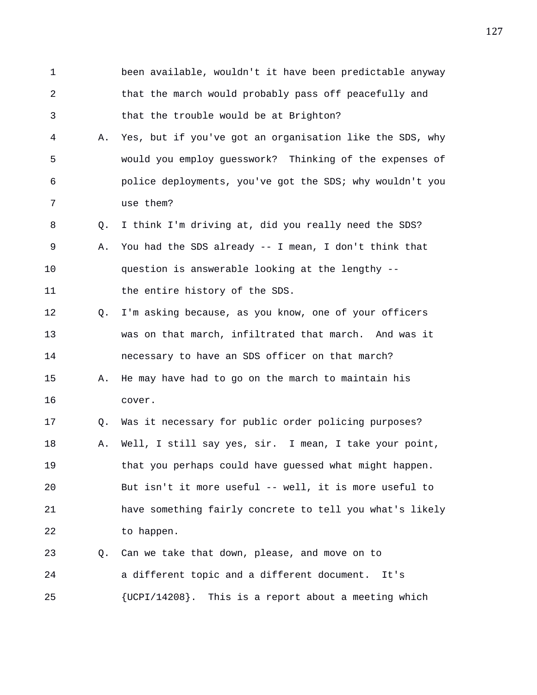1 been available, wouldn't it have been predictable anyway 2 that the march would probably pass off peacefully and 3 that the trouble would be at Brighton? 4 A. Yes, but if you've got an organisation like the SDS, why 5 would you employ guesswork? Thinking of the expenses of 6 police deployments, you've got the SDS; why wouldn't you 7 use them? 8 Q. I think I'm driving at, did you really need the SDS? 9 A. You had the SDS already -- I mean, I don't think that 10 question is answerable looking at the lengthy -- 11 the entire history of the SDS. 12 Q. I'm asking because, as you know, one of your officers 13 was on that march, infiltrated that march. And was it 14 necessary to have an SDS officer on that march? 15 A. He may have had to go on the march to maintain his 16 cover. 17 Q. Was it necessary for public order policing purposes? 18 A. Well, I still say yes, sir. I mean, I take your point, 19 that you perhaps could have guessed what might happen. 20 But isn't it more useful -- well, it is more useful to 21 have something fairly concrete to tell you what's likely 22 to happen. 23 Q. Can we take that down, please, and move on to 24 a different topic and a different document. It's 25 {UCPI/14208}. This is a report about a meeting which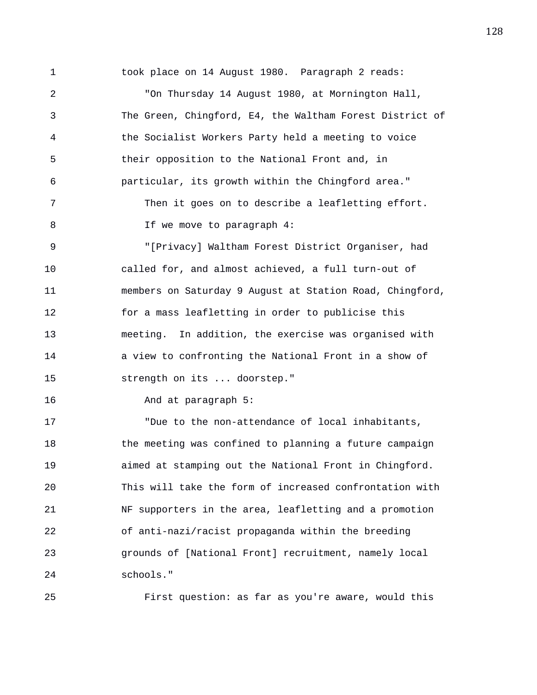1 took place on 14 August 1980. Paragraph 2 reads: 2 "On Thursday 14 August 1980, at Mornington Hall, 3 The Green, Chingford, E4, the Waltham Forest District of 4 the Socialist Workers Party held a meeting to voice 5 their opposition to the National Front and, in 6 particular, its growth within the Chingford area." 7 Then it goes on to describe a leafletting effort. 8 If we move to paragraph 4: 9 "[Privacy] Waltham Forest District Organiser, had 10 called for, and almost achieved, a full turn-out of 11 members on Saturday 9 August at Station Road, Chingford, 12 for a mass leafletting in order to publicise this 13 meeting. In addition, the exercise was organised with 14 a view to confronting the National Front in a show of 15 strength on its ... doorstep." 16 And at paragraph 5: 17 "Due to the non-attendance of local inhabitants, 18 the meeting was confined to planning a future campaign 19 aimed at stamping out the National Front in Chingford. 20 This will take the form of increased confrontation with 21 NF supporters in the area, leafletting and a promotion 22 of anti-nazi/racist propaganda within the breeding 23 grounds of [National Front] recruitment, namely local

24 schools."

25 First question: as far as you're aware, would this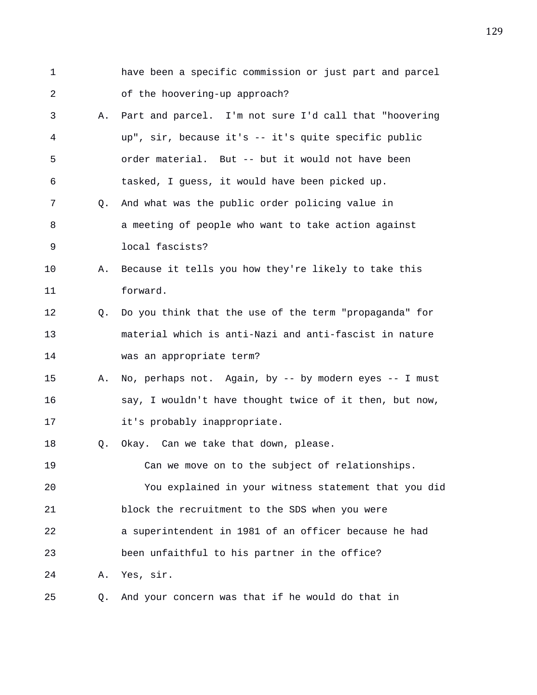1 have been a specific commission or just part and parcel 2 of the hoovering-up approach? 3 A. Part and parcel. I'm not sure I'd call that "hoovering 4 up", sir, because it's -- it's quite specific public 5 order material. But -- but it would not have been 6 tasked, I guess, it would have been picked up. 7 Q. And what was the public order policing value in 8 a meeting of people who want to take action against 9 local fascists? 10 A. Because it tells you how they're likely to take this 11 forward. 12 Q. Do you think that the use of the term "propaganda" for 13 material which is anti-Nazi and anti-fascist in nature 14 was an appropriate term? 15 A. No, perhaps not. Again, by -- by modern eyes -- I must 16 say, I wouldn't have thought twice of it then, but now, 17 it's probably inappropriate. 18 Q. Okay. Can we take that down, please. 19 Can we move on to the subject of relationships. 20 You explained in your witness statement that you did 21 block the recruitment to the SDS when you were 22 a superintendent in 1981 of an officer because he had 23 been unfaithful to his partner in the office? 24 A. Yes, sir. 25 Q. And your concern was that if he would do that in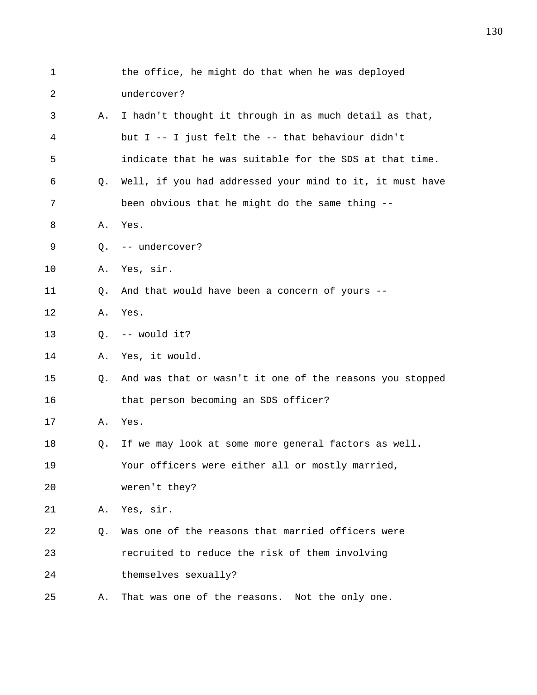| 1  |    | the office, he might do that when he was deployed        |
|----|----|----------------------------------------------------------|
| 2  |    | undercover?                                              |
| 3  | Α. | I hadn't thought it through in as much detail as that,   |
| 4  |    | but I -- I just felt the -- that behaviour didn't        |
| 5  |    | indicate that he was suitable for the SDS at that time.  |
| 6  | O. | Well, if you had addressed your mind to it, it must have |
| 7  |    | been obvious that he might do the same thing --          |
| 8  | Α. | Yes.                                                     |
| 9  | Q. | -- undercover?                                           |
| 10 | Α. | Yes, sir.                                                |
| 11 | Q. | And that would have been a concern of yours --           |
| 12 | Α. | Yes.                                                     |
| 13 | Q. | -- would it?                                             |
| 14 | Α. | Yes, it would.                                           |
| 15 | Q. | And was that or wasn't it one of the reasons you stopped |
| 16 |    | that person becoming an SDS officer?                     |
| 17 | Α. | Yes.                                                     |
| 18 | Q. | If we may look at some more general factors as well.     |
| 19 |    | Your officers were either all or mostly married,         |
| 20 |    | weren't they?                                            |
| 21 | Α. | Yes, sir.                                                |
| 22 | Q. | Was one of the reasons that married officers were        |
| 23 |    | recruited to reduce the risk of them involving           |
| 24 |    | themselves sexually?                                     |
| 25 | Α. | That was one of the reasons.<br>Not the only one.        |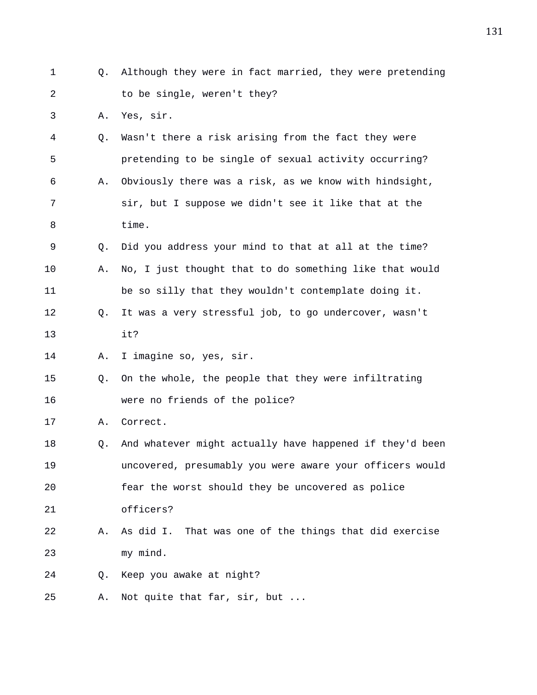1 Q. Although they were in fact married, they were pretending 2 to be single, weren't they? 3 A. Yes, sir. 4 Q. Wasn't there a risk arising from the fact they were 5 pretending to be single of sexual activity occurring? 6 A. Obviously there was a risk, as we know with hindsight, 7 sir, but I suppose we didn't see it like that at the 8 time. 9 Q. Did you address your mind to that at all at the time? 10 A. No, I just thought that to do something like that would 11 be so silly that they wouldn't contemplate doing it. 12 Q. It was a very stressful job, to go undercover, wasn't 13 it? 14 A. I imagine so, yes, sir. 15 Q. On the whole, the people that they were infiltrating 16 were no friends of the police? 17 A. Correct. 18 Q. And whatever might actually have happened if they'd been 19 uncovered, presumably you were aware your officers would 20 fear the worst should they be uncovered as police 21 officers? 22 A. As did I. That was one of the things that did exercise 23 my mind. 24 Q. Keep you awake at night? 25 A. Not quite that far, sir, but ...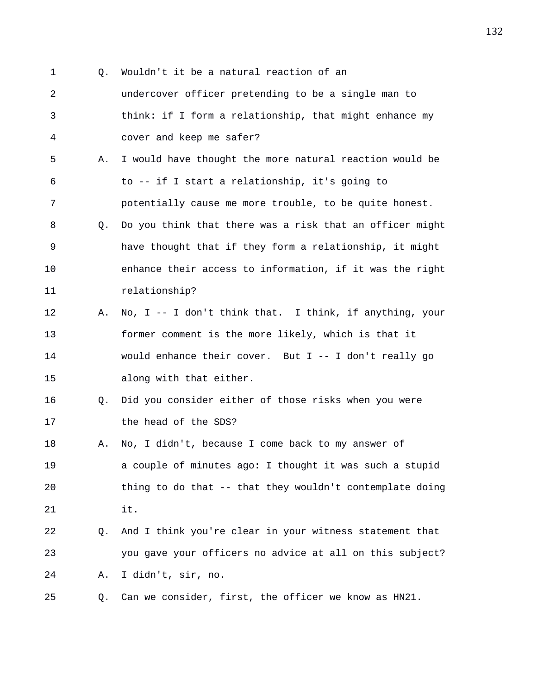1 Q. Wouldn't it be a natural reaction of an 2 undercover officer pretending to be a single man to 3 think: if I form a relationship, that might enhance my 4 cover and keep me safer? 5 A. I would have thought the more natural reaction would be 6 to -- if I start a relationship, it's going to 7 potentially cause me more trouble, to be quite honest. 8 Q. Do you think that there was a risk that an officer might 9 have thought that if they form a relationship, it might 10 enhance their access to information, if it was the right 11 relationship? 12 A. No, I -- I don't think that. I think, if anything, your 13 former comment is the more likely, which is that it 14 would enhance their cover. But I -- I don't really go 15 along with that either. 16 Q. Did you consider either of those risks when you were 17 the head of the SDS? 18 A. No, I didn't, because I come back to my answer of 19 a couple of minutes ago: I thought it was such a stupid 20 thing to do that -- that they wouldn't contemplate doing 21 it. 22 Q. And I think you're clear in your witness statement that 23 you gave your officers no advice at all on this subject? 24 A. I didn't, sir, no. 25 Q. Can we consider, first, the officer we know as HN21.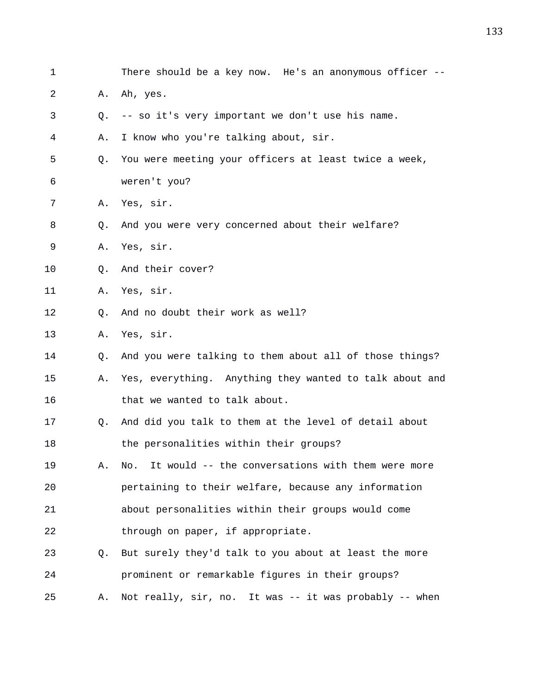| $\mathbf 1$ |    | There should be a key now. He's an anonymous officer --  |
|-------------|----|----------------------------------------------------------|
| 2           | Α. | Ah, yes.                                                 |
| 3           | Q. | -- so it's very important we don't use his name.         |
| 4           | Α. | I know who you're talking about, sir.                    |
| 5           | Q. | You were meeting your officers at least twice a week,    |
| 6           |    | weren't you?                                             |
| 7           | Α. | Yes, sir.                                                |
| 8           | Q. | And you were very concerned about their welfare?         |
| 9           | Α. | Yes, sir.                                                |
| $10 \,$     | Q. | And their cover?                                         |
| 11          | Α. | Yes, sir.                                                |
| 12          | Q. | And no doubt their work as well?                         |
| 13          | Α. | Yes, sir.                                                |
| 14          | Q. | And you were talking to them about all of those things?  |
| 15          | Α. | Yes, everything. Anything they wanted to talk about and  |
| 16          |    | that we wanted to talk about.                            |
| 17          | Q. | And did you talk to them at the level of detail about    |
| 18          |    | the personalities within their groups?                   |
| 19          | Α. | It would -- the conversations with them were more<br>No. |
| 20          |    | pertaining to their welfare, because any information     |
| 21          |    | about personalities within their groups would come       |
| 22          |    | through on paper, if appropriate.                        |
| 23          | Q. | But surely they'd talk to you about at least the more    |
| 24          |    | prominent or remarkable figures in their groups?         |
| 25          | Α. | Not really, sir, no. It was -- it was probably -- when   |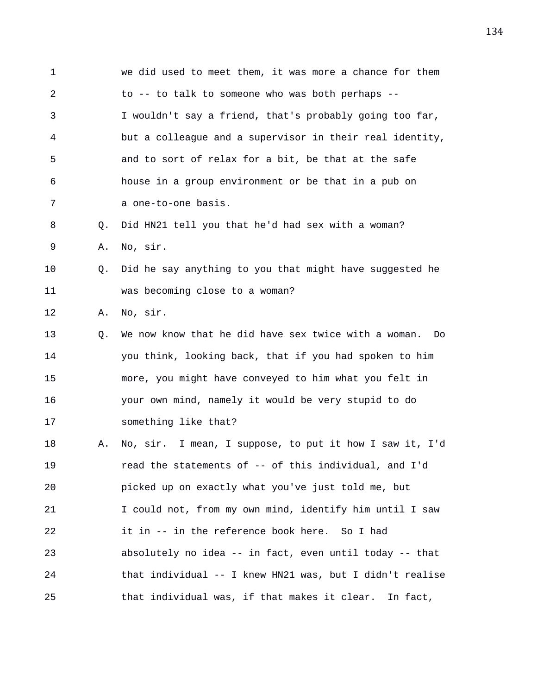| $\mathbf{1}$ |    | we did used to meet them, it was more a chance for them  |
|--------------|----|----------------------------------------------------------|
| 2            |    | to -- to talk to someone who was both perhaps --         |
| 3            |    | I wouldn't say a friend, that's probably going too far,  |
| 4            |    | but a colleague and a supervisor in their real identity, |
| 5            |    | and to sort of relax for a bit, be that at the safe      |
| 6            |    | house in a group environment or be that in a pub on      |
| 7            |    | a one-to-one basis.                                      |
| 8            | Q. | Did HN21 tell you that he'd had sex with a woman?        |
| 9            | Α. | No, sir.                                                 |
| 10           | Q. | Did he say anything to you that might have suggested he  |
| 11           |    | was becoming close to a woman?                           |
| 12           | Α. | No, sir.                                                 |
| 13           | Q. | We now know that he did have sex twice with a woman. Do  |
| 14           |    | you think, looking back, that if you had spoken to him   |
| 15           |    | more, you might have conveyed to him what you felt in    |
| 16           |    | your own mind, namely it would be very stupid to do      |
| 17           |    | something like that?                                     |
| 18           | Α. | No, sir. I mean, I suppose, to put it how I saw it, I'd  |
| 19           |    | read the statements of -- of this individual, and I'd    |
| 20           |    | picked up on exactly what you've just told me, but       |
| 21           |    | I could not, from my own mind, identify him until I saw  |
| 22           |    | it in -- in the reference book here. So I had            |
| 23           |    | absolutely no idea -- in fact, even until today -- that  |
| 24           |    | that individual -- I knew HN21 was, but I didn't realise |
| 25           |    | that individual was, if that makes it clear.<br>In fact, |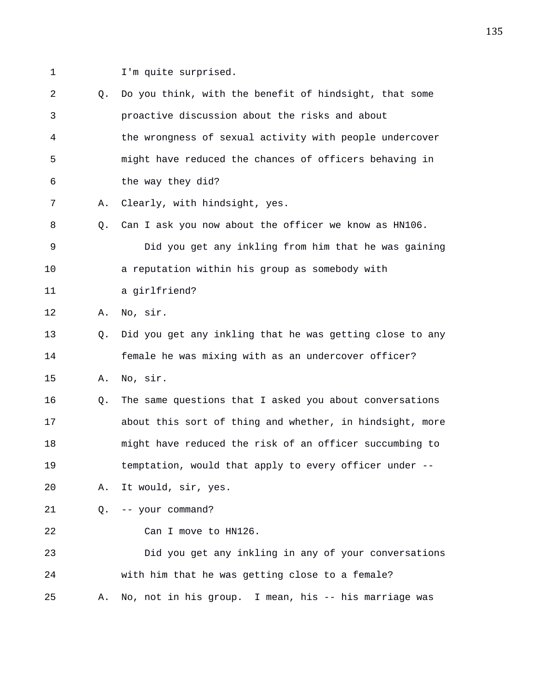- 
- 1 I'm quite surprised.

2 Q. Do you think, with the benefit of hindsight, that some 3 proactive discussion about the risks and about 4 the wrongness of sexual activity with people undercover 5 might have reduced the chances of officers behaving in 6 the way they did? 7 A. Clearly, with hindsight, yes. 8 Q. Can I ask you now about the officer we know as HN106. 9 Did you get any inkling from him that he was gaining 10 a reputation within his group as somebody with 11 a girlfriend? 12 A. No, sir. 13 Q. Did you get any inkling that he was getting close to any 14 female he was mixing with as an undercover officer? 15 A. No, sir. 16 Q. The same questions that I asked you about conversations 17 about this sort of thing and whether, in hindsight, more 18 might have reduced the risk of an officer succumbing to 19 temptation, would that apply to every officer under -- 20 A. It would, sir, yes. 21 Q. -- your command? 22 Can I move to HN126. 23 Did you get any inkling in any of your conversations 24 with him that he was getting close to a female? 25 A. No, not in his group. I mean, his -- his marriage was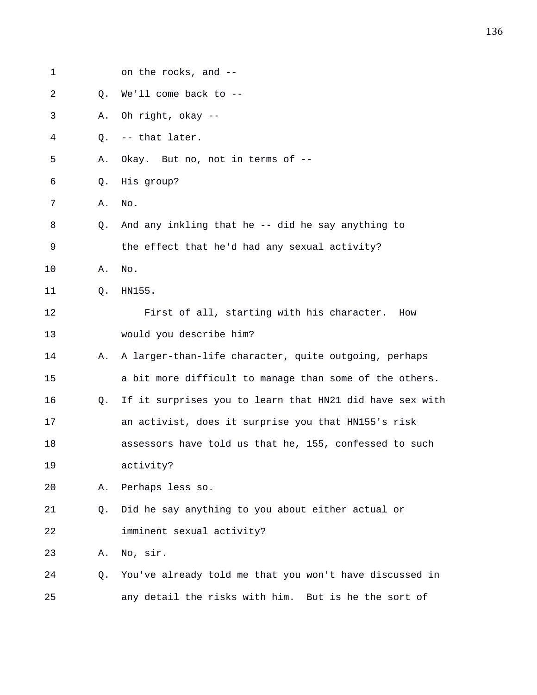| 1  |    | on the rocks, and --                                     |
|----|----|----------------------------------------------------------|
| 2  | Q. | We'll come back to --                                    |
| 3  | Α. | Oh right, okay --                                        |
| 4  | Q. | -- that later.                                           |
| 5  | Α. | Okay. But no, not in terms of --                         |
| 6  | Q. | His group?                                               |
| 7  | Α. | No.                                                      |
| 8  | Q. | And any inkling that he -- did he say anything to        |
| 9  |    | the effect that he'd had any sexual activity?            |
| 10 | Α. | No.                                                      |
| 11 | Q. | HN155.                                                   |
| 12 |    | First of all, starting with his character.<br>How        |
| 13 |    | would you describe him?                                  |
| 14 | Α. | A larger-than-life character, quite outgoing, perhaps    |
| 15 |    | a bit more difficult to manage than some of the others.  |
| 16 | Q. | If it surprises you to learn that HN21 did have sex with |
| 17 |    | an activist, does it surprise you that HN155's risk      |
| 18 |    | assessors have told us that he, 155, confessed to such   |
| 19 |    | activity?                                                |
| 20 | Α. | Perhaps less so.                                         |
| 21 | Q. | Did he say anything to you about either actual or        |
| 22 |    | imminent sexual activity?                                |
| 23 | Α. | No, sir.                                                 |
| 24 | Q. | You've already told me that you won't have discussed in  |
| 25 |    | any detail the risks with him. But is he the sort of     |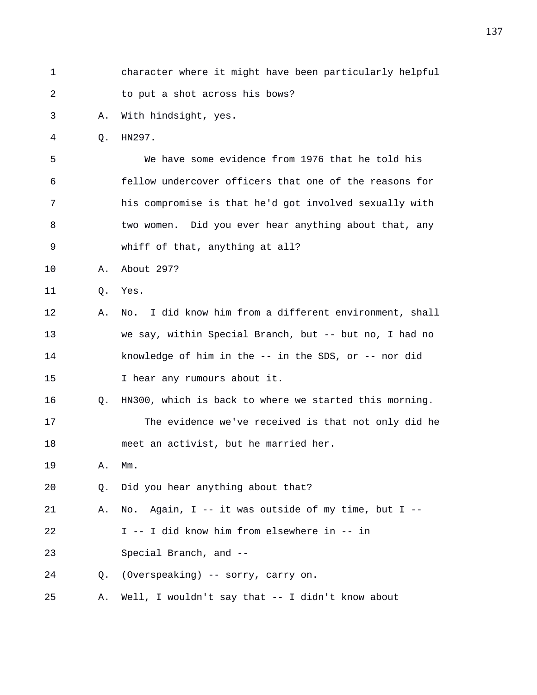| $\mathbf 1$ |    | character where it might have been particularly helpful   |
|-------------|----|-----------------------------------------------------------|
| 2           |    | to put a shot across his bows?                            |
| 3           | Α. | With hindsight, yes.                                      |
| 4           | Q. | HN297.                                                    |
| 5           |    | We have some evidence from 1976 that he told his          |
| 6           |    | fellow undercover officers that one of the reasons for    |
| 7           |    | his compromise is that he'd got involved sexually with    |
| 8           |    | two women. Did you ever hear anything about that, any     |
| 9           |    | whiff of that, anything at all?                           |
| 10          | Α. | About 297?                                                |
| 11          | Q. | Yes.                                                      |
| 12          | Α. | I did know him from a different environment, shall<br>No. |
| 13          |    | we say, within Special Branch, but -- but no, I had no    |
| 14          |    | knowledge of him in the $--$ in the SDS, or $--$ nor did  |
| 15          |    | I hear any rumours about it.                              |
| 16          | Q. | HN300, which is back to where we started this morning.    |
| 17          |    | The evidence we've received is that not only did he       |
| 18          |    | meet an activist, but he married her.                     |
| 19          | Α. | $Mm$ .                                                    |
| 20          | Q. | Did you hear anything about that?                         |
| 21          | Α. | No. Again, I -- it was outside of my time, but I --       |
| 22          |    | I -- I did know him from elsewhere in -- in               |
| 23          |    | Special Branch, and --                                    |
| 24          | Q. | (Overspeaking) -- sorry, carry on.                        |
| 25          | Α. | Well, I wouldn't say that -- I didn't know about          |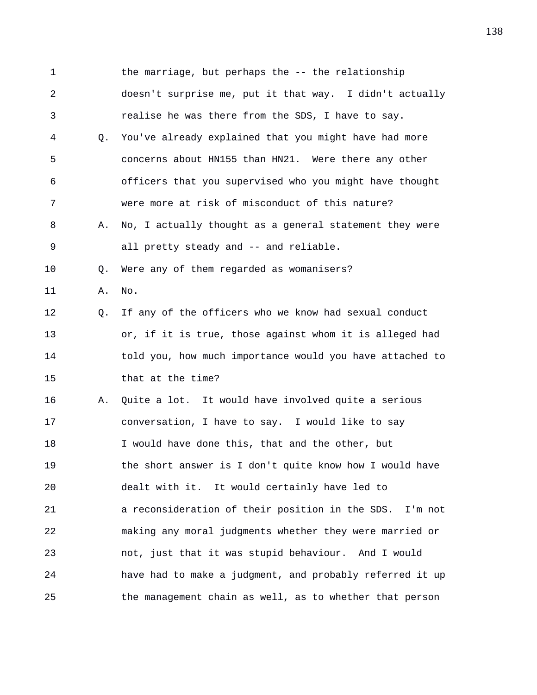1 the marriage, but perhaps the -- the relationship 2 doesn't surprise me, put it that way. I didn't actually 3 realise he was there from the SDS, I have to say. 4 Q. You've already explained that you might have had more 5 concerns about HN155 than HN21. Were there any other 6 officers that you supervised who you might have thought 7 were more at risk of misconduct of this nature? 8 A. No, I actually thought as a general statement they were 9 all pretty steady and -- and reliable. 10 Q. Were any of them regarded as womanisers? 11 A. No. 12 Q. If any of the officers who we know had sexual conduct 13 or, if it is true, those against whom it is alleged had 14 told you, how much importance would you have attached to 15 that at the time? 16 A. Quite a lot. It would have involved quite a serious 17 conversation, I have to say. I would like to say 18 I would have done this, that and the other, but 19 the short answer is I don't quite know how I would have 20 dealt with it. It would certainly have led to 21 a reconsideration of their position in the SDS. I'm not 22 making any moral judgments whether they were married or 23 not, just that it was stupid behaviour. And I would 24 have had to make a judgment, and probably referred it up 25 the management chain as well, as to whether that person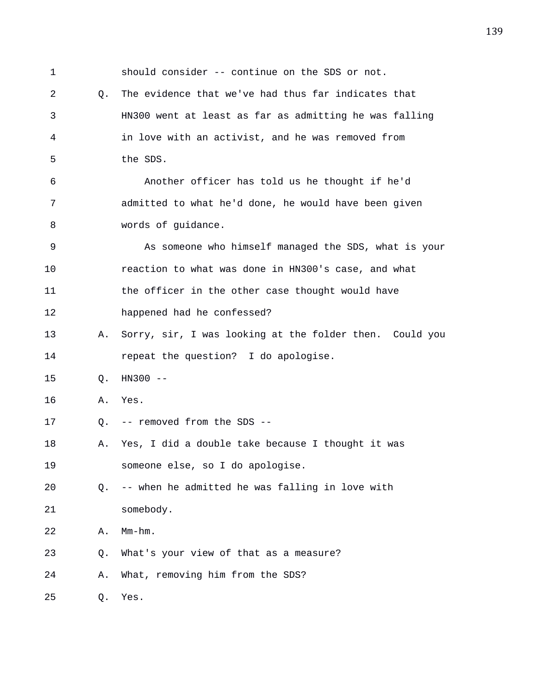1 should consider -- continue on the SDS or not. 2 Q. The evidence that we've had thus far indicates that 3 HN300 went at least as far as admitting he was falling 4 in love with an activist, and he was removed from 5 the SDS. 6 Another officer has told us he thought if he'd 7 admitted to what he'd done, he would have been given 8 words of guidance. 9 As someone who himself managed the SDS, what is your 10 reaction to what was done in HN300's case, and what 11 the officer in the other case thought would have 12 happened had he confessed? 13 A. Sorry, sir, I was looking at the folder then. Could you 14 repeat the question? I do apologise. 15 Q. HN300 -- 16 A. Yes. 17 Q. -- removed from the SDS -- 18 A. Yes, I did a double take because I thought it was 19 someone else, so I do apologise. 20 Q. -- when he admitted he was falling in love with 21 somebody. 22 A. Mm-hm. 23 Q. What's your view of that as a measure? 24 A. What, removing him from the SDS? 25 Q. Yes.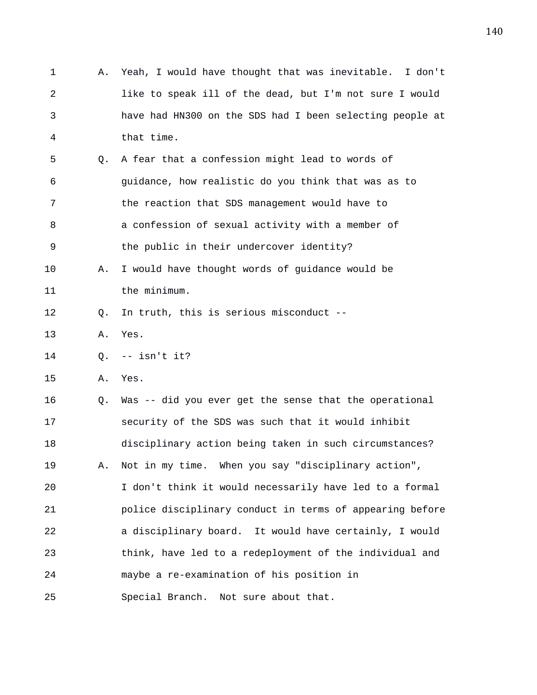1 A. Yeah, I would have thought that was inevitable. I don't 2 like to speak ill of the dead, but I'm not sure I would 3 have had HN300 on the SDS had I been selecting people at 4 that time. 5 Q. A fear that a confession might lead to words of 6 guidance, how realistic do you think that was as to 7 the reaction that SDS management would have to 8 a confession of sexual activity with a member of 9 the public in their undercover identity? 10 A. I would have thought words of guidance would be 11 the minimum. 12 Q. In truth, this is serious misconduct -- 13 A. Yes. 14 Q. -- isn't it? 15 A. Yes. 16 Q. Was -- did you ever get the sense that the operational 17 security of the SDS was such that it would inhibit 18 disciplinary action being taken in such circumstances? 19 A. Not in my time. When you say "disciplinary action", 20 I don't think it would necessarily have led to a formal 21 police disciplinary conduct in terms of appearing before 22 a disciplinary board. It would have certainly, I would 23 think, have led to a redeployment of the individual and 24 maybe a re-examination of his position in 25 Special Branch. Not sure about that.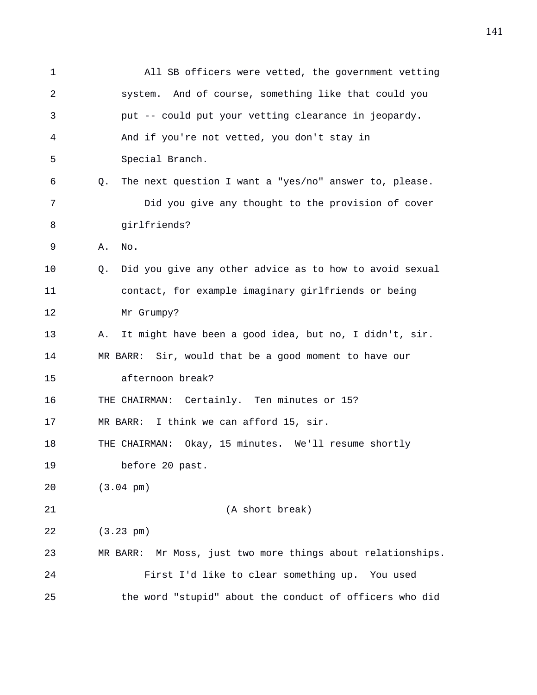1 All SB officers were vetted, the government vetting 2 system. And of course, something like that could you 3 put -- could put your vetting clearance in jeopardy. 4 And if you're not vetted, you don't stay in 5 Special Branch. 6 Q. The next question I want a "yes/no" answer to, please. 7 Did you give any thought to the provision of cover 8 girlfriends? 9 A. No. 10 Q. Did you give any other advice as to how to avoid sexual 11 contact, for example imaginary girlfriends or being 12 Mr Grumpy? 13 A. It might have been a good idea, but no, I didn't, sir. 14 MR BARR: Sir, would that be a good moment to have our 15 afternoon break? 16 THE CHAIRMAN: Certainly. Ten minutes or 15? 17 MR BARR: I think we can afford 15, sir. 18 THE CHAIRMAN: Okay, 15 minutes. We'll resume shortly 19 before 20 past. 20 (3.04 pm) 21 (A short break) 22 (3.23 pm) 23 MR BARR: Mr Moss, just two more things about relationships. 24 First I'd like to clear something up. You used 25 the word "stupid" about the conduct of officers who did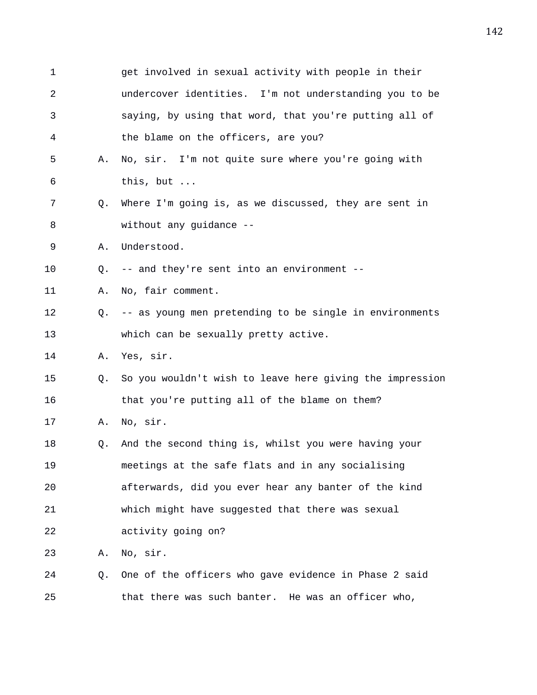| $\mathbf 1$ |    | get involved in sexual activity with people in their       |
|-------------|----|------------------------------------------------------------|
| 2           |    | undercover identities. I'm not understanding you to be     |
| 3           |    | saying, by using that word, that you're putting all of     |
| 4           |    | the blame on the officers, are you?                        |
| 5           | Α. | No, sir. I'm not quite sure where you're going with        |
| 6           |    | this, but                                                  |
| 7           | O. | Where I'm going is, as we discussed, they are sent in      |
| 8           |    | without any guidance --                                    |
| 9           | Α. | Understood.                                                |
| 10          | Q. | -- and they're sent into an environment --                 |
| 11          | Α. | No, fair comment.                                          |
| 12          |    | Q. -- as young men pretending to be single in environments |
| 13          |    | which can be sexually pretty active.                       |
| 14          |    | A. Yes, sir.                                               |
| 15          | O. | So you wouldn't wish to leave here giving the impression   |
| 16          |    | that you're putting all of the blame on them?              |
| 17          | Α. | No, sir.                                                   |
| 18          | Q. | And the second thing is, whilst you were having your       |
| 19          |    | meetings at the safe flats and in any socialising          |
| 20          |    | afterwards, did you ever hear any banter of the kind       |
| 21          |    | which might have suggested that there was sexual           |
| 22          |    | activity going on?                                         |
| 23          | Α. | No, sir.                                                   |
| 24          | Q. | One of the officers who gave evidence in Phase 2 said      |
| 25          |    | that there was such banter. He was an officer who,         |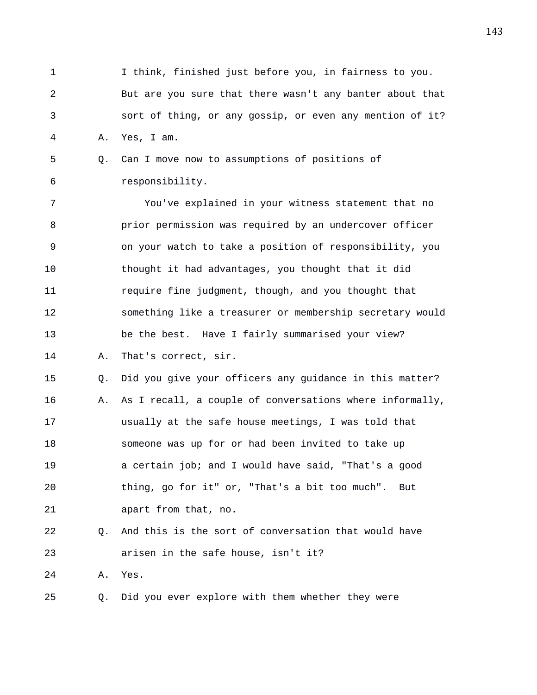- 1 I think, finished just before you, in fairness to you. 2 But are you sure that there wasn't any banter about that 3 sort of thing, or any gossip, or even any mention of it? 4 A. Yes, I am.
- 5 Q. Can I move now to assumptions of positions of 6 responsibility.

7 You've explained in your witness statement that no 8 prior permission was required by an undercover officer 9 on your watch to take a position of responsibility, you 10 thought it had advantages, you thought that it did 11 require fine judgment, though, and you thought that 12 something like a treasurer or membership secretary would 13 be the best. Have I fairly summarised your view? 14 A. That's correct, sir.

15 Q. Did you give your officers any guidance in this matter? 16 A. As I recall, a couple of conversations where informally, 17 usually at the safe house meetings, I was told that 18 someone was up for or had been invited to take up 19 a certain job; and I would have said, "That's a good 20 thing, go for it" or, "That's a bit too much". But 21 apart from that, no.

- 22 Q. And this is the sort of conversation that would have 23 arisen in the safe house, isn't it?
- 24 A. Yes.

25 Q. Did you ever explore with them whether they were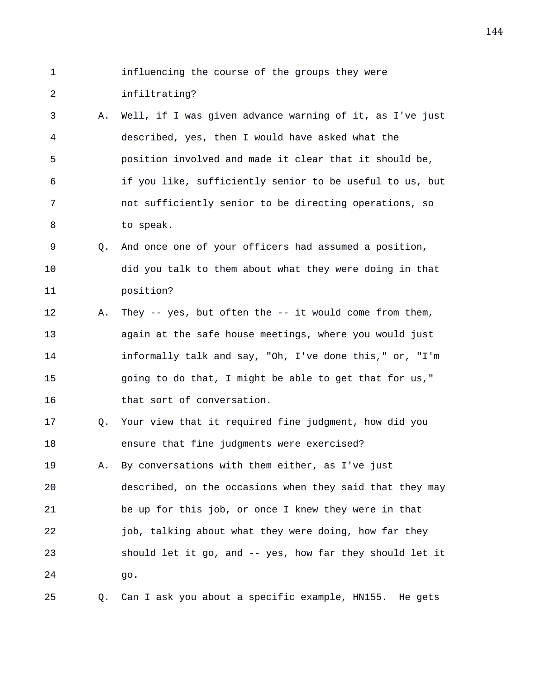- 1 influencing the course of the groups they were 2 infiltrating?
- 3 A. Well, if I was given advance warning of it, as I've just 4 described, yes, then I would have asked what the 5 position involved and made it clear that it should be, 6 if you like, sufficiently senior to be useful to us, but 7 not sufficiently senior to be directing operations, so 8 to speak.
- 9 Q. And once one of your officers had assumed a position, 10 did you talk to them about what they were doing in that 11 position?
- 12 A. They -- yes, but often the -- it would come from them, 13 again at the safe house meetings, where you would just 14 informally talk and say, "Oh, I've done this," or, "I'm 15 going to do that, I might be able to get that for us," 16 that sort of conversation.
- 17 Q. Your view that it required fine judgment, how did you 18 ensure that fine judgments were exercised?
- 19 A. By conversations with them either, as I've just 20 described, on the occasions when they said that they may 21 be up for this job, or once I knew they were in that 22 job, talking about what they were doing, how far they 23 should let it go, and -- yes, how far they should let it 24 go.
- 25 Q. Can I ask you about a specific example, HN155. He gets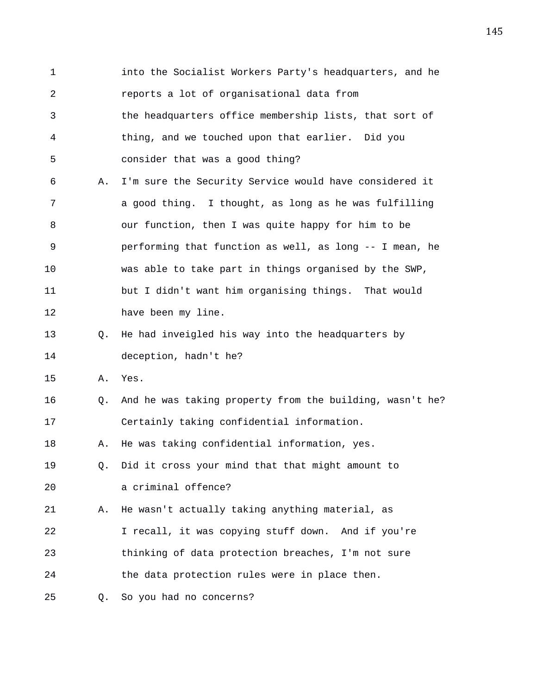1 into the Socialist Workers Party's headquarters, and he 2 reports a lot of organisational data from 3 the headquarters office membership lists, that sort of 4 thing, and we touched upon that earlier. Did you 5 consider that was a good thing? 6 A. I'm sure the Security Service would have considered it 7 a good thing. I thought, as long as he was fulfilling 8 our function, then I was quite happy for him to be 9 performing that function as well, as long -- I mean, he 10 was able to take part in things organised by the SWP, 11 but I didn't want him organising things. That would 12 have been my line. 13 Q. He had inveigled his way into the headquarters by 14 deception, hadn't he? 15 A. Yes. 16 Q. And he was taking property from the building, wasn't he? 17 Certainly taking confidential information. 18 A. He was taking confidential information, yes. 19 Q. Did it cross your mind that that might amount to 20 a criminal offence? 21 A. He wasn't actually taking anything material, as 22 I recall, it was copying stuff down. And if you're 23 thinking of data protection breaches, I'm not sure 24 the data protection rules were in place then. 25 Q. So you had no concerns?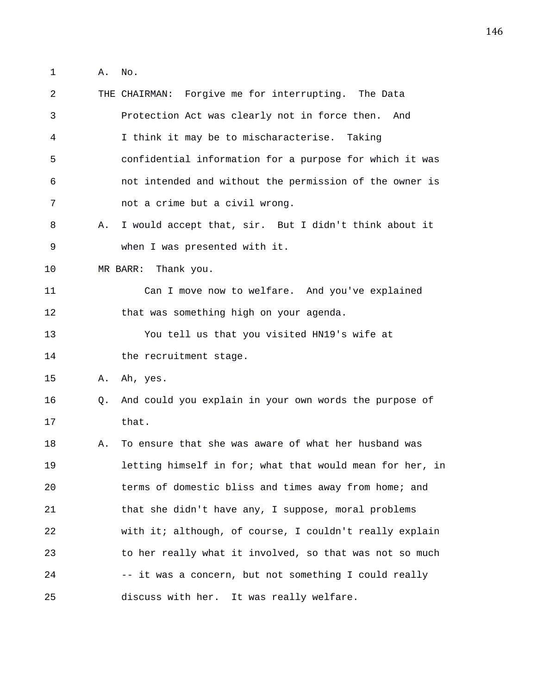1 A. No.

| 2  |    | THE CHAIRMAN: Forgive me for interrupting. The Data      |
|----|----|----------------------------------------------------------|
| 3  |    | Protection Act was clearly not in force then.<br>And     |
| 4  |    | I think it may be to mischaracterise. Taking             |
| 5  |    | confidential information for a purpose for which it was  |
| 6  |    | not intended and without the permission of the owner is  |
| 7  |    | not a crime but a civil wrong.                           |
| 8  | Α. | I would accept that, sir. But I didn't think about it    |
| 9  |    | when I was presented with it.                            |
| 10 |    | MR BARR: Thank you.                                      |
| 11 |    | Can I move now to welfare. And you've explained          |
| 12 |    | that was something high on your agenda.                  |
| 13 |    | You tell us that you visited HN19's wife at              |
| 14 |    | the recruitment stage.                                   |
| 15 | Α. | Ah, yes.                                                 |
| 16 | O. | And could you explain in your own words the purpose of   |
| 17 |    | that.                                                    |
| 18 | Α. | To ensure that she was aware of what her husband was     |
| 19 |    | letting himself in for; what that would mean for her, in |
| 20 |    | terms of domestic bliss and times away from home; and    |
| 21 |    | that she didn't have any, I suppose, moral problems      |
| 22 |    | with it; although, of course, I couldn't really explain  |
| 23 |    | to her really what it involved, so that was not so much  |
| 24 |    | -- it was a concern, but not something I could really    |
| 25 |    | discuss with her.<br>It was really welfare.              |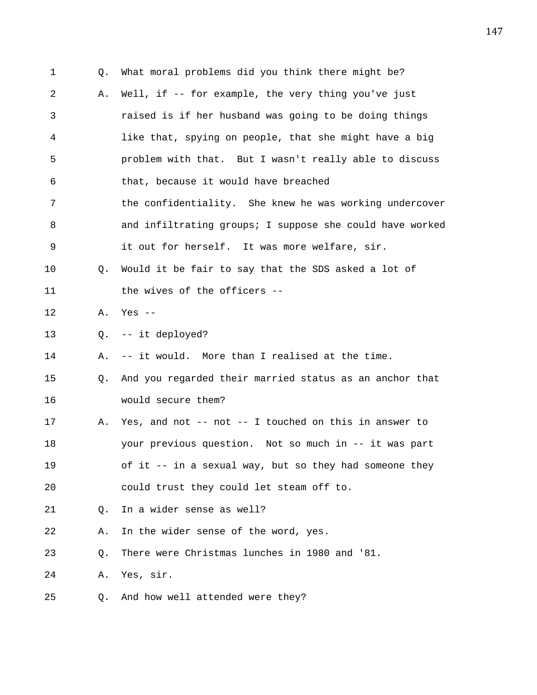1 Q. What moral problems did you think there might be? 2 A. Well, if -- for example, the very thing you've just 3 raised is if her husband was going to be doing things 4 like that, spying on people, that she might have a big 5 problem with that. But I wasn't really able to discuss 6 that, because it would have breached 7 the confidentiality. She knew he was working undercover 8 and infiltrating groups; I suppose she could have worked 9 it out for herself. It was more welfare, sir. 10 Q. Would it be fair to say that the SDS asked a lot of 11 the wives of the officers --12 A. Yes -- 13 Q. -- it deployed? 14 A. -- it would. More than I realised at the time. 15 Q. And you regarded their married status as an anchor that 16 would secure them? 17 A. Yes, and not -- not -- I touched on this in answer to 18 your previous question. Not so much in -- it was part 19 of it -- in a sexual way, but so they had someone they 20 could trust they could let steam off to. 21 Q. In a wider sense as well? 22 A. In the wider sense of the word, yes. 23 Q. There were Christmas lunches in 1980 and '81. 24 A. Yes, sir. 25 Q. And how well attended were they?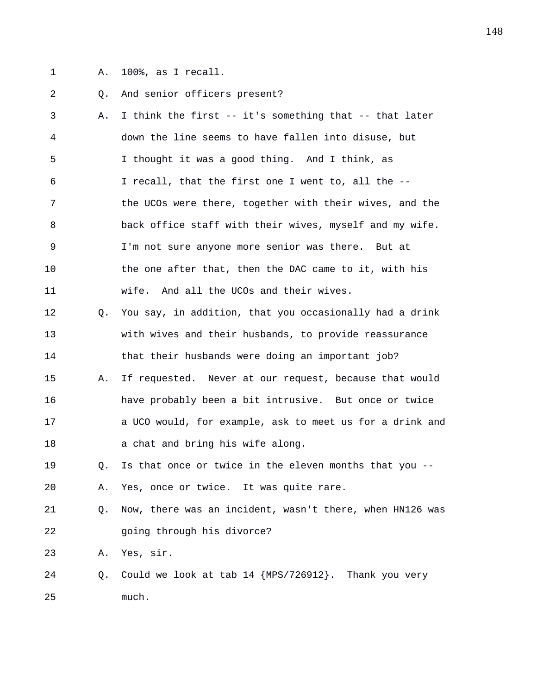- 
- 1 A. 100%, as I recall.

## 2 Q. And senior officers present?

3 A. I think the first -- it's something that -- that later 4 down the line seems to have fallen into disuse, but 5 I thought it was a good thing. And I think, as 6 I recall, that the first one I went to, all the -- 7 the UCOs were there, together with their wives, and the 8 back office staff with their wives, myself and my wife. 9 I'm not sure anyone more senior was there. But at 10 the one after that, then the DAC came to it, with his 11 wife. And all the UCOs and their wives. 12 Q. You say, in addition, that you occasionally had a drink 13 with wives and their husbands, to provide reassurance 14 that their husbands were doing an important job? 15 A. If requested. Never at our request, because that would 16 have probably been a bit intrusive. But once or twice 17 a UCO would, for example, ask to meet us for a drink and 18 a chat and bring his wife along. 19 Q. Is that once or twice in the eleven months that you --

20 A. Yes, once or twice. It was quite rare.

21 Q. Now, there was an incident, wasn't there, when HN126 was 22 going through his divorce?

23 A. Yes, sir.

24 Q. Could we look at tab 14 {MPS/726912}. Thank you very 25 much.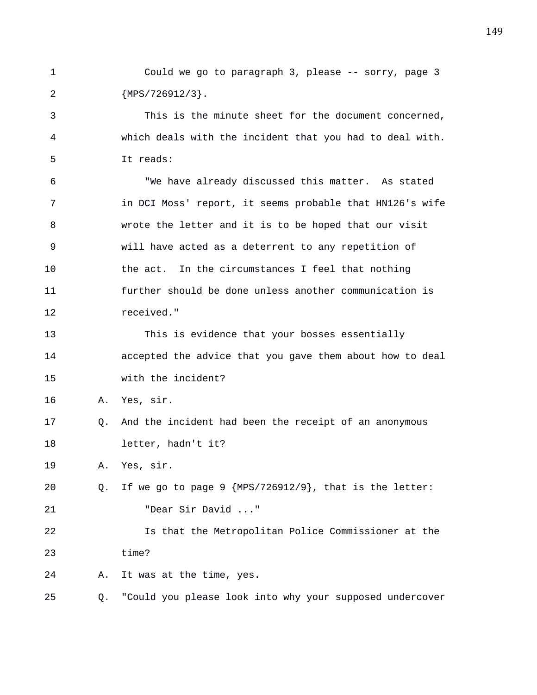1 Could we go to paragraph 3, please -- sorry, page 3 2 {MPS/726912/3}.

3 This is the minute sheet for the document concerned, 4 which deals with the incident that you had to deal with. 5 It reads:

6 "We have already discussed this matter. As stated 7 in DCI Moss' report, it seems probable that HN126's wife 8 wrote the letter and it is to be hoped that our visit 9 will have acted as a deterrent to any repetition of 10 the act. In the circumstances I feel that nothing 11 further should be done unless another communication is 12 received."

13 This is evidence that your bosses essentially 14 accepted the advice that you gave them about how to deal 15 with the incident?

16 A. Yes, sir.

17 Q. And the incident had been the receipt of an anonymous 18 letter, hadn't it?

19 A. Yes, sir.

20 Q. If we go to page 9 {MPS/726912/9}, that is the letter: 21 "Dear Sir David ..."

22 Is that the Metropolitan Police Commissioner at the 23 time?

24 A. It was at the time, yes.

25 Q. "Could you please look into why your supposed undercover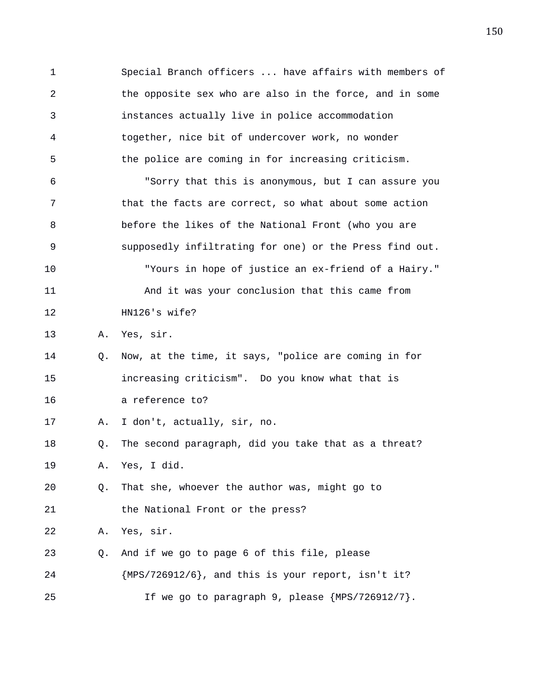1 Special Branch officers ... have affairs with members of 2 the opposite sex who are also in the force, and in some 3 instances actually live in police accommodation 4 together, nice bit of undercover work, no wonder 5 the police are coming in for increasing criticism. 6 "Sorry that this is anonymous, but I can assure you 7 that the facts are correct, so what about some action 8 before the likes of the National Front (who you are 9 supposedly infiltrating for one) or the Press find out. 10 "Yours in hope of justice an ex-friend of a Hairy." 11 And it was your conclusion that this came from 12 HN126's wife? 13 A. Yes, sir. 14 Q. Now, at the time, it says, "police are coming in for 15 increasing criticism". Do you know what that is 16 a reference to? 17 A. I don't, actually, sir, no. 18 Q. The second paragraph, did you take that as a threat? 19 A. Yes, I did. 20 Q. That she, whoever the author was, might go to 21 the National Front or the press? 22 A. Yes, sir. 23 Q. And if we go to page 6 of this file, please 24 {MPS/726912/6}, and this is your report, isn't it? 25 If we go to paragraph 9, please {MPS/726912/7}.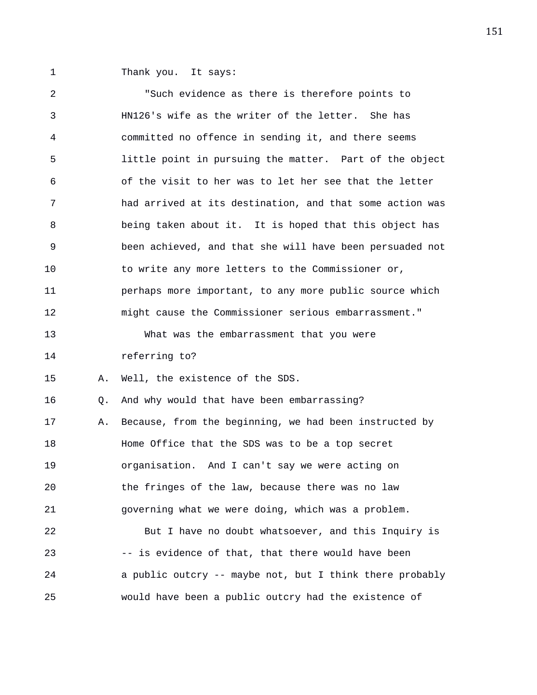1 Thank you. It says:

2 "Such evidence as there is therefore points to 3 HN126's wife as the writer of the letter. She has 4 committed no offence in sending it, and there seems 5 little point in pursuing the matter. Part of the object 6 of the visit to her was to let her see that the letter 7 had arrived at its destination, and that some action was 8 being taken about it. It is hoped that this object has 9 been achieved, and that she will have been persuaded not 10 to write any more letters to the Commissioner or, 11 perhaps more important, to any more public source which 12 might cause the Commissioner serious embarrassment." 13 What was the embarrassment that you were 14 referring to? 15 A. Well, the existence of the SDS. 16 Q. And why would that have been embarrassing? 17 A. Because, from the beginning, we had been instructed by 18 Home Office that the SDS was to be a top secret 19 organisation. And I can't say we were acting on 20 the fringes of the law, because there was no law 21 governing what we were doing, which was a problem. 22 But I have no doubt whatsoever, and this Inquiry is 23 -- is evidence of that, that there would have been 24 a public outcry -- maybe not, but I think there probably 25 would have been a public outcry had the existence of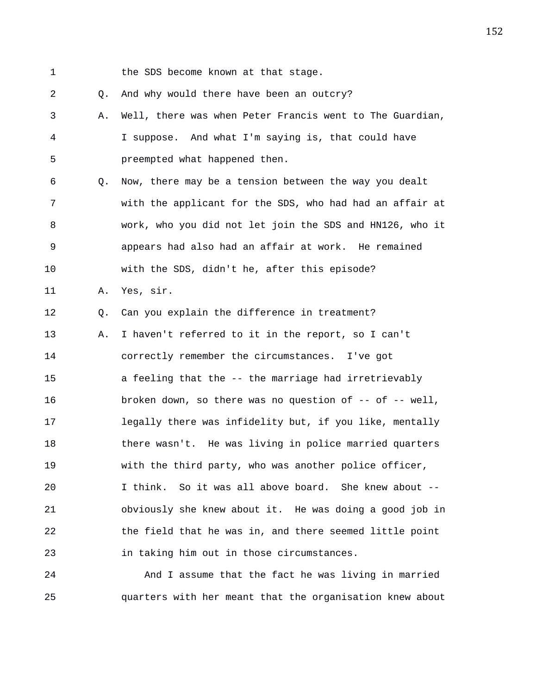1 the SDS become known at that stage.

2 Q. And why would there have been an outcry?

3 A. Well, there was when Peter Francis went to The Guardian, 4 I suppose. And what I'm saying is, that could have 5 preempted what happened then.

6 Q. Now, there may be a tension between the way you dealt 7 with the applicant for the SDS, who had had an affair at 8 work, who you did not let join the SDS and HN126, who it 9 appears had also had an affair at work. He remained 10 with the SDS, didn't he, after this episode?

11 A. Yes, sir.

12 Q. Can you explain the difference in treatment?

13 A. I haven't referred to it in the report, so I can't 14 correctly remember the circumstances. I've got 15 a feeling that the -- the marriage had irretrievably 16 broken down, so there was no question of -- of -- well, 17 legally there was infidelity but, if you like, mentally 18 there wasn't. He was living in police married quarters 19 with the third party, who was another police officer, 20 I think. So it was all above board. She knew about -- 21 obviously she knew about it. He was doing a good job in 22 the field that he was in, and there seemed little point 23 in taking him out in those circumstances.

24 And I assume that the fact he was living in married 25 quarters with her meant that the organisation knew about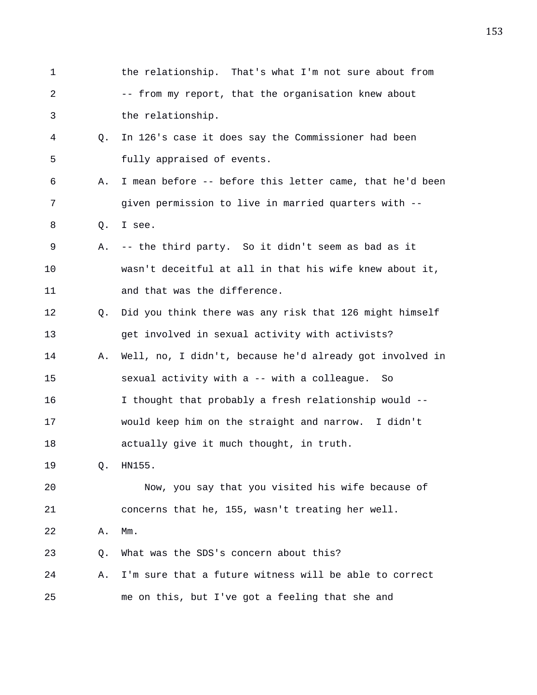| $\mathbf{1}$ |    | the relationship. That's what I'm not sure about from    |
|--------------|----|----------------------------------------------------------|
| 2            |    | -- from my report, that the organisation knew about      |
| 3            |    | the relationship.                                        |
| 4            | Q. | In 126's case it does say the Commissioner had been      |
| 5            |    | fully appraised of events.                               |
| 6            | Α. | I mean before -- before this letter came, that he'd been |
| 7            |    | given permission to live in married quarters with --     |
| 8            | Q. | I see.                                                   |
| 9            | Α. | -- the third party. So it didn't seem as bad as it       |
| 10           |    | wasn't deceitful at all in that his wife knew about it,  |
| 11           |    | and that was the difference.                             |
| 12           | Q. | Did you think there was any risk that 126 might himself  |
| 13           |    | get involved in sexual activity with activists?          |
| 14           | Α. | Well, no, I didn't, because he'd already got involved in |
| 15           |    | sexual activity with a -- with a colleague.<br>So        |
| 16           |    | I thought that probably a fresh relationship would --    |
| 17           |    | would keep him on the straight and narrow. I didn't      |
| 18           |    | actually give it much thought, in truth.                 |
| 19           | Q. | HN155.                                                   |
| 20           |    | Now, you say that you visited his wife because of        |
| 21           |    | concerns that he, 155, wasn't treating her well.         |
| 22           | Α. | $Mm$ .                                                   |
| 23           | Q. | What was the SDS's concern about this?                   |
| 24           | Α. | I'm sure that a future witness will be able to correct   |
| 25           |    | me on this, but I've got a feeling that she and          |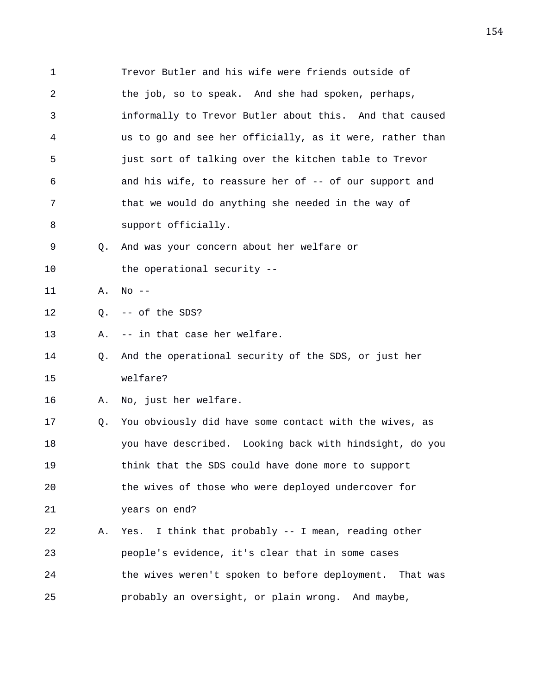1 Trevor Butler and his wife were friends outside of 2 the job, so to speak. And she had spoken, perhaps, 3 informally to Trevor Butler about this. And that caused 4 us to go and see her officially, as it were, rather than 5 just sort of talking over the kitchen table to Trevor 6 6 and his wife, to reassure her of -- of our support and 7 that we would do anything she needed in the way of 8 support officially. 9 Q. And was your concern about her welfare or 10 the operational security --11 A. No -- 12 Q. -- of the SDS? 13 A. -- in that case her welfare. 14 Q. And the operational security of the SDS, or just her 15 welfare? 16 A. No, just her welfare. 17 Q. You obviously did have some contact with the wives, as 18 you have described. Looking back with hindsight, do you 19 think that the SDS could have done more to support 20 the wives of those who were deployed undercover for 21 years on end? 22 A. Yes. I think that probably -- I mean, reading other 23 people's evidence, it's clear that in some cases 24 the wives weren't spoken to before deployment. That was 25 probably an oversight, or plain wrong. And maybe,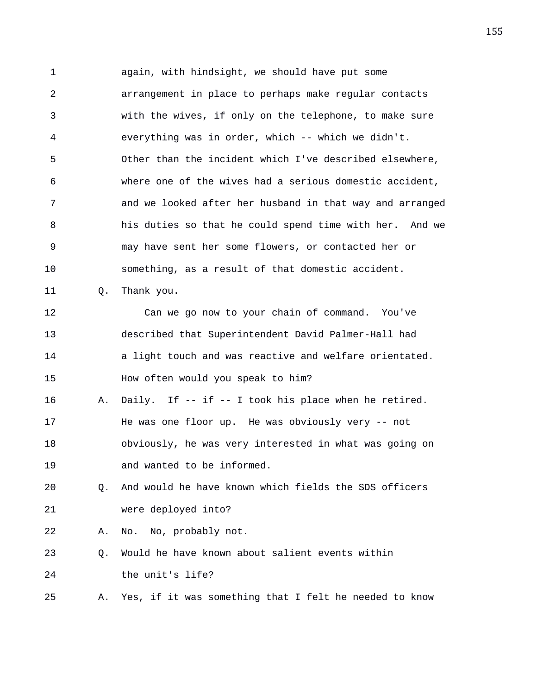1 again, with hindsight, we should have put some 2 arrangement in place to perhaps make regular contacts 3 with the wives, if only on the telephone, to make sure 4 everything was in order, which -- which we didn't. 5 Other than the incident which I've described elsewhere, 6 where one of the wives had a serious domestic accident, 7 and we looked after her husband in that way and arranged 8 his duties so that he could spend time with her. And we 9 may have sent her some flowers, or contacted her or 10 something, as a result of that domestic accident. 11 0. Thank you. 12 Can we go now to your chain of command. You've 13 described that Superintendent David Palmer-Hall had 14 **a** light touch and was reactive and welfare orientated. 15 How often would you speak to him? 16 A. Daily. If -- if -- I took his place when he retired. 17 He was one floor up. He was obviously very -- not 18 obviously, he was very interested in what was going on 19 and wanted to be informed. 20 Q. And would he have known which fields the SDS officers 21 were deployed into? 22 A. No. No, probably not. 23 Q. Would he have known about salient events within

24 the unit's life?

25 A. Yes, if it was something that I felt he needed to know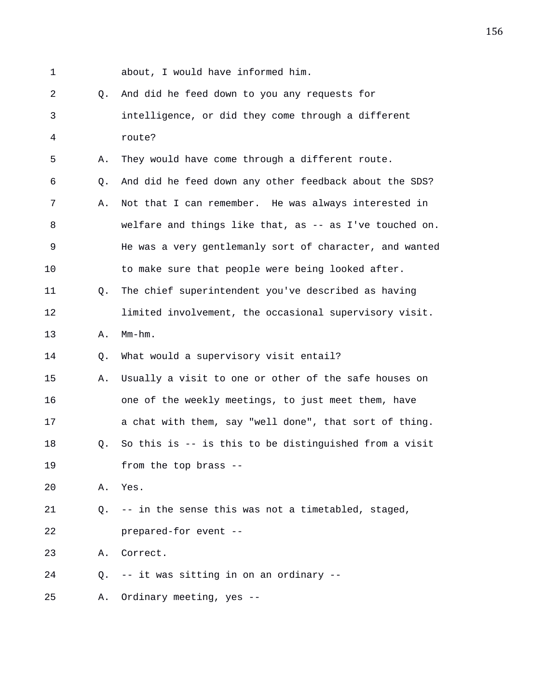1 about, I would have informed him.

2 Q. And did he feed down to you any requests for 3 intelligence, or did they come through a different 4 route? 5 A. They would have come through a different route. 6 Q. And did he feed down any other feedback about the SDS? 7 A. Not that I can remember. He was always interested in 8 welfare and things like that, as -- as I've touched on. 9 He was a very gentlemanly sort of character, and wanted 10 to make sure that people were being looked after. 11 Q. The chief superintendent you've described as having 12 limited involvement, the occasional supervisory visit. 13 A. Mm-hm. 14 Q. What would a supervisory visit entail? 15 A. Usually a visit to one or other of the safe houses on 16 one of the weekly meetings, to just meet them, have 17 a chat with them, say "well done", that sort of thing. 18 Q. So this is -- is this to be distinguished from a visit 19 from the top brass -- 20 A. Yes. 21 Q. -- in the sense this was not a timetabled, staged, 22 prepared-for event -- 23 A. Correct. 24 Q. -- it was sitting in on an ordinary -- 25 A. Ordinary meeting, yes --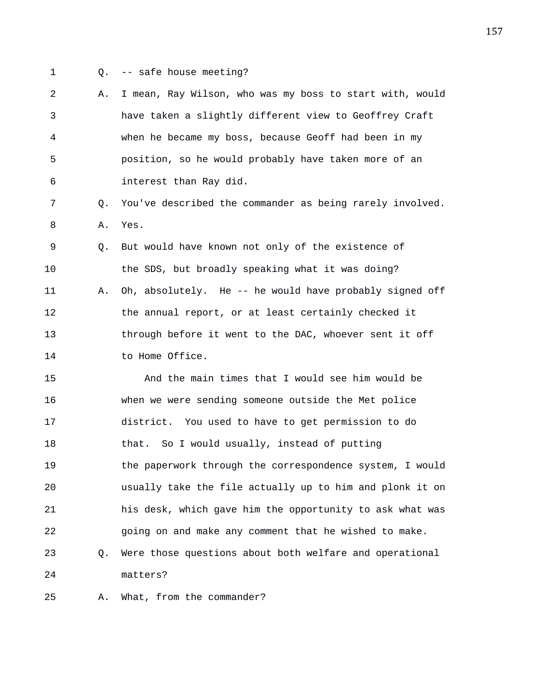- 
- 1 Q. -- safe house meeting?

2 A. I mean, Ray Wilson, who was my boss to start with, would 3 have taken a slightly different view to Geoffrey Craft 4 when he became my boss, because Geoff had been in my 5 position, so he would probably have taken more of an 6 interest than Ray did.

7 Q. You've described the commander as being rarely involved. 8 A. Yes.

9 Q. But would have known not only of the existence of 10 the SDS, but broadly speaking what it was doing? 11 A. Oh, absolutely. He -- he would have probably signed off 12 the annual report, or at least certainly checked it 13 through before it went to the DAC, whoever sent it off 14 to Home Office.

15 And the main times that I would see him would be 16 when we were sending someone outside the Met police 17 district. You used to have to get permission to do 18 that. So I would usually, instead of putting 19 the paperwork through the correspondence system, I would 20 usually take the file actually up to him and plonk it on 21 his desk, which gave him the opportunity to ask what was 22 going on and make any comment that he wished to make. 23 Q. Were those questions about both welfare and operational 24 matters?

25 A. What, from the commander?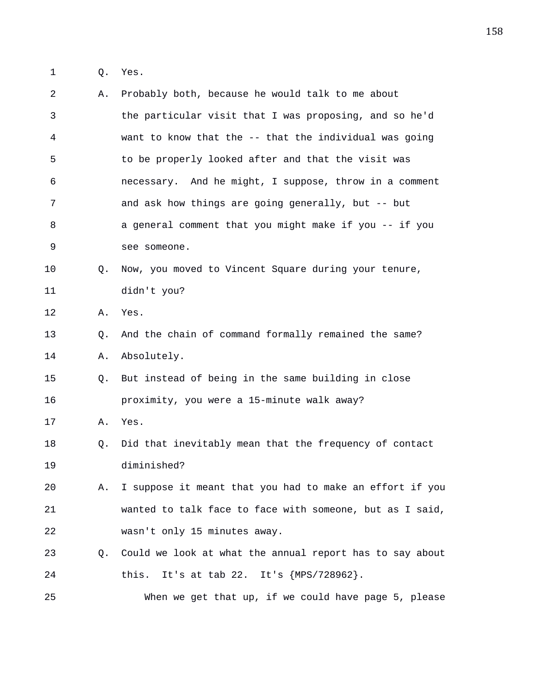1 Q. Yes.

| 2  | Α.          | Probably both, because he would talk to me about         |
|----|-------------|----------------------------------------------------------|
| 3  |             | the particular visit that I was proposing, and so he'd   |
| 4  |             | want to know that the -- that the individual was going   |
| 5  |             | to be properly looked after and that the visit was       |
| 6  |             | necessary. And he might, I suppose, throw in a comment   |
| 7  |             | and ask how things are going generally, but -- but       |
| 8  |             | a general comment that you might make if you -- if you   |
| 9  |             | see someone.                                             |
| 10 | Q.          | Now, you moved to Vincent Square during your tenure,     |
| 11 |             | didn't you?                                              |
| 12 | Α.          | Yes.                                                     |
| 13 | Q.          | And the chain of command formally remained the same?     |
| 14 | Α.          | Absolutely.                                              |
| 15 | Q.          | But instead of being in the same building in close       |
| 16 |             | proximity, you were a 15-minute walk away?               |
| 17 | Α.          | Yes.                                                     |
| 18 | Q.          | Did that inevitably mean that the frequency of contact   |
| 19 |             | diminished?                                              |
| 20 | Α.          | I suppose it meant that you had to make an effort if you |
| 21 |             | wanted to talk face to face with someone, but as I said, |
| 22 |             | wasn't only 15 minutes away.                             |
| 23 | $Q_{\star}$ | Could we look at what the annual report has to say about |
| 24 |             | It's at tab 22. It's {MPS/728962}.<br>this.              |
| 25 |             | When we get that up, if we could have page 5, please     |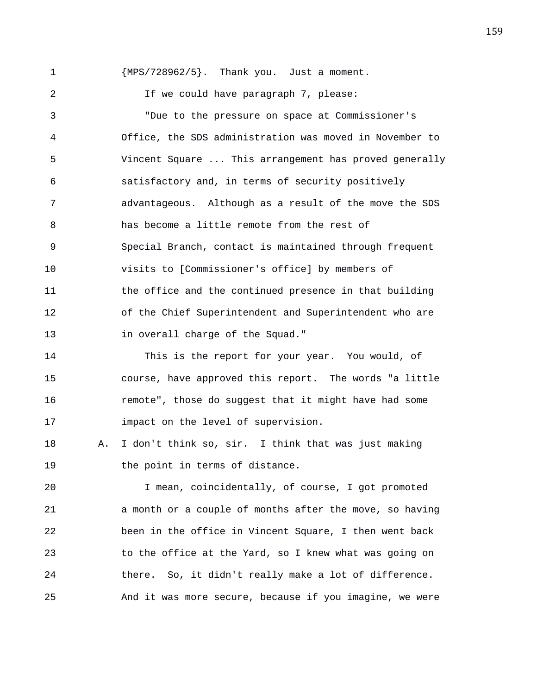1 {MPS/728962/5}. Thank you. Just a moment. 2 1f we could have paragraph 7, please: 3 "Due to the pressure on space at Commissioner's 4 Office, the SDS administration was moved in November to 5 Vincent Square ... This arrangement has proved generally 6 satisfactory and, in terms of security positively 7 advantageous. Although as a result of the move the SDS 8 has become a little remote from the rest of 9 Special Branch, contact is maintained through frequent 10 visits to [Commissioner's office] by members of 11 the office and the continued presence in that building 12 of the Chief Superintendent and Superintendent who are 13 in overall charge of the Squad."

14 This is the report for your year. You would, of 15 course, have approved this report. The words "a little 16 remote", those do suggest that it might have had some 17 impact on the level of supervision.

18 A. I don't think so, sir. I think that was just making 19 the point in terms of distance.

20 I mean, coincidentally, of course, I got promoted 21 a month or a couple of months after the move, so having 22 been in the office in Vincent Square, I then went back 23 to the office at the Yard, so I knew what was going on 24 there. So, it didn't really make a lot of difference. 25 And it was more secure, because if you imagine, we were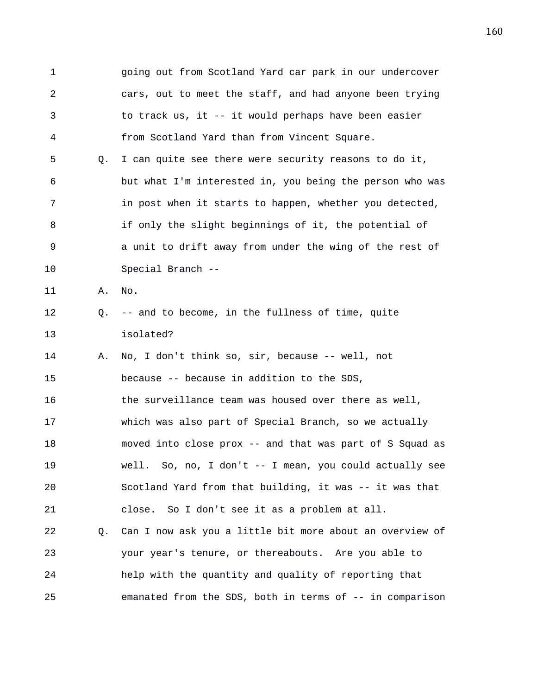1 going out from Scotland Yard car park in our undercover 2 cars, out to meet the staff, and had anyone been trying 3 to track us, it -- it would perhaps have been easier 4 from Scotland Yard than from Vincent Square. 5 Q. I can quite see there were security reasons to do it, 6 but what I'm interested in, you being the person who was 7 in post when it starts to happen, whether you detected, 8 if only the slight beginnings of it, the potential of 9 a unit to drift away from under the wing of the rest of 10 Special Branch -- 11 A. No. 12 Q. -- and to become, in the fullness of time, quite 13 isolated? 14 A. No, I don't think so, sir, because -- well, not 15 because -- because in addition to the SDS, 16 the surveillance team was housed over there as well, 17 which was also part of Special Branch, so we actually 18 moved into close prox -- and that was part of S Squad as 19 well. So, no, I don't -- I mean, you could actually see 20 Scotland Yard from that building, it was -- it was that 21 close. So I don't see it as a problem at all. 22 Q. Can I now ask you a little bit more about an overview of 23 your year's tenure, or thereabouts. Are you able to 24 help with the quantity and quality of reporting that 25 emanated from the SDS, both in terms of -- in comparison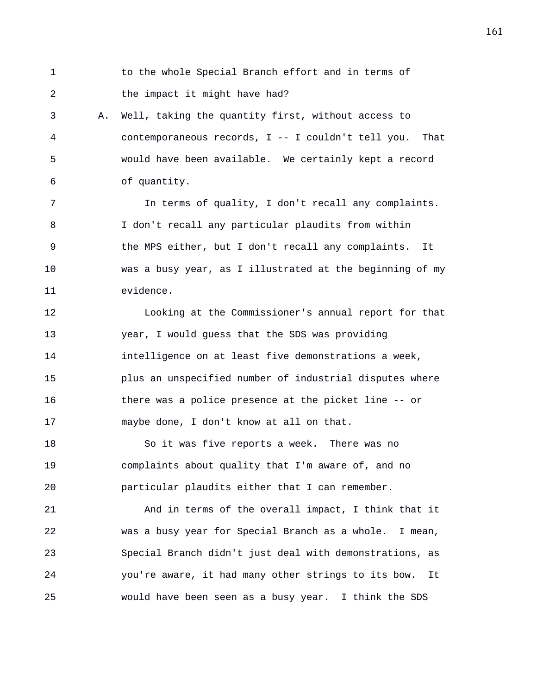1 to the whole Special Branch effort and in terms of 2 the impact it might have had?

3 A. Well, taking the quantity first, without access to 4 contemporaneous records, I -- I couldn't tell you. That 5 would have been available. We certainly kept a record 6 of quantity.

7 In terms of quality, I don't recall any complaints. 8 I don't recall any particular plaudits from within 9 the MPS either, but I don't recall any complaints. It 10 was a busy year, as I illustrated at the beginning of my 11 evidence.

12 Looking at the Commissioner's annual report for that 13 year, I would guess that the SDS was providing 14 intelligence on at least five demonstrations a week, 15 plus an unspecified number of industrial disputes where 16 there was a police presence at the picket line -- or 17 maybe done, I don't know at all on that.

18 So it was five reports a week. There was no 19 complaints about quality that I'm aware of, and no 20 particular plaudits either that I can remember.

21 And in terms of the overall impact, I think that it 22 was a busy year for Special Branch as a whole. I mean, 23 Special Branch didn't just deal with demonstrations, as 24 you're aware, it had many other strings to its bow. It 25 would have been seen as a busy year. I think the SDS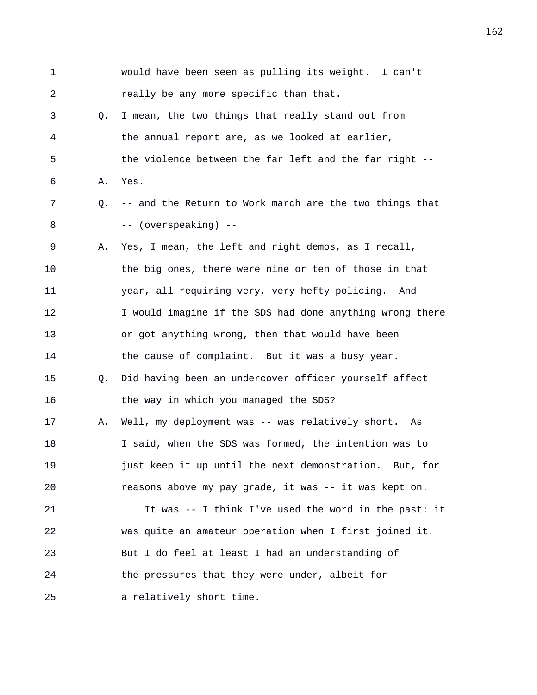1 would have been seen as pulling its weight. I can't 2 really be any more specific than that. 3 Q. I mean, the two things that really stand out from 4 the annual report are, as we looked at earlier, 5 the violence between the far left and the far right -- 6 A. Yes. 7 Q. -- and the Return to Work march are the two things that 8 -- (overspeaking) -- 9 A. Yes, I mean, the left and right demos, as I recall, 10 the big ones, there were nine or ten of those in that 11 year, all requiring very, very hefty policing. And 12 I would imagine if the SDS had done anything wrong there 13 or got anything wrong, then that would have been 14 the cause of complaint. But it was a busy year. 15 Q. Did having been an undercover officer yourself affect 16 the way in which you managed the SDS? 17 A. Well, my deployment was -- was relatively short. As 18 I said, when the SDS was formed, the intention was to 19 just keep it up until the next demonstration. But, for 20 reasons above my pay grade, it was -- it was kept on. 21 It was -- I think I've used the word in the past: it 22 was quite an amateur operation when I first joined it. 23 But I do feel at least I had an understanding of 24 the pressures that they were under, albeit for 25 a relatively short time.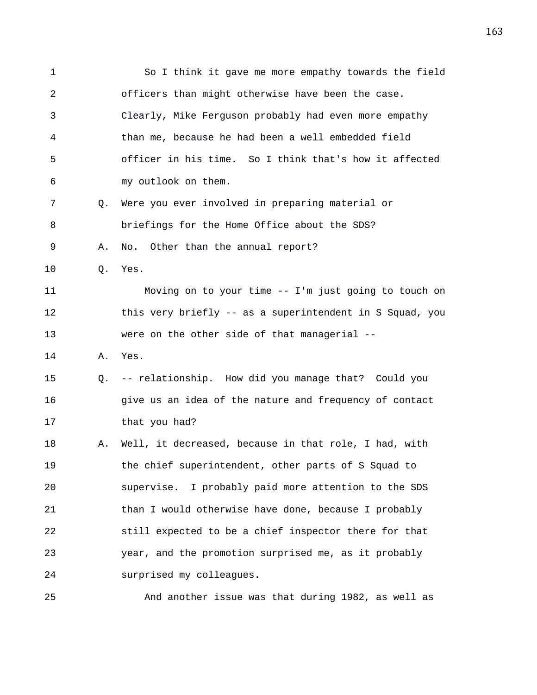1 So I think it gave me more empathy towards the field 2 officers than might otherwise have been the case. 3 Clearly, Mike Ferguson probably had even more empathy 4 than me, because he had been a well embedded field 5 officer in his time. So I think that's how it affected 6 my outlook on them. 7 Q. Were you ever involved in preparing material or 8 briefings for the Home Office about the SDS? 9 A. No. Other than the annual report? 10 Q. Yes. 11 Moving on to your time -- I'm just going to touch on 12 this very briefly -- as a superintendent in S Squad, you 13 were on the other side of that managerial -- 14 A. Yes. 15 Q. -- relationship. How did you manage that? Could you 16 give us an idea of the nature and frequency of contact 17 that you had? 18 A. Well, it decreased, because in that role, I had, with 19 the chief superintendent, other parts of S Squad to 20 supervise. I probably paid more attention to the SDS 21 than I would otherwise have done, because I probably 22 still expected to be a chief inspector there for that 23 year, and the promotion surprised me, as it probably 24 surprised my colleagues. 25 And another issue was that during 1982, as well as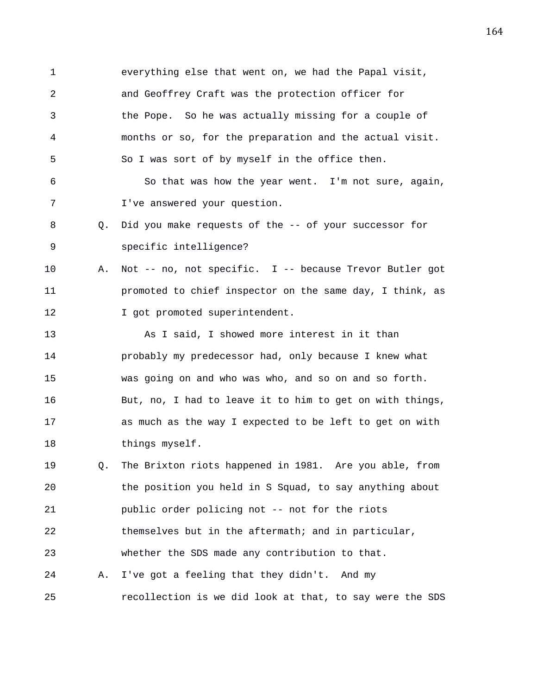1 everything else that went on, we had the Papal visit, 2 and Geoffrey Craft was the protection officer for 3 the Pope. So he was actually missing for a couple of 4 months or so, for the preparation and the actual visit. 5 So I was sort of by myself in the office then. 6 So that was how the year went. I'm not sure, again, 7 I've answered your question. 8 Q. Did you make requests of the -- of your successor for 9 specific intelligence? 10 A. Not -- no, not specific. I -- because Trevor Butler got 11 promoted to chief inspector on the same day, I think, as 12 **I** got promoted superintendent. 13 As I said, I showed more interest in it than 14 probably my predecessor had, only because I knew what 15 was going on and who was who, and so on and so forth. 16 But, no, I had to leave it to him to get on with things, 17 as much as the way I expected to be left to get on with 18 things myself. 19 Q. The Brixton riots happened in 1981. Are you able, from 20 the position you held in S Squad, to say anything about 21 public order policing not -- not for the riots 22 themselves but in the aftermath; and in particular, 23 whether the SDS made any contribution to that. 24 A. I've got a feeling that they didn't. And my 25 recollection is we did look at that, to say were the SDS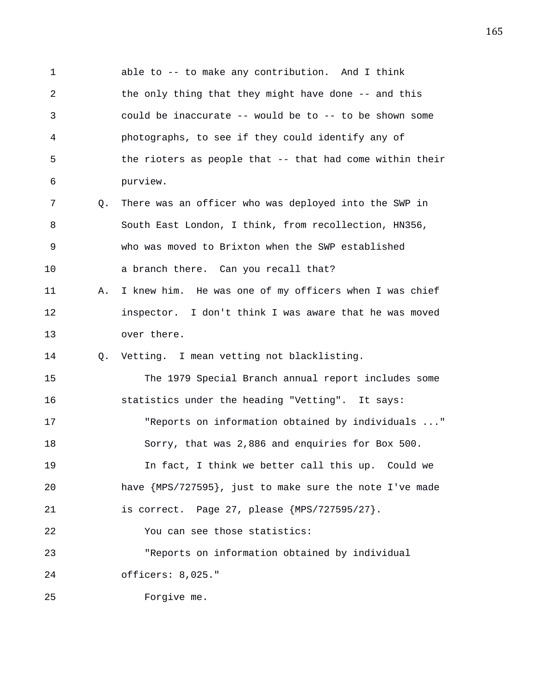1 able to -- to make any contribution. And I think 2 the only thing that they might have done -- and this 3 could be inaccurate -- would be to -- to be shown some 4 photographs, to see if they could identify any of 5 the rioters as people that -- that had come within their 6 purview. 7 Q. There was an officer who was deployed into the SWP in 8 South East London, I think, from recollection, HN356, 9 who was moved to Brixton when the SWP established 10 a branch there. Can you recall that? 11 A. I knew him. He was one of my officers when I was chief 12 inspector. I don't think I was aware that he was moved 13 over there. 14 Q. Vetting. I mean vetting not blacklisting. 15 The 1979 Special Branch annual report includes some 16 statistics under the heading "Vetting". It says: 17 "Reports on information obtained by individuals ..." 18 Sorry, that was 2,886 and enquiries for Box 500. 19 In fact, I think we better call this up. Could we 20 have {MPS/727595}, just to make sure the note I've made 21 is correct. Page 27, please {MPS/727595/27}. 22 You can see those statistics: 23 "Reports on information obtained by individual 24 officers: 8,025." 25 Forgive me.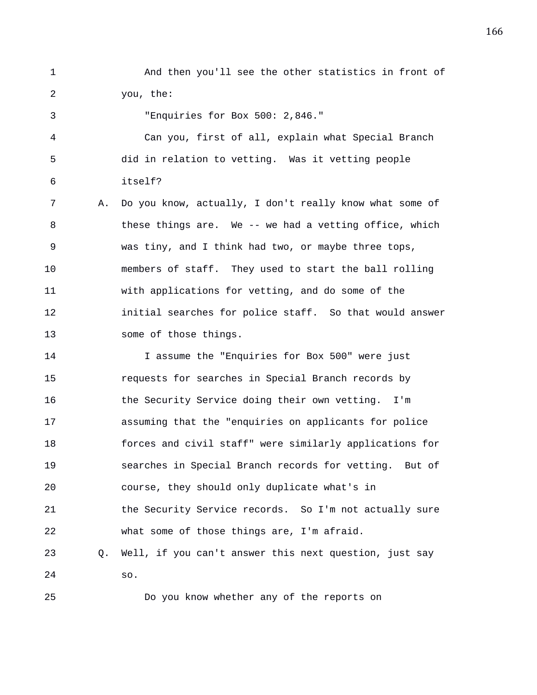1 And then you'll see the other statistics in front of 2 you, the:

3 "Enquiries for Box 500: 2,846."

4 Can you, first of all, explain what Special Branch 5 did in relation to vetting. Was it vetting people 6 itself?

7 A. Do you know, actually, I don't really know what some of 8 these things are. We -- we had a vetting office, which 9 was tiny, and I think had two, or maybe three tops, 10 members of staff. They used to start the ball rolling 11 with applications for vetting, and do some of the 12 initial searches for police staff. So that would answer 13 some of those things.

14 I assume the "Enquiries for Box 500" were just 15 requests for searches in Special Branch records by 16 the Security Service doing their own vetting. I'm 17 assuming that the "enquiries on applicants for police 18 forces and civil staff" were similarly applications for 19 searches in Special Branch records for vetting. But of 20 course, they should only duplicate what's in 21 the Security Service records. So I'm not actually sure 22 what some of those things are, I'm afraid. 23 Q. Well, if you can't answer this next question, just say 24 so.

25 Do you know whether any of the reports on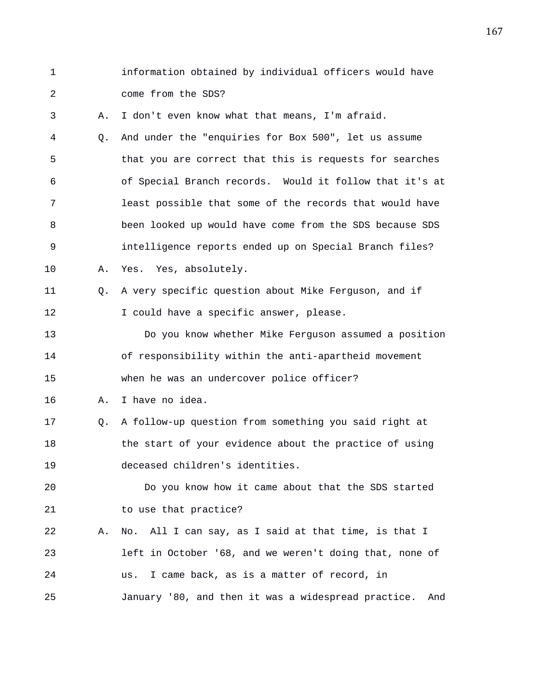- 1 information obtained by individual officers would have 2 come from the SDS? 3 A. I don't even know what that means, I'm afraid. 4 Q. And under the "enquiries for Box 500", let us assume 5 that you are correct that this is requests for searches 6 of Special Branch records. Would it follow that it's at 7 least possible that some of the records that would have 8 been looked up would have come from the SDS because SDS 9 intelligence reports ended up on Special Branch files? 10 A. Yes. Yes, absolutely. 11 Q. A very specific question about Mike Ferguson, and if 12 I could have a specific answer, please. 13 Do you know whether Mike Ferguson assumed a position 14 of responsibility within the anti-apartheid movement 15 when he was an undercover police officer? 16 A. I have no idea. 17 Q. A follow-up question from something you said right at 18 the start of your evidence about the practice of using 19 deceased children's identities. 20 Do you know how it came about that the SDS started 21 to use that practice? 22 A. No. All I can say, as I said at that time, is that I 23 left in October '68, and we weren't doing that, none of 24 us. I came back, as is a matter of record, in
- 25 January '80, and then it was a widespread practice. And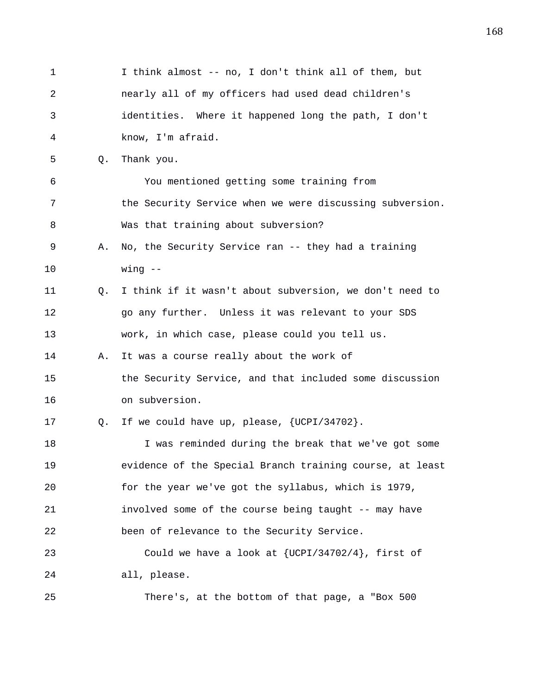1 I think almost -- no, I don't think all of them, but 2 nearly all of my officers had used dead children's 3 identities. Where it happened long the path, I don't 4 know, I'm afraid. 5 Q. Thank you. 6 You mentioned getting some training from 7 the Security Service when we were discussing subversion. 8 Was that training about subversion? 9 A. No, the Security Service ran -- they had a training 10 wing -- 11 Q. I think if it wasn't about subversion, we don't need to 12 go any further. Unless it was relevant to your SDS 13 work, in which case, please could you tell us. 14 A. It was a course really about the work of 15 the Security Service, and that included some discussion 16 on subversion. 17 Q. If we could have up, please, {UCPI/34702}. 18 I was reminded during the break that we've got some 19 evidence of the Special Branch training course, at least 20 for the year we've got the syllabus, which is 1979, 21 involved some of the course being taught -- may have 22 been of relevance to the Security Service. 23 Could we have a look at {UCPI/34702/4}, first of 24 all, please. 25 There's, at the bottom of that page, a "Box 500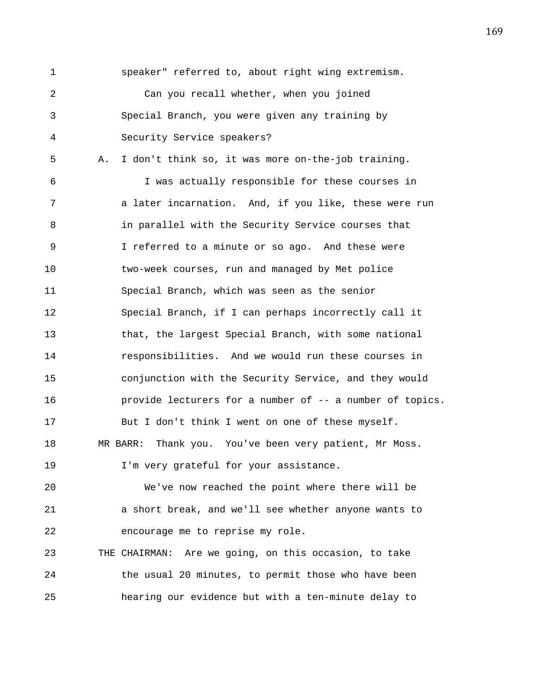1 speaker" referred to, about right wing extremism. 2 Can you recall whether, when you joined 3 Special Branch, you were given any training by 4 Security Service speakers? 5 A. I don't think so, it was more on-the-job training. 6 I was actually responsible for these courses in 7 a later incarnation. And, if you like, these were run 8 in parallel with the Security Service courses that 9 I referred to a minute or so ago. And these were 10 two-week courses, run and managed by Met police 11 Special Branch, which was seen as the senior 12 Special Branch, if I can perhaps incorrectly call it 13 that, the largest Special Branch, with some national 14 responsibilities. And we would run these courses in 15 conjunction with the Security Service, and they would 16 provide lecturers for a number of -- a number of topics. 17 But I don't think I went on one of these myself. 18 MR BARR: Thank you. You've been very patient, Mr Moss. 19 I'm very grateful for your assistance. 20 We've now reached the point where there will be

21 a short break, and we'll see whether anyone wants to 22 encourage me to reprise my role.

23 THE CHAIRMAN: Are we going, on this occasion, to take 24 the usual 20 minutes, to permit those who have been 25 hearing our evidence but with a ten-minute delay to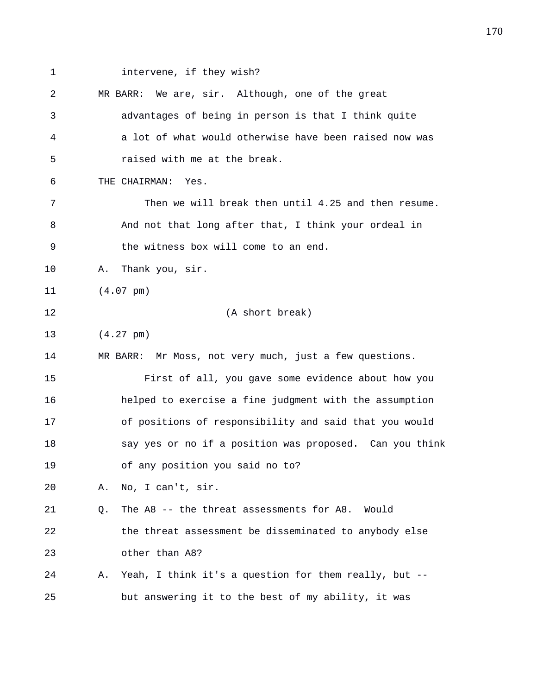1 intervene, if they wish? 2 MR BARR: We are, sir. Although, one of the great 3 advantages of being in person is that I think quite 4 a lot of what would otherwise have been raised now was 5 raised with me at the break. 6 THE CHAIRMAN: Yes. 7 Then we will break then until 4.25 and then resume. 8 And not that long after that, I think your ordeal in 9 the witness box will come to an end. 10 A. Thank you, sir. 11 (4.07 pm) 12 (A short break) 13 (4.27 pm) 14 MR BARR: Mr Moss, not very much, just a few questions. 15 First of all, you gave some evidence about how you 16 helped to exercise a fine judgment with the assumption 17 of positions of responsibility and said that you would 18 say yes or no if a position was proposed. Can you think 19 of any position you said no to? 20 A. No, I can't, sir. 21 Q. The A8 -- the threat assessments for A8. Would 22 the threat assessment be disseminated to anybody else 23 other than A8? 24 A. Yeah, I think it's a question for them really, but -- 25 but answering it to the best of my ability, it was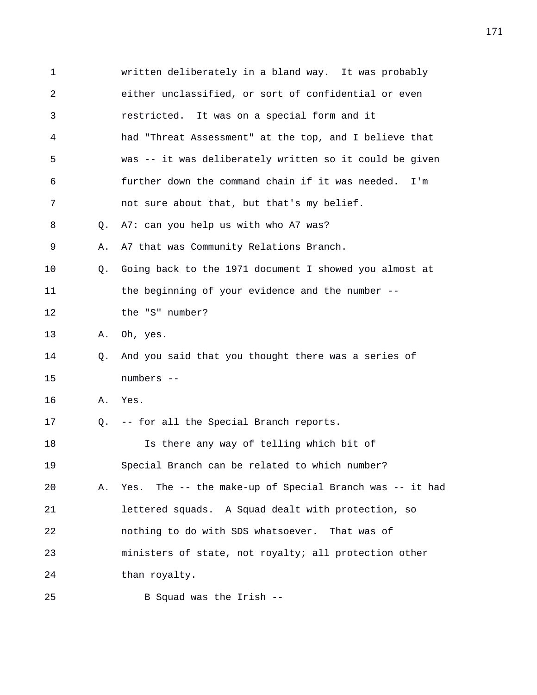| 1  |    | written deliberately in a bland way. It was probably       |
|----|----|------------------------------------------------------------|
| 2  |    | either unclassified, or sort of confidential or even       |
| 3  |    | restricted. It was on a special form and it                |
| 4  |    | had "Threat Assessment" at the top, and I believe that     |
| 5  |    | was -- it was deliberately written so it could be given    |
| 6  |    | further down the command chain if it was needed.<br>I'm    |
| 7  |    | not sure about that, but that's my belief.                 |
| 8  | O. | A7: can you help us with who A7 was?                       |
| 9  | Α. | A7 that was Community Relations Branch.                    |
| 10 | Q. | Going back to the 1971 document I showed you almost at     |
| 11 |    | the beginning of your evidence and the number --           |
| 12 |    | the "S" number?                                            |
| 13 | Α. | Oh, yes.                                                   |
| 14 | Q. | And you said that you thought there was a series of        |
| 15 |    | numbers --                                                 |
| 16 | Α. | Yes.                                                       |
| 17 | Q. | -- for all the Special Branch reports.                     |
| 18 |    | Is there any way of telling which bit of                   |
| 19 |    | Special Branch can be related to which number?             |
| 20 | Α. | The -- the make-up of Special Branch was -- it had<br>Yes. |
| 21 |    | lettered squads. A Squad dealt with protection, so         |
| 22 |    | nothing to do with SDS whatsoever. That was of             |
| 23 |    | ministers of state, not royalty; all protection other      |
| 24 |    | than royalty.                                              |
| 25 |    | B Squad was the Irish --                                   |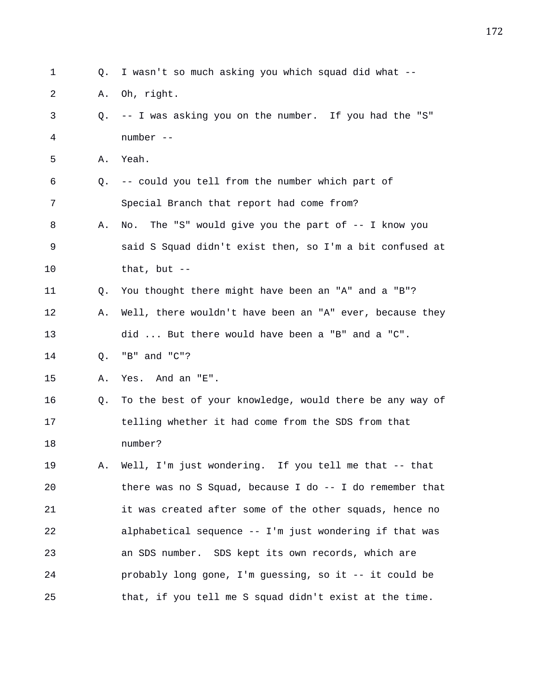| 1  | Q. | I wasn't so much asking you which squad did what --         |
|----|----|-------------------------------------------------------------|
| 2  | Α. | Oh, right.                                                  |
| 3  | Q. | -- I was asking you on the number. If you had the "S"       |
| 4  |    | number --                                                   |
| 5  | Α. | Yeah.                                                       |
| 6  | Q. | -- could you tell from the number which part of             |
| 7  |    | Special Branch that report had come from?                   |
| 8  | Α. | The "S" would give you the part of $-$ - I know you<br>No.  |
| 9  |    | said S Squad didn't exist then, so I'm a bit confused at    |
| 10 |    | that, but $--$                                              |
| 11 | Q. | You thought there might have been an "A" and a "B"?         |
| 12 | Α. | Well, there wouldn't have been an "A" ever, because they    |
| 13 |    | did  But there would have been a "B" and a "C".             |
| 14 | Q. | "B" and "C"?                                                |
| 15 | Α. | Yes. And an "E".                                            |
| 16 | Q. | To the best of your knowledge, would there be any way of    |
| 17 |    | telling whether it had come from the SDS from that          |
| 18 |    | number?                                                     |
| 19 | Α. | Well, I'm just wondering. If you tell me that -- that       |
| 20 |    | there was no S Squad, because I do $-$ - I do remember that |
| 21 |    | it was created after some of the other squads, hence no     |
| 22 |    | alphabetical sequence -- I'm just wondering if that was     |
| 23 |    | an SDS number. SDS kept its own records, which are          |
| 24 |    | probably long gone, I'm guessing, so it -- it could be      |
| 25 |    | that, if you tell me S squad didn't exist at the time.      |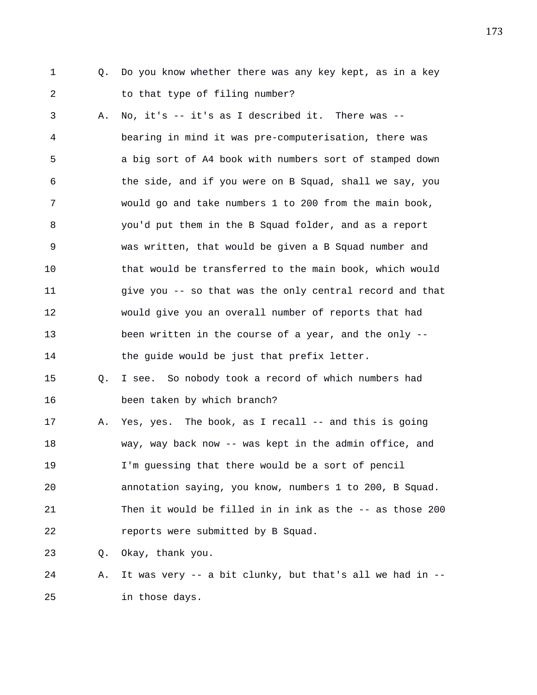- 
- 1 Q. Do you know whether there was any key kept, as in a key 2 to that type of filing number?

3 A. No, it's -- it's as I described it. There was -- 4 bearing in mind it was pre-computerisation, there was 5 a big sort of A4 book with numbers sort of stamped down 6 the side, and if you were on B Squad, shall we say, you 7 would go and take numbers 1 to 200 from the main book, 8 you'd put them in the B Squad folder, and as a report 9 was written, that would be given a B Squad number and 10 that would be transferred to the main book, which would 11 give you -- so that was the only central record and that 12 would give you an overall number of reports that had 13 been written in the course of a year, and the only -- 14 the guide would be just that prefix letter. 15 Q. I see. So nobody took a record of which numbers had 16 been taken by which branch? 17 A. Yes, yes. The book, as I recall -- and this is going

18 way, way back now -- was kept in the admin office, and 19 I'm guessing that there would be a sort of pencil 20 annotation saying, you know, numbers 1 to 200, B Squad. 21 Then it would be filled in in ink as the -- as those 200 22 reports were submitted by B Squad.

23 Q. Okay, thank you.

24 A. It was very -- a bit clunky, but that's all we had in -- 25 in those days.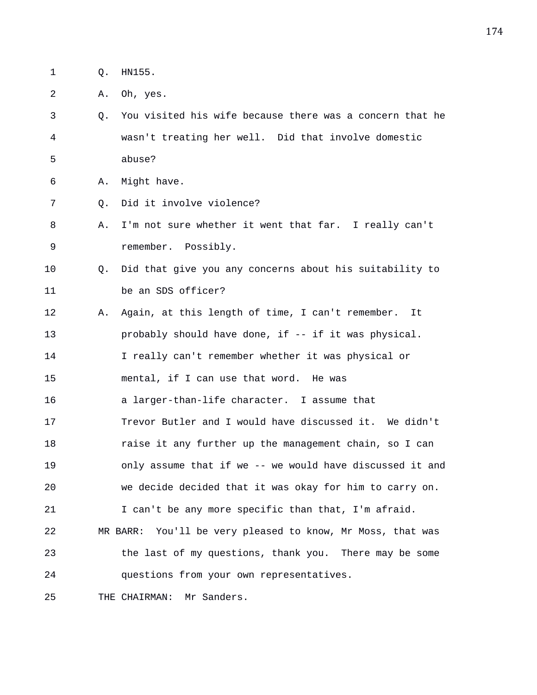- 1 Q. HN155.
- 2 A. Oh, yes.
- 3 Q. You visited his wife because there was a concern that he 4 wasn't treating her well. Did that involve domestic 5 abuse?
- 6 A. Might have.
- 7 Q. Did it involve violence?
- 8 A. I'm not sure whether it went that far. I really can't 9 remember. Possibly.
- 10 Q. Did that give you any concerns about his suitability to 11 be an SDS officer?
- 12 A. Again, at this length of time, I can't remember. It 13 probably should have done, if -- if it was physical.
- 14 I really can't remember whether it was physical or
- 15 mental, if I can use that word. He was
- 16 a larger-than-life character. I assume that
- 17 Trevor Butler and I would have discussed it. We didn't 18 raise it any further up the management chain, so I can 19 only assume that if we -- we would have discussed it and 20 we decide decided that it was okay for him to carry on.
- 21 I can't be any more specific than that, I'm afraid.
- 22 MR BARR: You'll be very pleased to know, Mr Moss, that was 23 the last of my questions, thank you. There may be some 24 questions from your own representatives.
- 25 THE CHAIRMAN: Mr Sanders.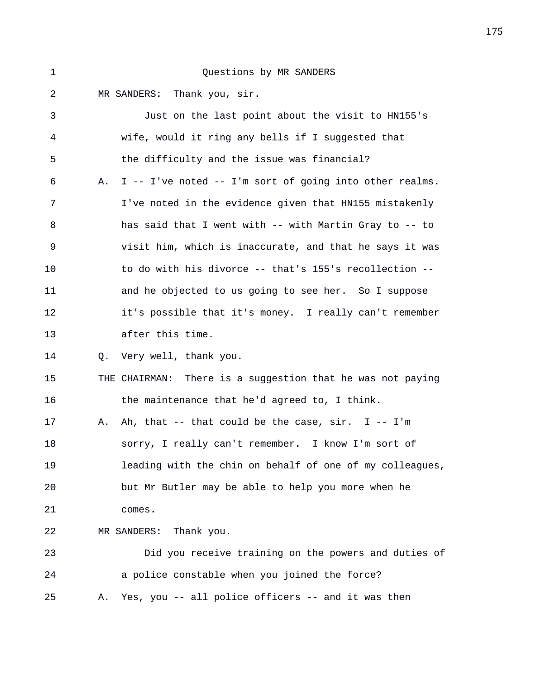## 1 Questions by MR SANDERS

2 MR SANDERS: Thank you, sir.

3 Just on the last point about the visit to HN155's 4 wife, would it ring any bells if I suggested that 5 the difficulty and the issue was financial? 6 A. I -- I've noted -- I'm sort of going into other realms. 7 I've noted in the evidence given that HN155 mistakenly 8 has said that I went with -- with Martin Gray to -- to 9 visit him, which is inaccurate, and that he says it was 10 to do with his divorce -- that's 155's recollection -- 11 and he objected to us going to see her. So I suppose 12 it's possible that it's money. I really can't remember 13 after this time. 14 Q. Very well, thank you. 15 THE CHAIRMAN: There is a suggestion that he was not paying 16 the maintenance that he'd agreed to, I think. 17 A. Ah, that -- that could be the case, sir. I -- I'm 18 sorry, I really can't remember. I know I'm sort of 19 leading with the chin on behalf of one of my colleagues, 20 but Mr Butler may be able to help you more when he 21 comes. 22 MR SANDERS: Thank you. 23 Did you receive training on the powers and duties of 24 a police constable when you joined the force? 25 A. Yes, you -- all police officers -- and it was then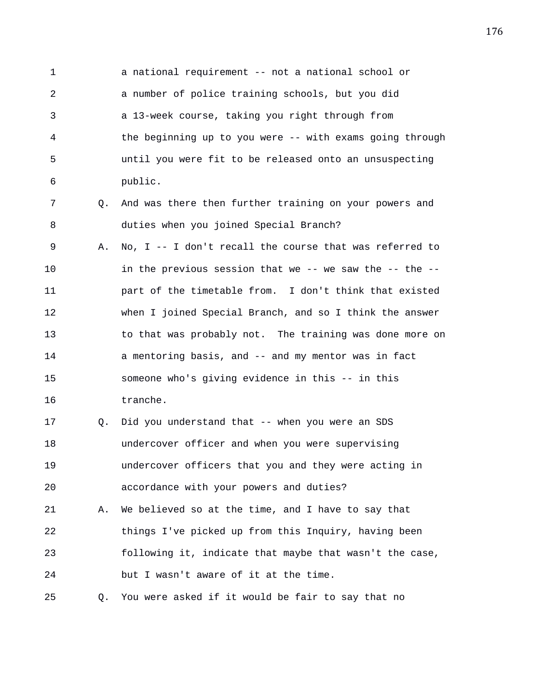1 a national requirement -- not a national school or 2 a number of police training schools, but you did 3 a 13-week course, taking you right through from 4 the beginning up to you were -- with exams going through 5 until you were fit to be released onto an unsuspecting 6 public.

7 Q. And was there then further training on your powers and 8 duties when you joined Special Branch?

9 A. No, I -- I don't recall the course that was referred to 10 in the previous session that we -- we saw the -- the -- 11 part of the timetable from. I don't think that existed 12 when I joined Special Branch, and so I think the answer 13 to that was probably not. The training was done more on 14 a mentoring basis, and -- and my mentor was in fact 15 someone who's giving evidence in this -- in this 16 tranche.

17 Q. Did you understand that -- when you were an SDS 18 undercover officer and when you were supervising 19 undercover officers that you and they were acting in 20 accordance with your powers and duties? 21 A. We believed so at the time, and I have to say that 22 things I've picked up from this Inquiry, having been 23 following it, indicate that maybe that wasn't the case, 24 but I wasn't aware of it at the time.

25 Q. You were asked if it would be fair to say that no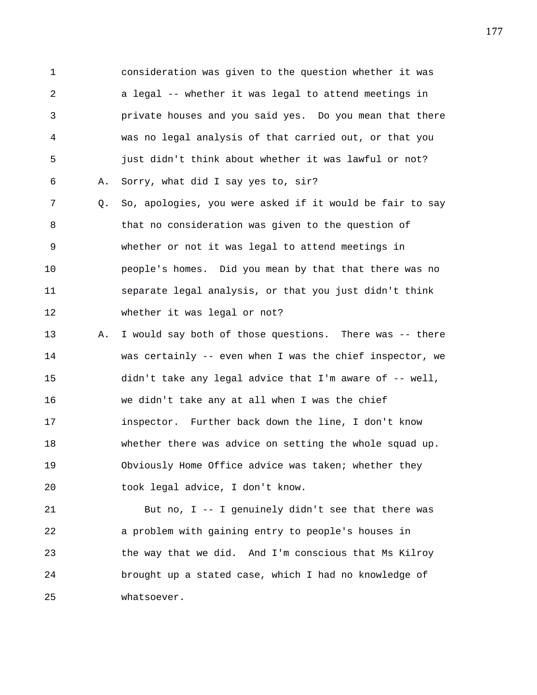1 consideration was given to the question whether it was 2 a legal -- whether it was legal to attend meetings in 3 private houses and you said yes. Do you mean that there 4 was no legal analysis of that carried out, or that you 5 just didn't think about whether it was lawful or not? 6 A. Sorry, what did I say yes to, sir? 7 Q. So, apologies, you were asked if it would be fair to say 8 that no consideration was given to the question of 9 whether or not it was legal to attend meetings in 10 people's homes. Did you mean by that that there was no 11 separate legal analysis, or that you just didn't think 12 whether it was legal or not? 13 A. I would say both of those questions. There was -- there 14 was certainly -- even when I was the chief inspector, we 15 didn't take any legal advice that I'm aware of -- well, 16 we didn't take any at all when I was the chief

18 whether there was advice on setting the whole squad up. 19 Obviously Home Office advice was taken; whether they 20 took legal advice, I don't know.

17 inspector. Further back down the line, I don't know

21 But no, I -- I genuinely didn't see that there was 22 a problem with gaining entry to people's houses in 23 the way that we did. And I'm conscious that Ms Kilroy 24 brought up a stated case, which I had no knowledge of 25 whatsoever.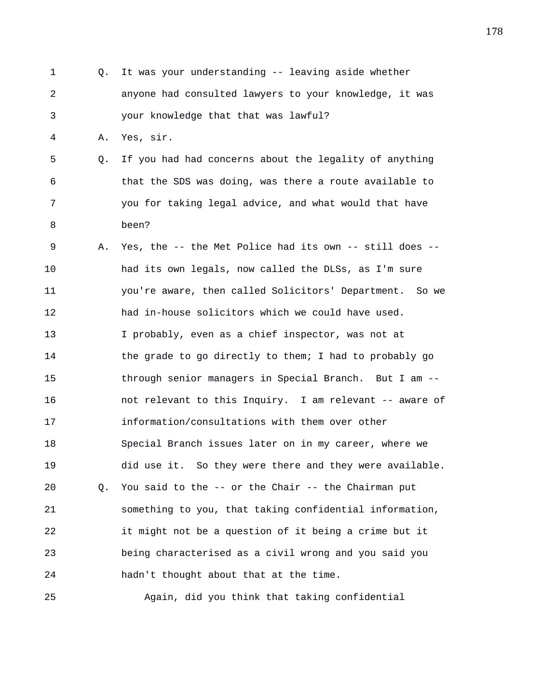1 Q. It was your understanding -- leaving aside whether 2 anyone had consulted lawyers to your knowledge, it was 3 your knowledge that that was lawful? 4 A. Yes, sir. 5 Q. If you had had concerns about the legality of anything 6 that the SDS was doing, was there a route available to 7 you for taking legal advice, and what would that have 8 been? 9 A. Yes, the -- the Met Police had its own -- still does -- 10 had its own legals, now called the DLSs, as I'm sure 11 you're aware, then called Solicitors' Department. So we 12 had in-house solicitors which we could have used. 13 I probably, even as a chief inspector, was not at 14 the grade to go directly to them; I had to probably go 15 through senior managers in Special Branch. But I am -- 16 not relevant to this Inquiry. I am relevant -- aware of 17 information/consultations with them over other 18 Special Branch issues later on in my career, where we 19 did use it. So they were there and they were available. 20 Q. You said to the -- or the Chair -- the Chairman put 21 something to you, that taking confidential information, 22 it might not be a question of it being a crime but it 23 being characterised as a civil wrong and you said you 24 hadn't thought about that at the time.

25 Again, did you think that taking confidential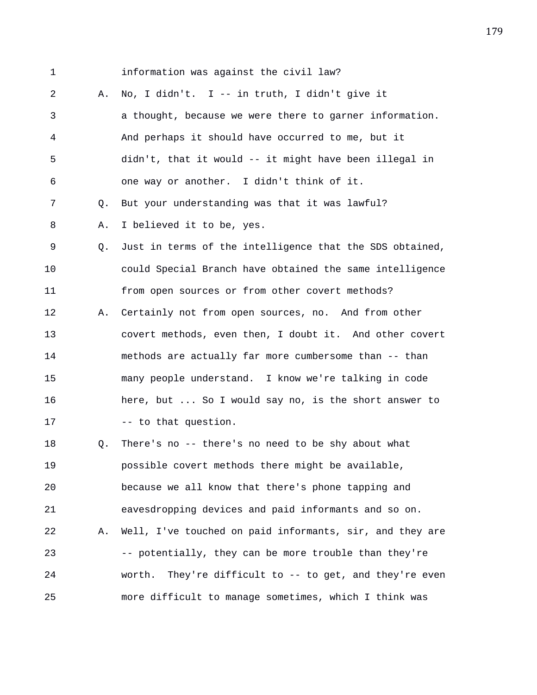1 information was against the civil law? 2 A. No, I didn't. I -- in truth, I didn't give it 3 a thought, because we were there to garner information. 4 And perhaps it should have occurred to me, but it 5 didn't, that it would -- it might have been illegal in 6 one way or another. I didn't think of it. 7 Q. But your understanding was that it was lawful? 8 A. I believed it to be, yes. 9 Q. Just in terms of the intelligence that the SDS obtained, 10 could Special Branch have obtained the same intelligence 11 from open sources or from other covert methods? 12 A. Certainly not from open sources, no. And from other 13 covert methods, even then, I doubt it. And other covert 14 methods are actually far more cumbersome than -- than 15 many people understand. I know we're talking in code 16 here, but ... So I would say no, is the short answer to 17 -- to that question. 18 Q. There's no -- there's no need to be shy about what 19 possible covert methods there might be available, 20 because we all know that there's phone tapping and 21 eavesdropping devices and paid informants and so on. 22 A. Well, I've touched on paid informants, sir, and they are 23 -- potentially, they can be more trouble than they're 24 worth. They're difficult to -- to get, and they're even 25 more difficult to manage sometimes, which I think was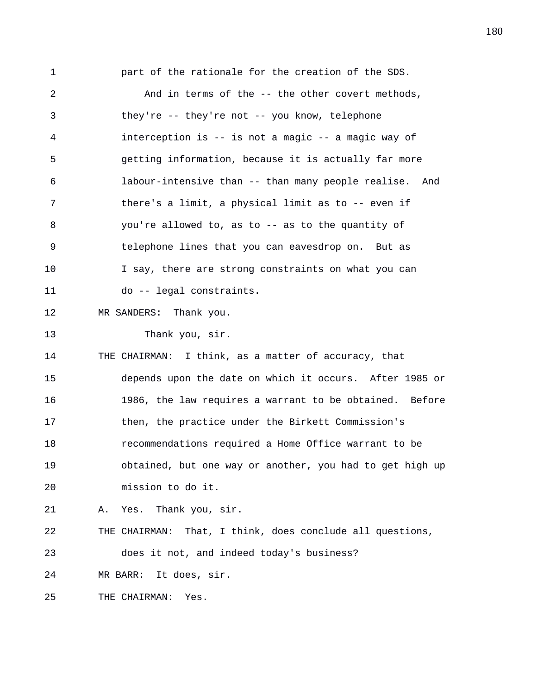1 part of the rationale for the creation of the SDS. 2 And in terms of the -- the other covert methods, 3 they're -- they're not -- you know, telephone 4 interception is -- is not a magic -- a magic way of 5 getting information, because it is actually far more 6 labour-intensive than -- than many people realise. And 7 there's a limit, a physical limit as to -- even if 8 you're allowed to, as to -- as to the quantity of 9 telephone lines that you can eavesdrop on. But as 10 I say, there are strong constraints on what you can 11 do -- legal constraints. 12 MR SANDERS: Thank you. 13 Thank you, sir. 14 THE CHAIRMAN: I think, as a matter of accuracy, that 15 depends upon the date on which it occurs. After 1985 or 16 1986, the law requires a warrant to be obtained. Before 17 then, the practice under the Birkett Commission's 18 recommendations required a Home Office warrant to be 19 obtained, but one way or another, you had to get high up 20 mission to do it. 21 A. Yes. Thank you, sir. 22 THE CHAIRMAN: That, I think, does conclude all questions, 23 does it not, and indeed today's business? 24 MR BARR: It does, sir. 25 THE CHAIRMAN: Yes.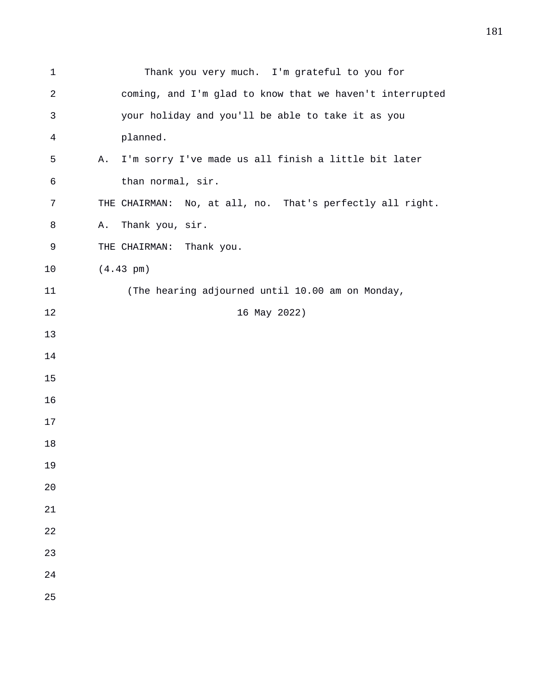| $\mathbf 1$ | Thank you very much. I'm grateful to you for               |
|-------------|------------------------------------------------------------|
| 2           | coming, and I'm glad to know that we haven't interrupted   |
| 3           | your holiday and you'll be able to take it as you          |
| 4           | planned.                                                   |
| 5           | I'm sorry I've made us all finish a little bit later<br>Α. |
| 6           | than normal, sir.                                          |
| 7           | THE CHAIRMAN: No, at all, no. That's perfectly all right.  |
| 8           | Thank you, sir.<br>Α.                                      |
| 9           | THE CHAIRMAN: Thank you.                                   |
| 10          | $(4.43 \text{ pm})$                                        |
| 11          | (The hearing adjourned until 10.00 am on Monday,           |
| 12          | 16 May 2022)                                               |
| 13          |                                                            |
| 14          |                                                            |
| 15          |                                                            |
| 16          |                                                            |
| 17          |                                                            |
| 18          |                                                            |
| 19          |                                                            |
| 20          |                                                            |
| 21          |                                                            |
| 22          |                                                            |
| 23          |                                                            |
| 24          |                                                            |
| 25          |                                                            |